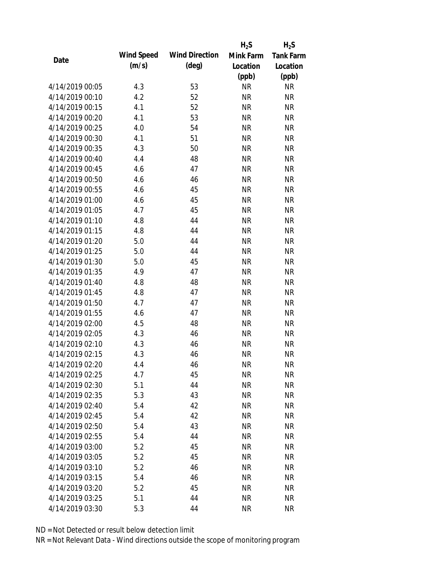|                 |            |                       | $H_2S$    | $H_2S$           |
|-----------------|------------|-----------------------|-----------|------------------|
| Date            | Wind Speed | <b>Wind Direction</b> | Mink Farm | <b>Tank Farm</b> |
|                 | (m/s)      | $(\text{deg})$        | Location  | Location         |
|                 |            |                       | (ppb)     | (ppb)            |
| 4/14/2019 00:05 | 4.3        | 53                    | <b>NR</b> | <b>NR</b>        |
| 4/14/2019 00:10 | 4.2        | 52                    | <b>NR</b> | <b>NR</b>        |
| 4/14/2019 00:15 | 4.1        | 52                    | <b>NR</b> | <b>NR</b>        |
| 4/14/2019 00:20 | 4.1        | 53                    | <b>NR</b> | <b>NR</b>        |
| 4/14/2019 00:25 | 4.0        | 54                    | <b>NR</b> | <b>NR</b>        |
| 4/14/2019 00:30 | 4.1        | 51                    | <b>NR</b> | <b>NR</b>        |
| 4/14/2019 00:35 | 4.3        | 50                    | <b>NR</b> | <b>NR</b>        |
| 4/14/2019 00:40 | 4.4        | 48                    | <b>NR</b> | <b>NR</b>        |
| 4/14/2019 00:45 | 4.6        | 47                    | <b>NR</b> | <b>NR</b>        |
| 4/14/2019 00:50 | 4.6        | 46                    | <b>NR</b> | <b>NR</b>        |
| 4/14/2019 00:55 | 4.6        | 45                    | <b>NR</b> | <b>NR</b>        |
| 4/14/2019 01:00 | 4.6        | 45                    | <b>NR</b> | <b>NR</b>        |
| 4/14/2019 01:05 | 4.7        | 45                    | <b>NR</b> | <b>NR</b>        |
| 4/14/2019 01:10 | 4.8        | 44                    | <b>NR</b> | <b>NR</b>        |
| 4/14/2019 01:15 | 4.8        | 44                    | <b>NR</b> | <b>NR</b>        |
| 4/14/2019 01:20 | 5.0        | 44                    | <b>NR</b> | <b>NR</b>        |
| 4/14/2019 01:25 | 5.0        | 44                    | <b>NR</b> | <b>NR</b>        |
| 4/14/2019 01:30 | 5.0        | 45                    | <b>NR</b> | <b>NR</b>        |
| 4/14/2019 01:35 | 4.9        | 47                    | <b>NR</b> | <b>NR</b>        |
| 4/14/2019 01:40 | 4.8        | 48                    | <b>NR</b> | <b>NR</b>        |
| 4/14/2019 01:45 | 4.8        | 47                    | <b>NR</b> | <b>NR</b>        |
| 4/14/2019 01:50 | 4.7        | 47                    | <b>NR</b> | <b>NR</b>        |
| 4/14/2019 01:55 | 4.6        | 47                    | <b>NR</b> | <b>NR</b>        |
| 4/14/2019 02:00 | 4.5        | 48                    | <b>NR</b> | <b>NR</b>        |
| 4/14/2019 02:05 | 4.3        | 46                    | <b>NR</b> | <b>NR</b>        |
| 4/14/2019 02:10 | 4.3        | 46                    | <b>NR</b> | <b>NR</b>        |
| 4/14/2019 02:15 | 4.3        | 46                    | <b>NR</b> | <b>NR</b>        |
| 4/14/2019 02:20 | 4.4        | 46                    | <b>NR</b> | <b>NR</b>        |
| 4/14/2019 02:25 | 4.7        | 45                    | <b>NR</b> | <b>NR</b>        |
| 4/14/2019 02:30 | 5.1        | 44                    | <b>NR</b> | <b>NR</b>        |
| 4/14/2019 02:35 | 5.3        | 43                    | <b>NR</b> | <b>NR</b>        |
| 4/14/2019 02:40 | 5.4        | 42                    | <b>NR</b> | <b>NR</b>        |
| 4/14/2019 02:45 | 5.4        | 42                    | <b>NR</b> | <b>NR</b>        |
| 4/14/2019 02:50 | 5.4        | 43                    | <b>NR</b> | <b>NR</b>        |
| 4/14/2019 02:55 | 5.4        | 44                    | <b>NR</b> | <b>NR</b>        |
| 4/14/2019 03:00 | 5.2        | 45                    | <b>NR</b> | <b>NR</b>        |
| 4/14/2019 03:05 | 5.2        | 45                    | <b>NR</b> | <b>NR</b>        |
| 4/14/2019 03:10 | 5.2        | 46                    |           | <b>NR</b>        |
|                 |            |                       | NR        |                  |
| 4/14/2019 03:15 | 5.4        | 46                    | <b>NR</b> | <b>NR</b>        |
| 4/14/2019 03:20 | 5.2        | 45                    | <b>NR</b> | <b>NR</b>        |
| 4/14/2019 03:25 | 5.1        | 44                    | <b>NR</b> | <b>NR</b>        |
| 4/14/2019 03:30 | 5.3        | 44                    | <b>NR</b> | <b>NR</b>        |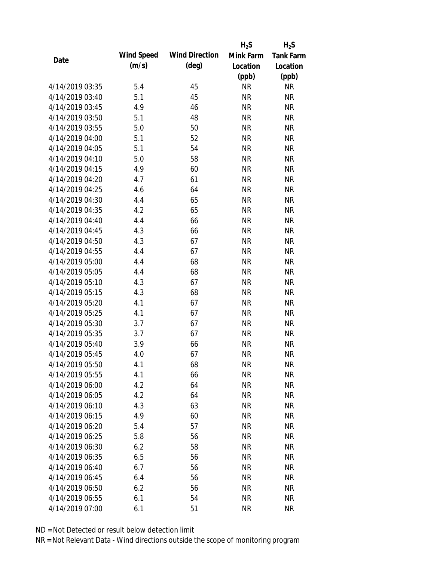|                 |            |                       | $H_2S$    | $H_2S$           |
|-----------------|------------|-----------------------|-----------|------------------|
| Date            | Wind Speed | <b>Wind Direction</b> | Mink Farm | <b>Tank Farm</b> |
|                 | (m/s)      | $(\text{deg})$        | Location  | Location         |
|                 |            |                       | (ppb)     | (ppb)            |
| 4/14/2019 03:35 | 5.4        | 45                    | <b>NR</b> | <b>NR</b>        |
| 4/14/2019 03:40 | 5.1        | 45                    | <b>NR</b> | <b>NR</b>        |
| 4/14/2019 03:45 | 4.9        | 46                    | <b>NR</b> | <b>NR</b>        |
| 4/14/2019 03:50 | 5.1        | 48                    | <b>NR</b> | <b>NR</b>        |
| 4/14/2019 03:55 | 5.0        | 50                    | <b>NR</b> | <b>NR</b>        |
| 4/14/2019 04:00 | 5.1        | 52                    | <b>NR</b> | <b>NR</b>        |
| 4/14/2019 04:05 | 5.1        | 54                    | <b>NR</b> | <b>NR</b>        |
| 4/14/2019 04:10 | 5.0        | 58                    | <b>NR</b> | <b>NR</b>        |
| 4/14/2019 04:15 | 4.9        | 60                    | <b>NR</b> | <b>NR</b>        |
| 4/14/2019 04:20 | 4.7        | 61                    | <b>NR</b> | <b>NR</b>        |
| 4/14/2019 04:25 | 4.6        | 64                    | <b>NR</b> | <b>NR</b>        |
| 4/14/2019 04:30 | 4.4        | 65                    | <b>NR</b> | <b>NR</b>        |
| 4/14/2019 04:35 | 4.2        | 65                    | <b>NR</b> | <b>NR</b>        |
| 4/14/2019 04:40 | 4.4        | 66                    | <b>NR</b> | <b>NR</b>        |
| 4/14/2019 04:45 | 4.3        | 66                    | <b>NR</b> | <b>NR</b>        |
| 4/14/2019 04:50 | 4.3        | 67                    | <b>NR</b> | <b>NR</b>        |
| 4/14/2019 04:55 | 4.4        | 67                    | <b>NR</b> | <b>NR</b>        |
| 4/14/2019 05:00 | 4.4        | 68                    | <b>NR</b> | <b>NR</b>        |
| 4/14/2019 05:05 | 4.4        | 68                    | <b>NR</b> | <b>NR</b>        |
| 4/14/2019 05:10 | 4.3        | 67                    | <b>NR</b> | <b>NR</b>        |
| 4/14/2019 05:15 | 4.3        | 68                    | <b>NR</b> | <b>NR</b>        |
| 4/14/2019 05:20 | 4.1        | 67                    | <b>NR</b> | <b>NR</b>        |
| 4/14/2019 05:25 | 4.1        | 67                    | <b>NR</b> | <b>NR</b>        |
| 4/14/2019 05:30 | 3.7        | 67                    | <b>NR</b> | <b>NR</b>        |
| 4/14/2019 05:35 | 3.7        | 67                    | <b>NR</b> | <b>NR</b>        |
| 4/14/2019 05:40 | 3.9        | 66                    | <b>NR</b> | <b>NR</b>        |
| 4/14/2019 05:45 | 4.0        | 67                    | <b>NR</b> | <b>NR</b>        |
| 4/14/2019 05:50 | 4.1        | 68                    | <b>NR</b> | <b>NR</b>        |
| 4/14/2019 05:55 | 4.1        | 66                    | <b>NR</b> | <b>NR</b>        |
| 4/14/2019 06:00 | 4.2        | 64                    | <b>NR</b> | <b>NR</b>        |
| 4/14/2019 06:05 | 4.2        | 64                    | <b>NR</b> | <b>NR</b>        |
| 4/14/2019 06:10 | 4.3        | 63                    | <b>NR</b> | <b>NR</b>        |
| 4/14/2019 06:15 | 4.9        | 60                    | <b>NR</b> | <b>NR</b>        |
| 4/14/2019 06:20 | 5.4        | 57                    | <b>NR</b> | <b>NR</b>        |
| 4/14/2019 06:25 | 5.8        | 56                    | <b>NR</b> | NR               |
| 4/14/2019 06:30 | 6.2        | 58                    | <b>NR</b> | <b>NR</b>        |
| 4/14/2019 06:35 | 6.5        | 56                    | <b>NR</b> | <b>NR</b>        |
| 4/14/2019 06:40 | 6.7        | 56                    | NR        | <b>NR</b>        |
| 4/14/2019 06:45 | 6.4        | 56                    | <b>NR</b> | NR               |
| 4/14/2019 06:50 | 6.2        | 56                    | <b>NR</b> | NR               |
| 4/14/2019 06:55 | 6.1        | 54                    | <b>NR</b> | <b>NR</b>        |
| 4/14/2019 07:00 | 6.1        | 51                    | <b>NR</b> | <b>NR</b>        |
|                 |            |                       |           |                  |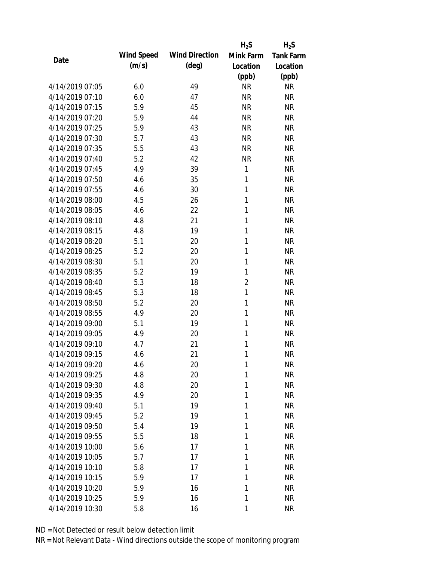|                 |            |                       | $H_2S$         | $H_2S$           |
|-----------------|------------|-----------------------|----------------|------------------|
| Date            | Wind Speed | <b>Wind Direction</b> | Mink Farm      | <b>Tank Farm</b> |
|                 | (m/s)      | $(\text{deg})$        | Location       | Location         |
|                 |            |                       | (ppb)          | (ppb)            |
| 4/14/2019 07:05 | 6.0        | 49                    | <b>NR</b>      | <b>NR</b>        |
| 4/14/2019 07:10 | 6.0        | 47                    | <b>NR</b>      | <b>NR</b>        |
| 4/14/2019 07:15 | 5.9        | 45                    | <b>NR</b>      | <b>NR</b>        |
| 4/14/2019 07:20 | 5.9        | 44                    | <b>NR</b>      | <b>NR</b>        |
| 4/14/2019 07:25 | 5.9        | 43                    | <b>NR</b>      | <b>NR</b>        |
| 4/14/2019 07:30 | 5.7        | 43                    | <b>NR</b>      | <b>NR</b>        |
| 4/14/2019 07:35 | 5.5        | 43                    | <b>NR</b>      | <b>NR</b>        |
| 4/14/2019 07:40 | 5.2        | 42                    | <b>NR</b>      | <b>NR</b>        |
| 4/14/2019 07:45 | 4.9        | 39                    | 1              | <b>NR</b>        |
| 4/14/2019 07:50 | 4.6        | 35                    | 1              | <b>NR</b>        |
| 4/14/2019 07:55 | 4.6        | 30                    | 1              | <b>NR</b>        |
| 4/14/2019 08:00 | 4.5        | 26                    | 1              | <b>NR</b>        |
| 4/14/2019 08:05 | 4.6        | 22                    | $\mathbf{1}$   | <b>NR</b>        |
| 4/14/2019 08:10 | 4.8        | 21                    | $\mathbf{1}$   | <b>NR</b>        |
| 4/14/2019 08:15 | 4.8        | 19                    | 1              | <b>NR</b>        |
| 4/14/2019 08:20 | 5.1        | 20                    | 1              | <b>NR</b>        |
| 4/14/2019 08:25 | 5.2        | 20                    | 1              | <b>NR</b>        |
| 4/14/2019 08:30 | 5.1        | 20                    | 1              | <b>NR</b>        |
| 4/14/2019 08:35 | 5.2        | 19                    | $\mathbf{1}$   | <b>NR</b>        |
| 4/14/2019 08:40 | 5.3        | 18                    | $\overline{2}$ | <b>NR</b>        |
| 4/14/2019 08:45 | 5.3        | 18                    | 1              | <b>NR</b>        |
| 4/14/2019 08:50 | 5.2        | 20                    | 1              | <b>NR</b>        |
| 4/14/2019 08:55 | 4.9        | 20                    | 1              | <b>NR</b>        |
| 4/14/2019 09:00 | 5.1        | 19                    | 1              | <b>NR</b>        |
| 4/14/2019 09:05 | 4.9        | 20                    | 1              | <b>NR</b>        |
| 4/14/2019 09:10 | 4.7        | 21                    | 1              | <b>NR</b>        |
| 4/14/2019 09:15 | 4.6        | 21                    | 1              | <b>NR</b>        |
| 4/14/2019 09:20 | 4.6        | 20                    | 1              | <b>NR</b>        |
| 4/14/2019 09:25 | 4.8        | 20                    | 1              | <b>NR</b>        |
| 4/14/2019 09:30 | 4.8        | 20                    | 1              | <b>NR</b>        |
| 4/14/2019 09:35 | 4.9        | 20                    | 1              | <b>NR</b>        |
| 4/14/2019 09:40 | 5.1        | 19                    | 1              | <b>NR</b>        |
| 4/14/2019 09:45 | 5.2        | 19                    | 1              | <b>NR</b>        |
| 4/14/2019 09:50 | 5.4        | 19                    | 1              | <b>NR</b>        |
| 4/14/2019 09:55 | 5.5        | 18                    | 1              | <b>NR</b>        |
| 4/14/2019 10:00 | 5.6        | 17                    | 1              | <b>NR</b>        |
| 4/14/2019 10:05 | 5.7        | 17                    | 1              | <b>NR</b>        |
| 4/14/2019 10:10 | 5.8        | 17                    | 1              | <b>NR</b>        |
| 4/14/2019 10:15 | 5.9        | 17                    | 1              | <b>NR</b>        |
| 4/14/2019 10:20 | 5.9        | 16                    | 1              | <b>NR</b>        |
| 4/14/2019 10:25 | 5.9        | 16                    | 1              | <b>NR</b>        |
| 4/14/2019 10:30 | 5.8        | 16                    | 1              | <b>NR</b>        |
|                 |            |                       |                |                  |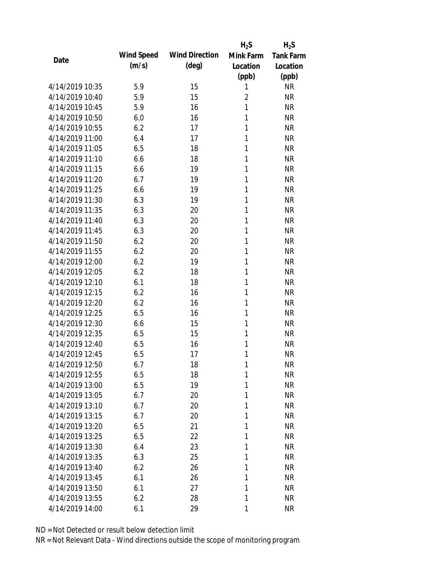|                 |            |                       | $H_2S$         | $H_2S$           |
|-----------------|------------|-----------------------|----------------|------------------|
| Date            | Wind Speed | <b>Wind Direction</b> | Mink Farm      | <b>Tank Farm</b> |
|                 | (m/s)      | $(\text{deg})$        | Location       | Location         |
|                 |            |                       | (ppb)          | (ppb)            |
| 4/14/2019 10:35 | 5.9        | 15                    | 1              | <b>NR</b>        |
| 4/14/2019 10:40 | 5.9        | 15                    | $\overline{2}$ | <b>NR</b>        |
| 4/14/2019 10:45 | 5.9        | 16                    | 1              | <b>NR</b>        |
| 4/14/2019 10:50 | 6.0        | 16                    | 1              | <b>NR</b>        |
| 4/14/2019 10:55 | 6.2        | 17                    | 1              | <b>NR</b>        |
| 4/14/2019 11:00 | 6.4        | 17                    | 1              | <b>NR</b>        |
| 4/14/2019 11:05 | 6.5        | 18                    | 1              | <b>NR</b>        |
| 4/14/2019 11:10 | 6.6        | 18                    | 1              | <b>NR</b>        |
| 4/14/2019 11:15 | 6.6        | 19                    | 1              | <b>NR</b>        |
| 4/14/2019 11:20 | 6.7        | 19                    | 1              | <b>NR</b>        |
| 4/14/2019 11:25 | 6.6        | 19                    | 1              | <b>NR</b>        |
| 4/14/2019 11:30 | 6.3        | 19                    | 1              | <b>NR</b>        |
| 4/14/2019 11:35 | 6.3        | 20                    | 1              | <b>NR</b>        |
| 4/14/2019 11:40 | 6.3        | 20                    | 1              | <b>NR</b>        |
| 4/14/2019 11:45 | 6.3        | 20                    | 1              | <b>NR</b>        |
| 4/14/2019 11:50 | 6.2        | 20                    | 1              | <b>NR</b>        |
| 4/14/2019 11:55 | 6.2        | 20                    | 1              | <b>NR</b>        |
| 4/14/2019 12:00 | 6.2        | 19                    | 1              | <b>NR</b>        |
| 4/14/2019 12:05 | 6.2        | 18                    | 1              | <b>NR</b>        |
| 4/14/2019 12:10 | 6.1        | 18                    | 1              | <b>NR</b>        |
| 4/14/2019 12:15 | 6.2        | 16                    | 1              | <b>NR</b>        |
| 4/14/2019 12:20 | 6.2        | 16                    | 1              | <b>NR</b>        |
| 4/14/2019 12:25 | 6.5        | 16                    | 1              | <b>NR</b>        |
| 4/14/2019 12:30 | 6.6        | 15                    | 1              | <b>NR</b>        |
| 4/14/2019 12:35 | 6.5        | 15                    | 1              | <b>NR</b>        |
| 4/14/2019 12:40 | 6.5        | 16                    | 1              | <b>NR</b>        |
| 4/14/2019 12:45 | 6.5        | 17                    | 1              | <b>NR</b>        |
| 4/14/2019 12:50 | 6.7        | 18                    | 1              | <b>NR</b>        |
| 4/14/2019 12:55 | 6.5        | 18                    | 1              | <b>NR</b>        |
| 4/14/2019 13:00 | 6.5        | 19                    | 1              | <b>NR</b>        |
| 4/14/2019 13:05 | 6.7        | 20                    | 1              | <b>NR</b>        |
| 4/14/2019 13:10 | 6.7        | 20                    | 1              | <b>NR</b>        |
| 4/14/2019 13:15 | 6.7        | 20                    | 1              | <b>NR</b>        |
| 4/14/2019 13:20 | 6.5        | 21                    | 1              | <b>NR</b>        |
| 4/14/2019 13:25 | 6.5        | 22                    | 1              | <b>NR</b>        |
| 4/14/2019 13:30 | 6.4        | 23                    | 1              | <b>NR</b>        |
| 4/14/2019 13:35 | 6.3        | 25                    | 1              | <b>NR</b>        |
| 4/14/2019 13:40 | 6.2        | 26                    | 1              | <b>NR</b>        |
| 4/14/2019 13:45 | 6.1        | 26                    | 1              | <b>NR</b>        |
| 4/14/2019 13:50 | 6.1        | 27                    | 1              | <b>NR</b>        |
| 4/14/2019 13:55 | 6.2        | 28                    | 1              | <b>NR</b>        |
|                 |            |                       |                |                  |
| 4/14/2019 14:00 | 6.1        | 29                    | 1              | <b>NR</b>        |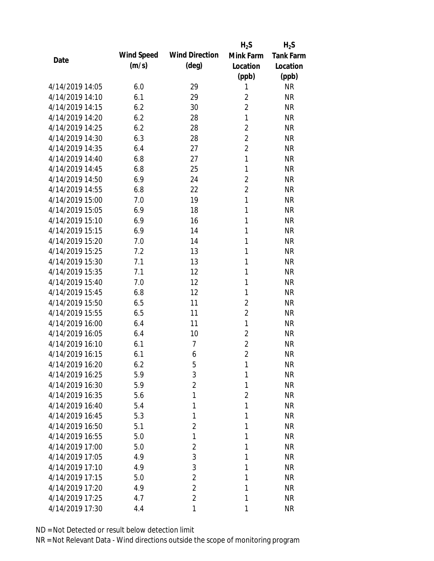|                 |            |                       | $H_2S$         | $H_2S$           |
|-----------------|------------|-----------------------|----------------|------------------|
| Date            | Wind Speed | <b>Wind Direction</b> | Mink Farm      | <b>Tank Farm</b> |
|                 | (m/s)      | $(\text{deg})$        | Location       | Location         |
|                 |            |                       | (ppb)          | (ppb)            |
| 4/14/2019 14:05 | 6.0        | 29                    | 1              | <b>NR</b>        |
| 4/14/2019 14:10 | 6.1        | 29                    | $\overline{2}$ | <b>NR</b>        |
| 4/14/2019 14:15 | 6.2        | 30                    | $\overline{2}$ | <b>NR</b>        |
| 4/14/2019 14:20 | 6.2        | 28                    | $\mathbf{1}$   | <b>NR</b>        |
| 4/14/2019 14:25 | 6.2        | 28                    | $\overline{2}$ | <b>NR</b>        |
| 4/14/2019 14:30 | 6.3        | 28                    | $\overline{2}$ | <b>NR</b>        |
| 4/14/2019 14:35 | 6.4        | 27                    | $\overline{2}$ | <b>NR</b>        |
| 4/14/2019 14:40 | 6.8        | 27                    | $\mathbf{1}$   | <b>NR</b>        |
| 4/14/2019 14:45 | 6.8        | 25                    | 1              | <b>NR</b>        |
| 4/14/2019 14:50 | 6.9        | 24                    | $\overline{2}$ | <b>NR</b>        |
| 4/14/2019 14:55 | 6.8        | 22                    | $\overline{2}$ | <b>NR</b>        |
| 4/14/2019 15:00 | 7.0        | 19                    | $\mathbf{1}$   | <b>NR</b>        |
| 4/14/2019 15:05 | 6.9        | 18                    | 1              | <b>NR</b>        |
| 4/14/2019 15:10 | 6.9        | 16                    | 1              | <b>NR</b>        |
| 4/14/2019 15:15 | 6.9        | 14                    | 1              | <b>NR</b>        |
| 4/14/2019 15:20 | 7.0        | 14                    | 1              | <b>NR</b>        |
| 4/14/2019 15:25 | 7.2        | 13                    | 1              | <b>NR</b>        |
| 4/14/2019 15:30 | 7.1        | 13                    | 1              | <b>NR</b>        |
| 4/14/2019 15:35 | 7.1        | 12                    | $\mathbf{1}$   | <b>NR</b>        |
| 4/14/2019 15:40 | 7.0        | 12                    | 1              | <b>NR</b>        |
| 4/14/2019 15:45 | 6.8        | 12                    | 1              | <b>NR</b>        |
| 4/14/2019 15:50 | 6.5        | 11                    | $\overline{2}$ | <b>NR</b>        |
| 4/14/2019 15:55 | 6.5        | 11                    | $\overline{2}$ | <b>NR</b>        |
| 4/14/2019 16:00 | 6.4        | 11                    | $\mathbf{1}$   | <b>NR</b>        |
| 4/14/2019 16:05 | 6.4        | 10                    | $\overline{2}$ | <b>NR</b>        |
| 4/14/2019 16:10 | 6.1        | $\overline{7}$        | $\overline{2}$ | <b>NR</b>        |
| 4/14/2019 16:15 | 6.1        | 6                     | $\overline{2}$ | <b>NR</b>        |
| 4/14/2019 16:20 | 6.2        | 5                     | 1              | <b>NR</b>        |
| 4/14/2019 16:25 | 5.9        | 3                     | 1              | <b>NR</b>        |
| 4/14/2019 16:30 | 5.9        | $\overline{2}$        | 1              | <b>NR</b>        |
| 4/14/2019 16:35 | 5.6        | 1                     | $\overline{2}$ | <b>NR</b>        |
| 4/14/2019 16:40 | 5.4        | 1                     | 1              | <b>NR</b>        |
| 4/14/2019 16:45 | 5.3        | 1                     | 1              | <b>NR</b>        |
| 4/14/2019 16:50 | 5.1        | $\overline{2}$        | 1              | <b>NR</b>        |
| 4/14/2019 16:55 | 5.0        | 1                     | 1              | <b>NR</b>        |
| 4/14/2019 17:00 | 5.0        | $\overline{2}$        | 1              | <b>NR</b>        |
| 4/14/2019 17:05 | 4.9        | 3                     | 1              | <b>NR</b>        |
| 4/14/2019 17:10 | 4.9        | 3                     | 1              | <b>NR</b>        |
| 4/14/2019 17:15 | 5.0        | $\overline{2}$        | 1              | <b>NR</b>        |
| 4/14/2019 17:20 | 4.9        | $\overline{2}$        | 1              | <b>NR</b>        |
| 4/14/2019 17:25 | 4.7        | $\overline{2}$        | 1              | <b>NR</b>        |
|                 |            | 1                     |                |                  |
| 4/14/2019 17:30 | 4.4        |                       | 1              | <b>NR</b>        |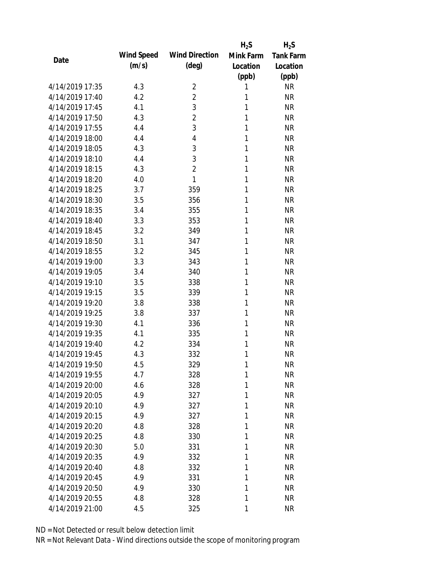|                 |            |                       | $H_2S$       | $H_2S$           |
|-----------------|------------|-----------------------|--------------|------------------|
| Date            | Wind Speed | <b>Wind Direction</b> | Mink Farm    | <b>Tank Farm</b> |
|                 | (m/s)      | $(\text{deg})$        | Location     | Location         |
|                 |            |                       | (ppb)        | (ppb)            |
| 4/14/2019 17:35 | 4.3        | 2                     | 1            | <b>NR</b>        |
| 4/14/2019 17:40 | 4.2        | $\overline{2}$        | 1            | <b>NR</b>        |
| 4/14/2019 17:45 | 4.1        | 3                     | 1            | <b>NR</b>        |
| 4/14/2019 17:50 | 4.3        | $\overline{2}$        | 1            | <b>NR</b>        |
| 4/14/2019 17:55 | 4.4        | 3                     | $\mathbf{1}$ | <b>NR</b>        |
| 4/14/2019 18:00 | 4.4        | 4                     | 1            | <b>NR</b>        |
| 4/14/2019 18:05 | 4.3        | 3                     | 1            | <b>NR</b>        |
| 4/14/2019 18:10 | 4.4        | 3                     | 1            | <b>NR</b>        |
| 4/14/2019 18:15 | 4.3        | $\overline{2}$        | 1            | <b>NR</b>        |
| 4/14/2019 18:20 | 4.0        | 1                     | 1            | <b>NR</b>        |
| 4/14/2019 18:25 | 3.7        | 359                   | 1            | <b>NR</b>        |
| 4/14/2019 18:30 | 3.5        | 356                   | 1            | <b>NR</b>        |
| 4/14/2019 18:35 | 3.4        | 355                   | 1            | <b>NR</b>        |
| 4/14/2019 18:40 | 3.3        | 353                   | 1            | <b>NR</b>        |
| 4/14/2019 18:45 | 3.2        | 349                   | 1            | <b>NR</b>        |
| 4/14/2019 18:50 | 3.1        | 347                   | 1            | <b>NR</b>        |
| 4/14/2019 18:55 | 3.2        | 345                   | 1            | <b>NR</b>        |
| 4/14/2019 19:00 | 3.3        | 343                   | 1            | <b>NR</b>        |
| 4/14/2019 19:05 | 3.4        | 340                   | 1            | <b>NR</b>        |
| 4/14/2019 19:10 | 3.5        | 338                   | 1            | <b>NR</b>        |
| 4/14/2019 19:15 | 3.5        | 339                   | 1            | <b>NR</b>        |
| 4/14/2019 19:20 | 3.8        | 338                   | 1            | <b>NR</b>        |
| 4/14/2019 19:25 | 3.8        | 337                   | 1            | <b>NR</b>        |
| 4/14/2019 19:30 | 4.1        | 336                   | 1            | <b>NR</b>        |
| 4/14/2019 19:35 | 4.1        | 335                   | 1            | <b>NR</b>        |
| 4/14/2019 19:40 | 4.2        | 334                   | 1            | <b>NR</b>        |
| 4/14/2019 19:45 | 4.3        | 332                   | 1            | <b>NR</b>        |
| 4/14/2019 19:50 | 4.5        | 329                   | 1            | <b>NR</b>        |
| 4/14/2019 19:55 | 4.7        | 328                   | 1            | <b>NR</b>        |
| 4/14/2019 20:00 | 4.6        | 328                   | 1            | <b>NR</b>        |
| 4/14/2019 20:05 | 4.9        | 327                   | 1            | <b>NR</b>        |
| 4/14/2019 20:10 | 4.9        | 327                   | 1            | <b>NR</b>        |
| 4/14/2019 20:15 | 4.9        | 327                   | 1            | <b>NR</b>        |
| 4/14/2019 20:20 | 4.8        | 328                   | 1            | <b>NR</b>        |
| 4/14/2019 20:25 | 4.8        | 330                   | 1            | <b>NR</b>        |
| 4/14/2019 20:30 | 5.0        | 331                   | 1            | <b>NR</b>        |
| 4/14/2019 20:35 | 4.9        | 332                   | 1            | <b>NR</b>        |
| 4/14/2019 20:40 | 4.8        | 332                   | 1            | <b>NR</b>        |
| 4/14/2019 20:45 | 4.9        | 331                   | 1            | <b>NR</b>        |
| 4/14/2019 20:50 | 4.9        | 330                   | 1            | <b>NR</b>        |
| 4/14/2019 20:55 | 4.8        | 328                   | 1            | <b>NR</b>        |
| 4/14/2019 21:00 | 4.5        | 325                   | 1            | <b>NR</b>        |
|                 |            |                       |              |                  |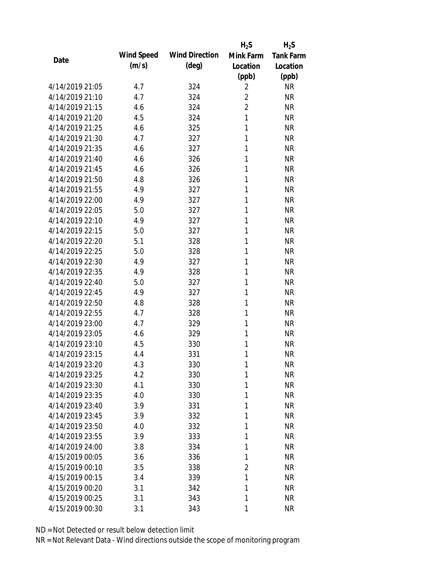|                 |            |                       | $H_2S$         | $H_2S$           |
|-----------------|------------|-----------------------|----------------|------------------|
| Date            | Wind Speed | <b>Wind Direction</b> | Mink Farm      | <b>Tank Farm</b> |
|                 | (m/s)      | $(\text{deg})$        | Location       | Location         |
|                 |            |                       | (ppb)          | (ppb)            |
| 4/14/2019 21:05 | 4.7        | 324                   | $\overline{2}$ | <b>NR</b>        |
| 4/14/2019 21:10 | 4.7        | 324                   | $\overline{2}$ | <b>NR</b>        |
| 4/14/2019 21:15 | 4.6        | 324                   | $\overline{2}$ | <b>NR</b>        |
| 4/14/2019 21:20 | 4.5        | 324                   | 1              | <b>NR</b>        |
| 4/14/2019 21:25 | 4.6        | 325                   | 1              | <b>NR</b>        |
| 4/14/2019 21:30 | 4.7        | 327                   | 1              | <b>NR</b>        |
| 4/14/2019 21:35 | 4.6        | 327                   | 1              | <b>NR</b>        |
| 4/14/2019 21:40 | 4.6        | 326                   | 1              | <b>NR</b>        |
| 4/14/2019 21:45 | 4.6        | 326                   | 1              | <b>NR</b>        |
| 4/14/2019 21:50 | 4.8        | 326                   | 1              | <b>NR</b>        |
| 4/14/2019 21:55 | 4.9        | 327                   | 1              | <b>NR</b>        |
| 4/14/2019 22:00 | 4.9        | 327                   | 1              | <b>NR</b>        |
| 4/14/2019 22:05 | 5.0        | 327                   | 1              | <b>NR</b>        |
| 4/14/2019 22:10 | 4.9        | 327                   | 1              | <b>NR</b>        |
| 4/14/2019 22:15 | 5.0        | 327                   | 1              | <b>NR</b>        |
| 4/14/2019 22:20 | 5.1        | 328                   | 1              | <b>NR</b>        |
| 4/14/2019 22:25 | 5.0        | 328                   | 1              | <b>NR</b>        |
| 4/14/2019 22:30 | 4.9        | 327                   | 1              | <b>NR</b>        |
| 4/14/2019 22:35 | 4.9        | 328                   | 1              | <b>NR</b>        |
| 4/14/2019 22:40 | 5.0        | 327                   | 1              | <b>NR</b>        |
| 4/14/2019 22:45 | 4.9        | 327                   | 1              | <b>NR</b>        |
| 4/14/2019 22:50 | 4.8        | 328                   | 1              | <b>NR</b>        |
| 4/14/2019 22:55 | 4.7        | 328                   | 1              | <b>NR</b>        |
| 4/14/2019 23:00 | 4.7        | 329                   | 1              | <b>NR</b>        |
| 4/14/2019 23:05 | 4.6        | 329                   | 1              | <b>NR</b>        |
| 4/14/2019 23:10 | 4.5        | 330                   | 1              | <b>NR</b>        |
| 4/14/2019 23:15 | 4.4        | 331                   | 1              | <b>NR</b>        |
| 4/14/2019 23:20 | 4.3        | 330                   | 1              | <b>NR</b>        |
| 4/14/2019 23:25 | 4.2        | 330                   | 1              | <b>NR</b>        |
| 4/14/2019 23:30 | 4.1        | 330                   | 1              | <b>NR</b>        |
| 4/14/2019 23:35 | 4.0        | 330                   | 1              | <b>NR</b>        |
| 4/14/2019 23:40 | 3.9        | 331                   | 1              | <b>NR</b>        |
| 4/14/2019 23:45 | 3.9        | 332                   | 1              | <b>NR</b>        |
| 4/14/2019 23:50 | 4.0        | 332                   | 1              | <b>NR</b>        |
| 4/14/2019 23:55 | 3.9        | 333                   | 1              | <b>NR</b>        |
| 4/14/2019 24:00 | 3.8        | 334                   | 1              | <b>NR</b>        |
| 4/15/2019 00:05 | 3.6        | 336                   | 1              | <b>NR</b>        |
| 4/15/2019 00:10 | 3.5        | 338                   | 2              | <b>NR</b>        |
| 4/15/2019 00:15 | 3.4        | 339                   | 1              | <b>NR</b>        |
| 4/15/2019 00:20 | 3.1        | 342                   | 1              | <b>NR</b>        |
| 4/15/2019 00:25 | 3.1        | 343                   | 1              | <b>NR</b>        |
| 4/15/2019 00:30 | 3.1        | 343                   | 1              | <b>NR</b>        |
|                 |            |                       |                |                  |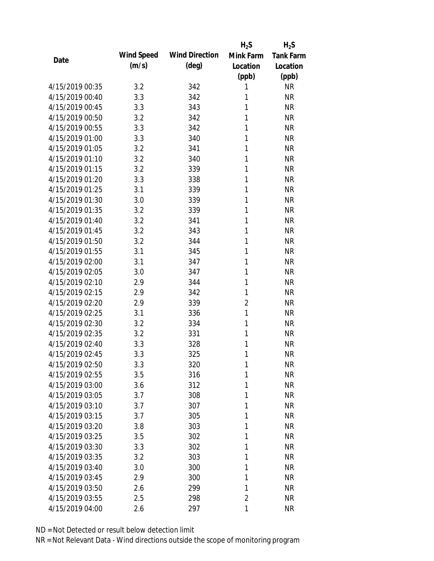|                 |            |                       | $H_2S$         | $H_2S$           |
|-----------------|------------|-----------------------|----------------|------------------|
| Date            | Wind Speed | <b>Wind Direction</b> | Mink Farm      | <b>Tank Farm</b> |
|                 | (m/s)      | $(\text{deg})$        | Location       | Location         |
|                 |            |                       | (ppb)          | (ppb)            |
| 4/15/2019 00:35 | 3.2        | 342                   | 1              | <b>NR</b>        |
| 4/15/2019 00:40 | 3.3        | 342                   | 1              | <b>NR</b>        |
| 4/15/2019 00:45 | 3.3        | 343                   | 1              | <b>NR</b>        |
| 4/15/2019 00:50 | 3.2        | 342                   | 1              | <b>NR</b>        |
| 4/15/2019 00:55 | 3.3        | 342                   | 1              | <b>NR</b>        |
| 4/15/2019 01:00 | 3.3        | 340                   | 1              | <b>NR</b>        |
| 4/15/2019 01:05 | 3.2        | 341                   | 1              | <b>NR</b>        |
| 4/15/2019 01:10 | 3.2        | 340                   | 1              | <b>NR</b>        |
| 4/15/2019 01:15 | 3.2        | 339                   | 1              | <b>NR</b>        |
| 4/15/2019 01:20 | 3.3        | 338                   | 1              | <b>NR</b>        |
| 4/15/2019 01:25 | 3.1        | 339                   | 1              | <b>NR</b>        |
| 4/15/2019 01:30 | 3.0        | 339                   | 1              | <b>NR</b>        |
| 4/15/2019 01:35 | 3.2        | 339                   | 1              | <b>NR</b>        |
| 4/15/2019 01:40 | 3.2        | 341                   | 1              | <b>NR</b>        |
| 4/15/2019 01:45 | 3.2        | 343                   | 1              | <b>NR</b>        |
| 4/15/2019 01:50 | 3.2        | 344                   | 1              | <b>NR</b>        |
| 4/15/2019 01:55 | 3.1        | 345                   | 1              | <b>NR</b>        |
| 4/15/2019 02:00 | 3.1        | 347                   | 1              | <b>NR</b>        |
| 4/15/2019 02:05 | 3.0        | 347                   | 1              | <b>NR</b>        |
| 4/15/2019 02:10 | 2.9        | 344                   | 1              | <b>NR</b>        |
| 4/15/2019 02:15 | 2.9        | 342                   | 1              | <b>NR</b>        |
| 4/15/2019 02:20 | 2.9        | 339                   | $\overline{2}$ | <b>NR</b>        |
| 4/15/2019 02:25 | 3.1        | 336                   | 1              | <b>NR</b>        |
| 4/15/2019 02:30 | 3.2        | 334                   | 1              | <b>NR</b>        |
| 4/15/2019 02:35 | 3.2        | 331                   | 1              | <b>NR</b>        |
| 4/15/2019 02:40 | 3.3        | 328                   | 1              | <b>NR</b>        |
| 4/15/2019 02:45 | 3.3        | 325                   | 1              | <b>NR</b>        |
| 4/15/2019 02:50 | 3.3        | 320                   | 1              | <b>NR</b>        |
| 4/15/2019 02:55 | 3.5        | 316                   | 1              | <b>NR</b>        |
| 4/15/2019 03:00 | 3.6        | 312                   | 1              | <b>NR</b>        |
| 4/15/2019 03:05 | 3.7        | 308                   | 1              | <b>NR</b>        |
| 4/15/2019 03:10 | 3.7        | 307                   | 1              | <b>NR</b>        |
| 4/15/2019 03:15 | 3.7        | 305                   | 1              | <b>NR</b>        |
| 4/15/2019 03:20 | 3.8        | 303                   | 1              | <b>NR</b>        |
| 4/15/2019 03:25 | 3.5        | 302                   | 1              | <b>NR</b>        |
| 4/15/2019 03:30 | 3.3        | 302                   | 1              | <b>NR</b>        |
| 4/15/2019 03:35 | 3.2        | 303                   | 1              | <b>NR</b>        |
| 4/15/2019 03:40 | 3.0        | 300                   | 1              | <b>NR</b>        |
| 4/15/2019 03:45 | 2.9        | 300                   | 1              | <b>NR</b>        |
| 4/15/2019 03:50 | 2.6        | 299                   | 1              | <b>NR</b>        |
| 4/15/2019 03:55 | 2.5        | 298                   | 2              | <b>NR</b>        |
| 4/15/2019 04:00 | 2.6        | 297                   | 1              | <b>NR</b>        |
|                 |            |                       |                |                  |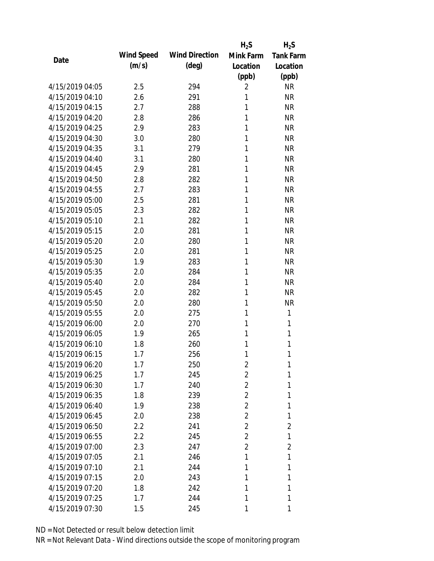|                 |            |                       | $H_2S$         | $H_2S$           |
|-----------------|------------|-----------------------|----------------|------------------|
| Date            | Wind Speed | <b>Wind Direction</b> | Mink Farm      | <b>Tank Farm</b> |
|                 | (m/s)      | $(\text{deg})$        | Location       | Location         |
|                 |            |                       | (ppb)          | (ppb)            |
| 4/15/2019 04:05 | 2.5        | 294                   | $\overline{2}$ | <b>NR</b>        |
| 4/15/2019 04:10 | 2.6        | 291                   | 1              | <b>NR</b>        |
| 4/15/2019 04:15 | 2.7        | 288                   | 1              | <b>NR</b>        |
| 4/15/2019 04:20 | 2.8        | 286                   | 1              | <b>NR</b>        |
| 4/15/2019 04:25 | 2.9        | 283                   | 1              | <b>NR</b>        |
| 4/15/2019 04:30 | 3.0        | 280                   | 1              | <b>NR</b>        |
| 4/15/2019 04:35 | 3.1        | 279                   | 1              | <b>NR</b>        |
| 4/15/2019 04:40 | 3.1        | 280                   | 1              | <b>NR</b>        |
| 4/15/2019 04:45 | 2.9        | 281                   | 1              | <b>NR</b>        |
| 4/15/2019 04:50 | 2.8        | 282                   | 1              | <b>NR</b>        |
| 4/15/2019 04:55 | 2.7        | 283                   | 1              | <b>NR</b>        |
| 4/15/2019 05:00 | 2.5        | 281                   | 1              | <b>NR</b>        |
| 4/15/2019 05:05 | 2.3        | 282                   | 1              | <b>NR</b>        |
| 4/15/2019 05:10 | 2.1        | 282                   | 1              | <b>NR</b>        |
| 4/15/2019 05:15 | 2.0        | 281                   | 1              | <b>NR</b>        |
| 4/15/2019 05:20 | 2.0        | 280                   | 1              | <b>NR</b>        |
| 4/15/2019 05:25 | 2.0        | 281                   | 1              | <b>NR</b>        |
| 4/15/2019 05:30 | 1.9        | 283                   | 1              | <b>NR</b>        |
| 4/15/2019 05:35 | 2.0        | 284                   | 1              | <b>NR</b>        |
| 4/15/2019 05:40 | 2.0        | 284                   | 1              | <b>NR</b>        |
| 4/15/2019 05:45 | 2.0        | 282                   | 1              | <b>NR</b>        |
| 4/15/2019 05:50 | 2.0        | 280                   | 1              | <b>NR</b>        |
| 4/15/2019 05:55 | 2.0        | 275                   | 1              | 1                |
| 4/15/2019 06:00 | 2.0        | 270                   | 1              | 1                |
| 4/15/2019 06:05 | 1.9        | 265                   | 1              | 1                |
| 4/15/2019 06:10 | 1.8        | 260                   | 1              | 1                |
| 4/15/2019 06:15 | 1.7        | 256                   | 1              | 1                |
| 4/15/2019 06:20 | 1.7        | 250                   | $\overline{2}$ | 1                |
| 4/15/2019 06:25 | 1.7        | 245                   | $\overline{2}$ | 1                |
| 4/15/2019 06:30 | 1.7        | 240                   | $\overline{2}$ | 1                |
| 4/15/2019 06:35 | 1.8        | 239                   | $\overline{2}$ | 1                |
| 4/15/2019 06:40 | 1.9        | 238                   | $\overline{2}$ | 1                |
| 4/15/2019 06:45 | 2.0        | 238                   | $\overline{2}$ | 1                |
| 4/15/2019 06:50 | 2.2        | 241                   | $\overline{2}$ | 2                |
| 4/15/2019 06:55 | 2.2        | 245                   | $\overline{2}$ | 1                |
| 4/15/2019 07:00 | 2.3        | 247                   | $\overline{2}$ | $\overline{2}$   |
| 4/15/2019 07:05 | 2.1        | 246                   | 1              | 1                |
| 4/15/2019 07:10 | 2.1        | 244                   | 1              | 1                |
| 4/15/2019 07:15 | 2.0        | 243                   | 1              | 1                |
| 4/15/2019 07:20 | 1.8        | 242                   | 1              | 1                |
| 4/15/2019 07:25 | 1.7        | 244                   | 1              | 1                |
| 4/15/2019 07:30 | 1.5        | 245                   | 1              | 1                |
|                 |            |                       |                |                  |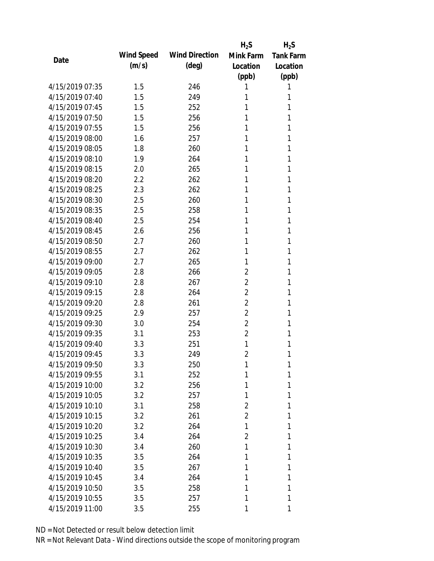|                 |            |                       | $H_2S$         | $H_2S$           |
|-----------------|------------|-----------------------|----------------|------------------|
| Date            | Wind Speed | <b>Wind Direction</b> | Mink Farm      | <b>Tank Farm</b> |
|                 | (m/s)      | $(\text{deg})$        | Location       | Location         |
|                 |            |                       | (ppb)          | (ppb)            |
| 4/15/2019 07:35 | 1.5        | 246                   | 1              | 1                |
| 4/15/2019 07:40 | 1.5        | 249                   | 1              | 1                |
| 4/15/2019 07:45 | 1.5        | 252                   | 1              | 1                |
| 4/15/2019 07:50 | 1.5        | 256                   | 1              | 1                |
| 4/15/2019 07:55 | 1.5        | 256                   | 1              | 1                |
| 4/15/2019 08:00 | 1.6        | 257                   | 1              | 1                |
| 4/15/2019 08:05 | 1.8        | 260                   | 1              | 1                |
| 4/15/2019 08:10 | 1.9        | 264                   | 1              | 1                |
| 4/15/2019 08:15 | 2.0        | 265                   | 1              | 1                |
| 4/15/2019 08:20 | 2.2        | 262                   | 1              | 1                |
| 4/15/2019 08:25 | 2.3        | 262                   | 1              | 1                |
| 4/15/2019 08:30 | 2.5        | 260                   | 1              | 1                |
| 4/15/2019 08:35 | 2.5        | 258                   | 1              | 1                |
| 4/15/2019 08:40 | 2.5        | 254                   | 1              | 1                |
| 4/15/2019 08:45 | 2.6        | 256                   | 1              | 1                |
| 4/15/2019 08:50 | 2.7        | 260                   | 1              | 1                |
| 4/15/2019 08:55 | 2.7        | 262                   | 1              | 1                |
| 4/15/2019 09:00 | 2.7        | 265                   | 1              | 1                |
| 4/15/2019 09:05 | 2.8        | 266                   | $\overline{2}$ | 1                |
| 4/15/2019 09:10 | 2.8        | 267                   | $\overline{2}$ | 1                |
| 4/15/2019 09:15 | 2.8        | 264                   | $\overline{2}$ | 1                |
| 4/15/2019 09:20 | 2.8        | 261                   | 2              | 1                |
| 4/15/2019 09:25 | 2.9        | 257                   | $\overline{2}$ | 1                |
| 4/15/2019 09:30 | 3.0        | 254                   | 2              | 1                |
| 4/15/2019 09:35 | 3.1        | 253                   | $\overline{2}$ | 1                |
| 4/15/2019 09:40 | 3.3        | 251                   | 1              | 1                |
| 4/15/2019 09:45 | 3.3        | 249                   | $\overline{2}$ | 1                |
| 4/15/2019 09:50 | 3.3        | 250                   | 1              | 1                |
| 4/15/2019 09:55 | 3.1        | 252                   | 1              | 1                |
| 4/15/2019 10:00 | 3.2        | 256                   | 1              | 1                |
| 4/15/2019 10:05 | 3.2        | 257                   | 1              | 1                |
| 4/15/2019 10:10 | 3.1        | 258                   | 2              | 1                |
| 4/15/2019 10:15 | 3.2        | 261                   | 2              | 1                |
| 4/15/2019 10:20 | 3.2        | 264                   | 1              | 1                |
| 4/15/2019 10:25 | 3.4        | 264                   | 2              | 1                |
| 4/15/2019 10:30 | 3.4        | 260                   | 1              | 1                |
| 4/15/2019 10:35 | 3.5        | 264                   | 1              | 1                |
| 4/15/2019 10:40 | 3.5        | 267                   | 1              | 1                |
| 4/15/2019 10:45 | 3.4        | 264                   | 1              | 1                |
| 4/15/2019 10:50 | 3.5        | 258                   | 1              | 1                |
| 4/15/2019 10:55 | 3.5        | 257                   | 1              | 1                |
| 4/15/2019 11:00 | 3.5        | 255                   | 1              | 1                |
|                 |            |                       |                |                  |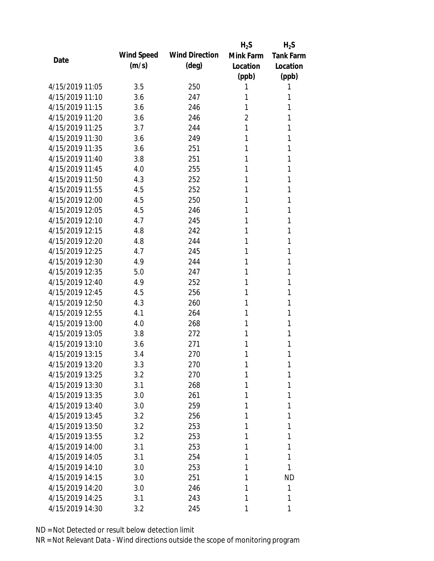|                 |            |                       | $H_2S$         | $H_2S$           |
|-----------------|------------|-----------------------|----------------|------------------|
| Date            | Wind Speed | <b>Wind Direction</b> | Mink Farm      | <b>Tank Farm</b> |
|                 | (m/s)      | $(\text{deg})$        | Location       | Location         |
|                 |            |                       | (ppb)          | (ppb)            |
| 4/15/2019 11:05 | 3.5        | 250                   | 1              | 1                |
| 4/15/2019 11:10 | 3.6        | 247                   | 1              | 1                |
| 4/15/2019 11:15 | 3.6        | 246                   | 1              | 1                |
| 4/15/2019 11:20 | 3.6        | 246                   | $\overline{2}$ | 1                |
| 4/15/2019 11:25 | 3.7        | 244                   | 1              | 1                |
| 4/15/2019 11:30 | 3.6        | 249                   | 1              | 1                |
| 4/15/2019 11:35 | 3.6        | 251                   | 1              | 1                |
| 4/15/2019 11:40 | 3.8        | 251                   | 1              | 1                |
| 4/15/2019 11:45 | 4.0        | 255                   | 1              | 1                |
| 4/15/2019 11:50 | 4.3        | 252                   | 1              | 1                |
| 4/15/2019 11:55 | 4.5        | 252                   | 1              | 1                |
| 4/15/2019 12:00 | 4.5        | 250                   | 1              | 1                |
| 4/15/2019 12:05 | 4.5        | 246                   | 1              | 1                |
| 4/15/2019 12:10 | 4.7        | 245                   | 1              | 1                |
| 4/15/2019 12:15 | 4.8        | 242                   | 1              | 1                |
| 4/15/2019 12:20 | 4.8        | 244                   | 1              | 1                |
| 4/15/2019 12:25 | 4.7        | 245                   | 1              | 1                |
| 4/15/2019 12:30 | 4.9        | 244                   | 1              | 1                |
| 4/15/2019 12:35 | 5.0        | 247                   | 1              | 1                |
| 4/15/2019 12:40 | 4.9        | 252                   | 1              | 1                |
| 4/15/2019 12:45 | 4.5        | 256                   | 1              | 1                |
| 4/15/2019 12:50 | 4.3        | 260                   | 1              | 1                |
| 4/15/2019 12:55 | 4.1        | 264                   | 1              | 1                |
| 4/15/2019 13:00 | 4.0        | 268                   | 1              | 1                |
| 4/15/2019 13:05 | 3.8        | 272                   | 1              | 1                |
| 4/15/2019 13:10 | 3.6        | 271                   | 1              | 1                |
| 4/15/2019 13:15 | 3.4        | 270                   | 1              | 1                |
| 4/15/2019 13:20 | 3.3        | 270                   | 1              | 1                |
| 4/15/2019 13:25 | 3.2        | 270                   | 1              | 1                |
| 4/15/2019 13:30 | 3.1        | 268                   | 1              | 1                |
| 4/15/2019 13:35 | 3.0        | 261                   | 1              | 1                |
| 4/15/2019 13:40 | 3.0        | 259                   | 1              | 1                |
| 4/15/2019 13:45 | 3.2        | 256                   | 1              | 1                |
| 4/15/2019 13:50 | 3.2        | 253                   | 1              | 1                |
| 4/15/2019 13:55 | 3.2        | 253                   | 1              | 1                |
| 4/15/2019 14:00 | 3.1        | 253                   | 1              | 1                |
| 4/15/2019 14:05 | 3.1        | 254                   | 1              | 1                |
| 4/15/2019 14:10 | 3.0        | 253                   | 1              | 1                |
| 4/15/2019 14:15 | 3.0        | 251                   | 1              | <b>ND</b>        |
| 4/15/2019 14:20 | 3.0        | 246                   | 1              | 1                |
| 4/15/2019 14:25 | 3.1        | 243                   | 1              | 1                |
| 4/15/2019 14:30 | 3.2        | 245                   | 1              | 1                |
|                 |            |                       |                |                  |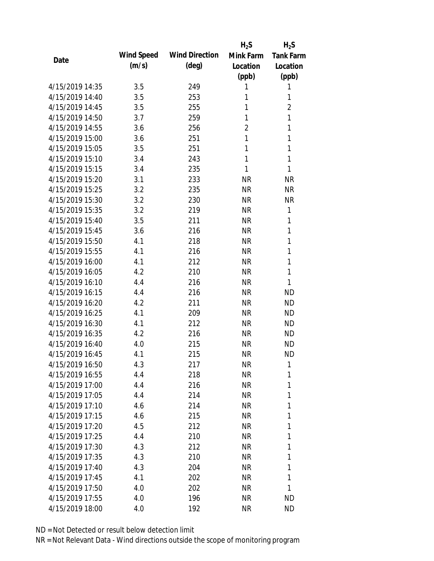|                 |            |                       | $H_2S$         | $H_2S$           |
|-----------------|------------|-----------------------|----------------|------------------|
| Date            | Wind Speed | <b>Wind Direction</b> | Mink Farm      | <b>Tank Farm</b> |
|                 | (m/s)      | $(\text{deg})$        | Location       | Location         |
|                 |            |                       | (ppb)          | (ppb)            |
| 4/15/2019 14:35 | 3.5        | 249                   | 1              | 1                |
| 4/15/2019 14:40 | 3.5        | 253                   | 1              | 1                |
| 4/15/2019 14:45 | 3.5        | 255                   | 1              | $\overline{2}$   |
| 4/15/2019 14:50 | 3.7        | 259                   | 1              | $\mathbf{1}$     |
| 4/15/2019 14:55 | 3.6        | 256                   | $\overline{2}$ | $\mathbf{1}$     |
| 4/15/2019 15:00 | 3.6        | 251                   | 1              | 1                |
| 4/15/2019 15:05 | 3.5        | 251                   | 1              | 1                |
| 4/15/2019 15:10 | 3.4        | 243                   | 1              | 1                |
| 4/15/2019 15:15 | 3.4        | 235                   | 1              | 1                |
| 4/15/2019 15:20 | 3.1        | 233                   | <b>NR</b>      | <b>NR</b>        |
| 4/15/2019 15:25 | 3.2        | 235                   | <b>NR</b>      | <b>NR</b>        |
| 4/15/2019 15:30 | 3.2        | 230                   | <b>NR</b>      | <b>NR</b>        |
| 4/15/2019 15:35 | 3.2        | 219                   | <b>NR</b>      | 1                |
| 4/15/2019 15:40 | 3.5        | 211                   | <b>NR</b>      | 1                |
| 4/15/2019 15:45 | 3.6        | 216                   | <b>NR</b>      | 1                |
| 4/15/2019 15:50 | 4.1        | 218                   | <b>NR</b>      | 1                |
| 4/15/2019 15:55 | 4.1        | 216                   | <b>NR</b>      | 1                |
| 4/15/2019 16:00 | 4.1        | 212                   | <b>NR</b>      | 1                |
| 4/15/2019 16:05 | 4.2        | 210                   | <b>NR</b>      | $\mathbf{1}$     |
| 4/15/2019 16:10 | 4.4        | 216                   | <b>NR</b>      | 1                |
| 4/15/2019 16:15 | 4.4        | 216                   | <b>NR</b>      | <b>ND</b>        |
| 4/15/2019 16:20 | 4.2        | 211                   | <b>NR</b>      | <b>ND</b>        |
| 4/15/2019 16:25 | 4.1        | 209                   | <b>NR</b>      | <b>ND</b>        |
| 4/15/2019 16:30 | 4.1        | 212                   | <b>NR</b>      | <b>ND</b>        |
| 4/15/2019 16:35 | 4.2        | 216                   | <b>NR</b>      | <b>ND</b>        |
| 4/15/2019 16:40 | 4.0        | 215                   | <b>NR</b>      | <b>ND</b>        |
| 4/15/2019 16:45 | 4.1        | 215                   | <b>NR</b>      | <b>ND</b>        |
| 4/15/2019 16:50 | 4.3        | 217                   | <b>NR</b>      | 1                |
| 4/15/2019 16:55 | 4.4        | 218                   | <b>NR</b>      | 1                |
| 4/15/2019 17:00 | 4.4        | 216                   | <b>NR</b>      | 1                |
| 4/15/2019 17:05 | 4.4        | 214                   | <b>NR</b>      | 1                |
| 4/15/2019 17:10 | 4.6        | 214                   | <b>NR</b>      | 1                |
| 4/15/2019 17:15 | 4.6        | 215                   | <b>NR</b>      | 1                |
| 4/15/2019 17:20 | 4.5        | 212                   | <b>NR</b>      | 1                |
| 4/15/2019 17:25 | 4.4        | 210                   | <b>NR</b>      | 1                |
| 4/15/2019 17:30 | 4.3        | 212                   | <b>NR</b>      | 1                |
| 4/15/2019 17:35 | 4.3        | 210                   | NR             | 1                |
| 4/15/2019 17:40 | 4.3        | 204                   | NR             | 1                |
| 4/15/2019 17:45 | 4.1        | 202                   | <b>NR</b>      | 1                |
| 4/15/2019 17:50 | 4.0        | 202                   | <b>NR</b>      | 1                |
| 4/15/2019 17:55 | 4.0        | 196                   | <b>NR</b>      | <b>ND</b>        |
| 4/15/2019 18:00 | 4.0        | 192                   | <b>NR</b>      | <b>ND</b>        |
|                 |            |                       |                |                  |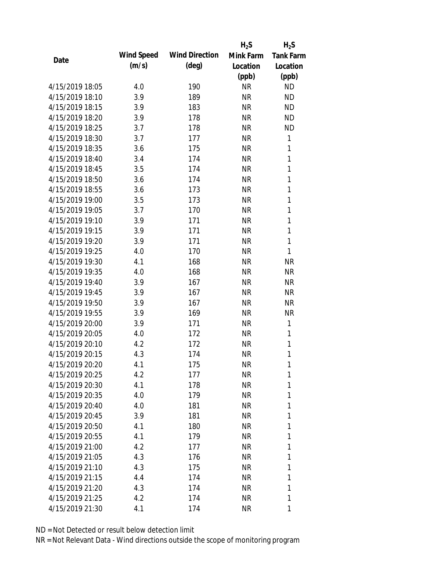|                 |            |                       | $H_2S$    | $H_2S$           |
|-----------------|------------|-----------------------|-----------|------------------|
|                 | Wind Speed | <b>Wind Direction</b> | Mink Farm | <b>Tank Farm</b> |
| Date            | (m/s)      | $(\text{deg})$        | Location  | Location         |
|                 |            |                       | (ppb)     | (ppb)            |
| 4/15/2019 18:05 | 4.0        | 190                   | <b>NR</b> | <b>ND</b>        |
| 4/15/2019 18:10 | 3.9        | 189                   | <b>NR</b> | <b>ND</b>        |
| 4/15/2019 18:15 | 3.9        | 183                   | <b>NR</b> | <b>ND</b>        |
| 4/15/2019 18:20 | 3.9        | 178                   | <b>NR</b> | <b>ND</b>        |
| 4/15/2019 18:25 | 3.7        | 178                   | <b>NR</b> | <b>ND</b>        |
| 4/15/2019 18:30 | 3.7        | 177                   | <b>NR</b> | 1                |
| 4/15/2019 18:35 | 3.6        | 175                   | <b>NR</b> | 1                |
| 4/15/2019 18:40 | 3.4        | 174                   | <b>NR</b> | $\mathbf{1}$     |
| 4/15/2019 18:45 | 3.5        | 174                   | <b>NR</b> | 1                |
| 4/15/2019 18:50 | 3.6        | 174                   | <b>NR</b> | 1                |
| 4/15/2019 18:55 | 3.6        | 173                   | <b>NR</b> | 1                |
| 4/15/2019 19:00 | 3.5        | 173                   | <b>NR</b> | $\mathbf{1}$     |
| 4/15/2019 19:05 | 3.7        | 170                   | <b>NR</b> | 1                |
| 4/15/2019 19:10 | 3.9        | 171                   | <b>NR</b> | $\mathbf{1}$     |
| 4/15/2019 19:15 | 3.9        | 171                   | <b>NR</b> | 1                |
| 4/15/2019 19:20 | 3.9        | 171                   | <b>NR</b> | 1                |
| 4/15/2019 19:25 | 4.0        | 170                   | <b>NR</b> | 1                |
| 4/15/2019 19:30 | 4.1        | 168                   | <b>NR</b> | <b>NR</b>        |
| 4/15/2019 19:35 | 4.0        | 168                   | <b>NR</b> | <b>NR</b>        |
| 4/15/2019 19:40 | 3.9        | 167                   | <b>NR</b> | <b>NR</b>        |
| 4/15/2019 19:45 | 3.9        | 167                   | <b>NR</b> | <b>NR</b>        |
| 4/15/2019 19:50 | 3.9        | 167                   | NR        | <b>NR</b>        |
| 4/15/2019 19:55 | 3.9        | 169                   | <b>NR</b> | <b>NR</b>        |
| 4/15/2019 20:00 | 3.9        | 171                   | <b>NR</b> | 1                |
| 4/15/2019 20:05 | 4.0        | 172                   | <b>NR</b> | 1                |
| 4/15/2019 20:10 | 4.2        | 172                   | <b>NR</b> | $\mathbf{1}$     |
| 4/15/2019 20:15 | 4.3        | 174                   | <b>NR</b> | 1                |
| 4/15/2019 20:20 | 4.1        | 175                   | <b>NR</b> | 1                |
| 4/15/2019 20:25 | 4.2        | 177                   | NR        | 1                |
| 4/15/2019 20:30 | 4.1        | 178                   | NR        | 1                |
| 4/15/2019 20:35 | 4.0        | 179                   | NR        | 1                |
| 4/15/2019 20:40 | 4.0        | 181                   | NR        | 1                |
| 4/15/2019 20:45 | 3.9        | 181                   | NR        | 1                |
| 4/15/2019 20:50 | 4.1        | 180                   | NR        | 1                |
| 4/15/2019 20:55 | 4.1        | 179                   | NR        | 1                |
| 4/15/2019 21:00 | 4.2        | 177                   | NR        | 1                |
| 4/15/2019 21:05 | 4.3        | 176                   | NR        | 1                |
| 4/15/2019 21:10 | 4.3        | 175                   | NR        | 1                |
| 4/15/2019 21:15 | 4.4        | 174                   | NR        | 1                |
| 4/15/2019 21:20 | 4.3        | 174                   | NR        | 1                |
| 4/15/2019 21:25 | 4.2        | 174                   | <b>NR</b> | 1                |
|                 |            |                       |           |                  |
| 4/15/2019 21:30 | 4.1        | 174                   | <b>NR</b> | 1                |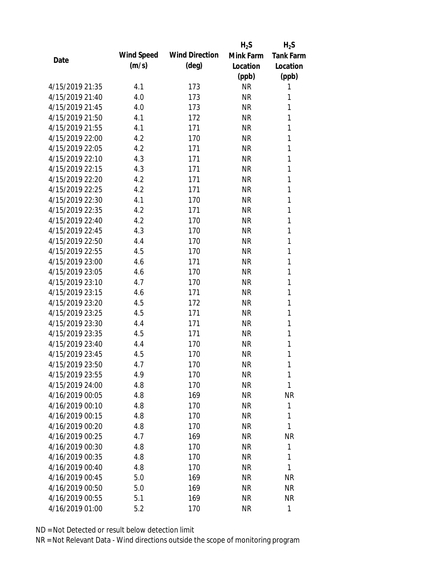|                 |            |                       | $H_2S$    | $H_2S$           |
|-----------------|------------|-----------------------|-----------|------------------|
| Date            | Wind Speed | <b>Wind Direction</b> | Mink Farm | <b>Tank Farm</b> |
|                 | (m/s)      | $(\text{deg})$        | Location  | Location         |
|                 |            |                       | (ppb)     | (ppb)            |
| 4/15/2019 21:35 | 4.1        | 173                   | <b>NR</b> | 1                |
| 4/15/2019 21:40 | 4.0        | 173                   | <b>NR</b> | 1                |
| 4/15/2019 21:45 | 4.0        | 173                   | <b>NR</b> | 1                |
| 4/15/2019 21:50 | 4.1        | 172                   | <b>NR</b> | 1                |
| 4/15/2019 21:55 | 4.1        | 171                   | <b>NR</b> | 1                |
| 4/15/2019 22:00 | 4.2        | 170                   | <b>NR</b> | 1                |
| 4/15/2019 22:05 | 4.2        | 171                   | <b>NR</b> | 1                |
| 4/15/2019 22:10 | 4.3        | 171                   | <b>NR</b> | 1                |
| 4/15/2019 22:15 | 4.3        | 171                   | <b>NR</b> | 1                |
| 4/15/2019 22:20 | 4.2        | 171                   | <b>NR</b> | 1                |
| 4/15/2019 22:25 | 4.2        | 171                   | <b>NR</b> | 1                |
| 4/15/2019 22:30 | 4.1        | 170                   | <b>NR</b> | 1                |
| 4/15/2019 22:35 | 4.2        | 171                   | <b>NR</b> | 1                |
| 4/15/2019 22:40 | 4.2        | 170                   | <b>NR</b> | 1                |
| 4/15/2019 22:45 | 4.3        | 170                   | <b>NR</b> | 1                |
| 4/15/2019 22:50 | 4.4        | 170                   | <b>NR</b> | 1                |
| 4/15/2019 22:55 | 4.5        | 170                   | <b>NR</b> | 1                |
| 4/15/2019 23:00 | 4.6        | 171                   | <b>NR</b> | 1                |
| 4/15/2019 23:05 | 4.6        | 170                   | <b>NR</b> | 1                |
| 4/15/2019 23:10 | 4.7        | 170                   | <b>NR</b> | 1                |
| 4/15/2019 23:15 | 4.6        | 171                   | <b>NR</b> | 1                |
| 4/15/2019 23:20 | 4.5        | 172                   | <b>NR</b> | 1                |
| 4/15/2019 23:25 | 4.5        | 171                   | <b>NR</b> | 1                |
| 4/15/2019 23:30 | 4.4        | 171                   | <b>NR</b> | 1                |
| 4/15/2019 23:35 | 4.5        | 171                   | <b>NR</b> | 1                |
| 4/15/2019 23:40 | 4.4        | 170                   | <b>NR</b> | 1                |
| 4/15/2019 23:45 | 4.5        | 170                   | <b>NR</b> | 1                |
| 4/15/2019 23:50 | 4.7        | 170                   | <b>NR</b> | 1                |
| 4/15/2019 23:55 | 4.9        | 170                   | <b>NR</b> | 1                |
| 4/15/2019 24:00 | 4.8        | 170                   | <b>NR</b> | 1                |
| 4/16/2019 00:05 | 4.8        | 169                   | <b>NR</b> | <b>NR</b>        |
| 4/16/2019 00:10 | 4.8        | 170                   | <b>NR</b> | 1                |
| 4/16/2019 00:15 | 4.8        | 170                   | <b>NR</b> | 1                |
| 4/16/2019 00:20 | 4.8        | 170                   | <b>NR</b> | 1                |
| 4/16/2019 00:25 | 4.7        | 169                   | <b>NR</b> | <b>NR</b>        |
| 4/16/2019 00:30 | 4.8        | 170                   | <b>NR</b> | 1                |
| 4/16/2019 00:35 | 4.8        | 170                   | <b>NR</b> | 1                |
| 4/16/2019 00:40 | 4.8        | 170                   | <b>NR</b> | 1                |
| 4/16/2019 00:45 | 5.0        | 169                   | <b>NR</b> | <b>NR</b>        |
| 4/16/2019 00:50 | 5.0        | 169                   | <b>NR</b> | NR               |
| 4/16/2019 00:55 | 5.1        | 169                   | <b>NR</b> | <b>NR</b>        |
|                 |            |                       |           |                  |
| 4/16/2019 01:00 | 5.2        | 170                   | <b>NR</b> | 1                |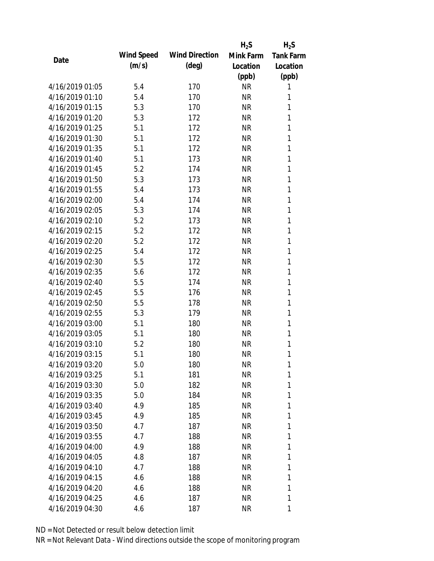|                 |            |                       | $H_2S$    | $H_2S$           |
|-----------------|------------|-----------------------|-----------|------------------|
|                 | Wind Speed | <b>Wind Direction</b> | Mink Farm | <b>Tank Farm</b> |
| Date            | (m/s)      | $(\text{deg})$        | Location  | Location         |
|                 |            |                       | (ppb)     | (ppb)            |
| 4/16/2019 01:05 | 5.4        | 170                   | <b>NR</b> | 1                |
| 4/16/2019 01:10 | 5.4        | 170                   | <b>NR</b> | 1                |
| 4/16/2019 01:15 | 5.3        | 170                   | <b>NR</b> | 1                |
| 4/16/2019 01:20 | 5.3        | 172                   | <b>NR</b> | 1                |
| 4/16/2019 01:25 | 5.1        | 172                   | <b>NR</b> | 1                |
| 4/16/2019 01:30 | 5.1        | 172                   | <b>NR</b> | 1                |
| 4/16/2019 01:35 | 5.1        | 172                   | <b>NR</b> | 1                |
| 4/16/2019 01:40 | 5.1        | 173                   | <b>NR</b> | 1                |
| 4/16/2019 01:45 | 5.2        | 174                   | <b>NR</b> | 1                |
| 4/16/2019 01:50 | 5.3        | 173                   | <b>NR</b> | 1                |
| 4/16/2019 01:55 | 5.4        | 173                   | <b>NR</b> | 1                |
| 4/16/2019 02:00 | 5.4        | 174                   | <b>NR</b> | 1                |
| 4/16/2019 02:05 | 5.3        | 174                   | <b>NR</b> | 1                |
| 4/16/2019 02:10 | 5.2        | 173                   | <b>NR</b> | 1                |
| 4/16/2019 02:15 | 5.2        | 172                   | <b>NR</b> | 1                |
| 4/16/2019 02:20 | 5.2        | 172                   | <b>NR</b> | 1                |
| 4/16/2019 02:25 | 5.4        | 172                   | <b>NR</b> | 1                |
| 4/16/2019 02:30 | 5.5        | 172                   | <b>NR</b> | 1                |
| 4/16/2019 02:35 | 5.6        | 172                   | <b>NR</b> | 1                |
| 4/16/2019 02:40 | 5.5        | 174                   | <b>NR</b> | 1                |
| 4/16/2019 02:45 | 5.5        | 176                   | <b>NR</b> | 1                |
| 4/16/2019 02:50 | 5.5        | 178                   | <b>NR</b> | 1                |
| 4/16/2019 02:55 | 5.3        | 179                   | <b>NR</b> | 1                |
| 4/16/2019 03:00 | 5.1        | 180                   | <b>NR</b> | 1                |
| 4/16/2019 03:05 | 5.1        | 180                   | <b>NR</b> | 1                |
| 4/16/2019 03:10 | 5.2        | 180                   | <b>NR</b> | 1                |
| 4/16/2019 03:15 | 5.1        | 180                   | <b>NR</b> | 1                |
| 4/16/2019 03:20 | 5.0        | 180                   | <b>NR</b> | 1                |
| 4/16/2019 03:25 | 5.1        | 181                   | NR        | 1                |
| 4/16/2019 03:30 | 5.0        | 182                   | NR        | 1                |
| 4/16/2019 03:35 | 5.0        | 184                   | NR        | 1                |
| 4/16/2019 03:40 | 4.9        | 185                   | NR        | 1                |
| 4/16/2019 03:45 | 4.9        | 185                   | NR        | 1                |
| 4/16/2019 03:50 | 4.7        | 187                   | NR        | 1                |
| 4/16/2019 03:55 | 4.7        | 188                   | NR        | 1                |
| 4/16/2019 04:00 | 4.9        | 188                   | NR        | 1                |
| 4/16/2019 04:05 | 4.8        | 187                   | NR        | 1                |
| 4/16/2019 04:10 | 4.7        | 188                   | NR        | 1                |
| 4/16/2019 04:15 | 4.6        | 188                   | NR        | 1                |
| 4/16/2019 04:20 | 4.6        | 188                   | NR        | 1                |
| 4/16/2019 04:25 | 4.6        | 187                   | <b>NR</b> | 1                |
|                 |            |                       |           |                  |
| 4/16/2019 04:30 | 4.6        | 187                   | <b>NR</b> | 1                |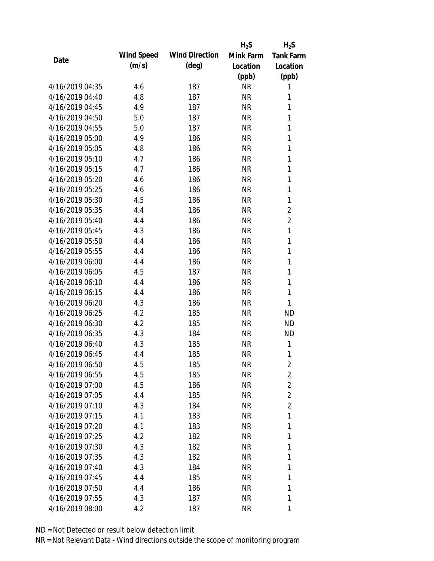|                 |            |                       | $H_2S$    | $H_2S$           |
|-----------------|------------|-----------------------|-----------|------------------|
| Date            | Wind Speed | <b>Wind Direction</b> | Mink Farm | <b>Tank Farm</b> |
|                 | (m/s)      | $(\text{deg})$        | Location  | Location         |
|                 |            |                       | (ppb)     | (ppb)            |
| 4/16/2019 04:35 | 4.6        | 187                   | <b>NR</b> | 1                |
| 4/16/2019 04:40 | 4.8        | 187                   | <b>NR</b> | 1                |
| 4/16/2019 04:45 | 4.9        | 187                   | <b>NR</b> | 1                |
| 4/16/2019 04:50 | 5.0        | 187                   | <b>NR</b> | 1                |
| 4/16/2019 04:55 | 5.0        | 187                   | <b>NR</b> | 1                |
| 4/16/2019 05:00 | 4.9        | 186                   | <b>NR</b> | 1                |
| 4/16/2019 05:05 | 4.8        | 186                   | <b>NR</b> | 1                |
| 4/16/2019 05:10 | 4.7        | 186                   | <b>NR</b> | 1                |
| 4/16/2019 05:15 | 4.7        | 186                   | <b>NR</b> | 1                |
| 4/16/2019 05:20 | 4.6        | 186                   | <b>NR</b> | 1                |
| 4/16/2019 05:25 | 4.6        | 186                   | <b>NR</b> | 1                |
| 4/16/2019 05:30 | 4.5        | 186                   | <b>NR</b> | 1                |
| 4/16/2019 05:35 | 4.4        | 186                   | <b>NR</b> | $\overline{2}$   |
| 4/16/2019 05:40 | 4.4        | 186                   | <b>NR</b> | 2                |
| 4/16/2019 05:45 | 4.3        | 186                   | <b>NR</b> | 1                |
| 4/16/2019 05:50 | 4.4        | 186                   | <b>NR</b> | 1                |
| 4/16/2019 05:55 | 4.4        | 186                   | <b>NR</b> | 1                |
| 4/16/2019 06:00 | 4.4        | 186                   | <b>NR</b> | 1                |
| 4/16/2019 06:05 | 4.5        | 187                   | <b>NR</b> | $\mathbf{1}$     |
| 4/16/2019 06:10 | 4.4        | 186                   | <b>NR</b> | 1                |
| 4/16/2019 06:15 | 4.4        | 186                   | <b>NR</b> | 1                |
| 4/16/2019 06:20 | 4.3        | 186                   | <b>NR</b> | 1                |
| 4/16/2019 06:25 | 4.2        | 185                   | <b>NR</b> | <b>ND</b>        |
| 4/16/2019 06:30 | 4.2        | 185                   | <b>NR</b> | <b>ND</b>        |
| 4/16/2019 06:35 | 4.3        | 184                   | <b>NR</b> | <b>ND</b>        |
| 4/16/2019 06:40 | 4.3        | 185                   | <b>NR</b> | 1                |
| 4/16/2019 06:45 | 4.4        | 185                   | <b>NR</b> | 1                |
| 4/16/2019 06:50 | 4.5        | 185                   | <b>NR</b> | $\overline{2}$   |
| 4/16/2019 06:55 | 4.5        | 185                   | <b>NR</b> | $\overline{2}$   |
| 4/16/2019 07:00 | 4.5        | 186                   | <b>NR</b> | $\overline{2}$   |
| 4/16/2019 07:05 | 4.4        | 185                   | <b>NR</b> | $\overline{2}$   |
| 4/16/2019 07:10 | 4.3        | 184                   | <b>NR</b> | $\overline{2}$   |
| 4/16/2019 07:15 | 4.1        | 183                   | <b>NR</b> | 1                |
| 4/16/2019 07:20 | 4.1        | 183                   | <b>NR</b> | 1                |
| 4/16/2019 07:25 | 4.2        | 182                   | <b>NR</b> | 1                |
| 4/16/2019 07:30 | 4.3        | 182                   | <b>NR</b> | 1                |
| 4/16/2019 07:35 | 4.3        | 182                   | <b>NR</b> | 1                |
| 4/16/2019 07:40 | 4.3        | 184                   | NR        | 1                |
| 4/16/2019 07:45 | 4.4        | 185                   | <b>NR</b> | 1                |
| 4/16/2019 07:50 | 4.4        | 186                   | <b>NR</b> | 1                |
| 4/16/2019 07:55 | 4.3        | 187                   | <b>NR</b> | 1                |
| 4/16/2019 08:00 | 4.2        | 187                   | <b>NR</b> | 1                |
|                 |            |                       |           |                  |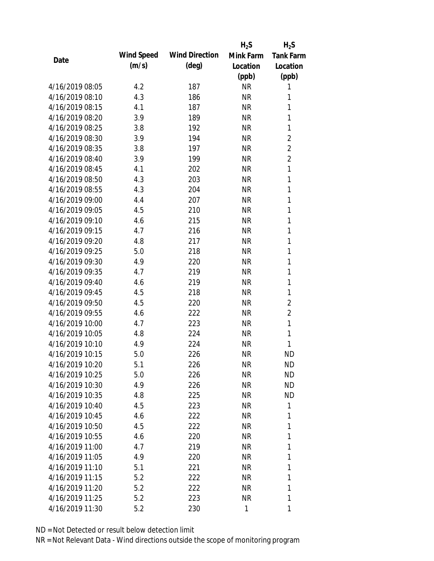|                 |            |                       | $H_2S$    | $H_2S$           |
|-----------------|------------|-----------------------|-----------|------------------|
| Date            | Wind Speed | <b>Wind Direction</b> | Mink Farm | <b>Tank Farm</b> |
|                 | (m/s)      | $(\text{deg})$        | Location  | Location         |
|                 |            |                       | (ppb)     | (ppb)            |
| 4/16/2019 08:05 | 4.2        | 187                   | <b>NR</b> | 1                |
| 4/16/2019 08:10 | 4.3        | 186                   | <b>NR</b> | 1                |
| 4/16/2019 08:15 | 4.1        | 187                   | <b>NR</b> | 1                |
| 4/16/2019 08:20 | 3.9        | 189                   | <b>NR</b> | 1                |
| 4/16/2019 08:25 | 3.8        | 192                   | <b>NR</b> | 1                |
| 4/16/2019 08:30 | 3.9        | 194                   | <b>NR</b> | $\overline{2}$   |
| 4/16/2019 08:35 | 3.8        | 197                   | <b>NR</b> | $\overline{2}$   |
| 4/16/2019 08:40 | 3.9        | 199                   | <b>NR</b> | $\overline{2}$   |
| 4/16/2019 08:45 | 4.1        | 202                   | <b>NR</b> | 1                |
| 4/16/2019 08:50 | 4.3        | 203                   | <b>NR</b> | $\mathbf{1}$     |
| 4/16/2019 08:55 | 4.3        | 204                   | <b>NR</b> | 1                |
| 4/16/2019 09:00 | 4.4        | 207                   | <b>NR</b> | 1                |
| 4/16/2019 09:05 | 4.5        | 210                   | <b>NR</b> | 1                |
| 4/16/2019 09:10 | 4.6        | 215                   | <b>NR</b> | 1                |
| 4/16/2019 09:15 | 4.7        | 216                   | <b>NR</b> | 1                |
| 4/16/2019 09:20 | 4.8        | 217                   | <b>NR</b> | 1                |
| 4/16/2019 09:25 | 5.0        | 218                   | <b>NR</b> | 1                |
| 4/16/2019 09:30 | 4.9        | 220                   | <b>NR</b> | 1                |
| 4/16/2019 09:35 | 4.7        | 219                   | <b>NR</b> | 1                |
| 4/16/2019 09:40 | 4.6        | 219                   | <b>NR</b> | 1                |
| 4/16/2019 09:45 | 4.5        | 218                   | <b>NR</b> | 1                |
| 4/16/2019 09:50 | 4.5        | 220                   | <b>NR</b> | $\overline{2}$   |
| 4/16/2019 09:55 | 4.6        | 222                   | <b>NR</b> | $\overline{2}$   |
| 4/16/2019 10:00 | 4.7        | 223                   | <b>NR</b> | 1                |
| 4/16/2019 10:05 | 4.8        | 224                   | <b>NR</b> | 1                |
| 4/16/2019 10:10 | 4.9        | 224                   | <b>NR</b> | 1                |
| 4/16/2019 10:15 | 5.0        | 226                   | <b>NR</b> | <b>ND</b>        |
| 4/16/2019 10:20 | 5.1        | 226                   | <b>NR</b> | <b>ND</b>        |
| 4/16/2019 10:25 | 5.0        | 226                   | <b>NR</b> | <b>ND</b>        |
| 4/16/2019 10:30 | 4.9        | 226                   | NR        | <b>ND</b>        |
| 4/16/2019 10:35 | 4.8        | 225                   | NR        | <b>ND</b>        |
| 4/16/2019 10:40 | 4.5        | 223                   | <b>NR</b> | 1                |
| 4/16/2019 10:45 | 4.6        | 222                   | <b>NR</b> | 1                |
| 4/16/2019 10:50 | 4.5        | 222                   | <b>NR</b> | 1                |
| 4/16/2019 10:55 | 4.6        | 220                   | <b>NR</b> | 1                |
| 4/16/2019 11:00 | 4.7        | 219                   | <b>NR</b> | 1                |
| 4/16/2019 11:05 | 4.9        | 220                   | <b>NR</b> | 1                |
| 4/16/2019 11:10 | 5.1        | 221                   | NR        | 1                |
| 4/16/2019 11:15 | 5.2        | 222                   | <b>NR</b> | 1                |
| 4/16/2019 11:20 | 5.2        | 222                   | <b>NR</b> | 1                |
| 4/16/2019 11:25 | 5.2        |                       | <b>NR</b> | 1                |
|                 |            | 223                   |           |                  |
| 4/16/2019 11:30 | 5.2        | 230                   | 1         | 1                |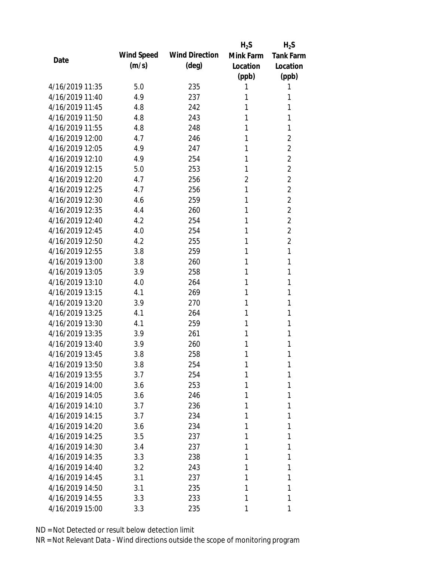|                 |            |                       | $H_2S$         | $H_2S$           |
|-----------------|------------|-----------------------|----------------|------------------|
| Date            | Wind Speed | <b>Wind Direction</b> | Mink Farm      | <b>Tank Farm</b> |
|                 | (m/s)      | $(\text{deg})$        | Location       | Location         |
|                 |            |                       | (ppb)          | (ppb)            |
| 4/16/2019 11:35 | 5.0        | 235                   | 1              | 1                |
| 4/16/2019 11:40 | 4.9        | 237                   | 1              | 1                |
| 4/16/2019 11:45 | 4.8        | 242                   | 1              | 1                |
| 4/16/2019 11:50 | 4.8        | 243                   | 1              | 1                |
| 4/16/2019 11:55 | 4.8        | 248                   | 1              | 1                |
| 4/16/2019 12:00 | 4.7        | 246                   | 1              | 2                |
| 4/16/2019 12:05 | 4.9        | 247                   | 1              | 2                |
| 4/16/2019 12:10 | 4.9        | 254                   | 1              | $\overline{2}$   |
| 4/16/2019 12:15 | 5.0        | 253                   | 1              | $\overline{2}$   |
| 4/16/2019 12:20 | 4.7        | 256                   | $\overline{2}$ | $\overline{2}$   |
| 4/16/2019 12:25 | 4.7        | 256                   | 1              | $\overline{2}$   |
| 4/16/2019 12:30 | 4.6        | 259                   | 1              | $\overline{2}$   |
| 4/16/2019 12:35 | 4.4        | 260                   | 1              | $\overline{2}$   |
| 4/16/2019 12:40 | 4.2        | 254                   | 1              | $\overline{2}$   |
| 4/16/2019 12:45 | 4.0        | 254                   | 1              | $\overline{2}$   |
| 4/16/2019 12:50 | 4.2        | 255                   | 1              | $\overline{2}$   |
| 4/16/2019 12:55 | 3.8        | 259                   | 1              | 1                |
| 4/16/2019 13:00 | 3.8        | 260                   | 1              | 1                |
| 4/16/2019 13:05 | 3.9        | 258                   | 1              | 1                |
| 4/16/2019 13:10 | 4.0        | 264                   | 1              | 1                |
| 4/16/2019 13:15 | 4.1        | 269                   | 1              | 1                |
| 4/16/2019 13:20 | 3.9        | 270                   | 1              | 1                |
| 4/16/2019 13:25 | 4.1        | 264                   | 1              | 1                |
| 4/16/2019 13:30 | 4.1        | 259                   | 1              | 1                |
| 4/16/2019 13:35 | 3.9        | 261                   | 1              | 1                |
| 4/16/2019 13:40 | 3.9        | 260                   | 1              | 1                |
| 4/16/2019 13:45 | 3.8        | 258                   | 1              | 1                |
| 4/16/2019 13:50 | 3.8        | 254                   | 1              | 1                |
| 4/16/2019 13:55 | 3.7        | 254                   | 1              | 1                |
| 4/16/2019 14:00 | 3.6        | 253                   | 1              | 1                |
| 4/16/2019 14:05 | 3.6        | 246                   | 1              | 1                |
| 4/16/2019 14:10 | 3.7        | 236                   | 1              | 1                |
| 4/16/2019 14:15 | 3.7        | 234                   | 1              | 1                |
| 4/16/2019 14:20 | 3.6        | 234                   | 1              | 1                |
| 4/16/2019 14:25 | 3.5        | 237                   | 1              | 1                |
| 4/16/2019 14:30 | 3.4        | 237                   | 1              | 1                |
| 4/16/2019 14:35 | 3.3        | 238                   | 1              | 1                |
| 4/16/2019 14:40 | 3.2        | 243                   | 1              | 1                |
| 4/16/2019 14:45 | 3.1        | 237                   | 1              | 1                |
| 4/16/2019 14:50 | 3.1        | 235                   | 1              | 1                |
| 4/16/2019 14:55 | 3.3        | 233                   | 1              | 1                |
| 4/16/2019 15:00 | 3.3        | 235                   | 1              | 1                |
|                 |            |                       |                |                  |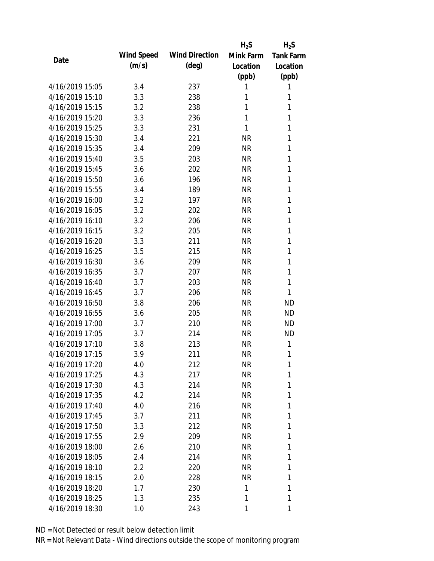|                 |            |                       | $H_2S$    | $H_2S$           |
|-----------------|------------|-----------------------|-----------|------------------|
| Date            | Wind Speed | <b>Wind Direction</b> | Mink Farm | <b>Tank Farm</b> |
|                 | (m/s)      | $(\text{deg})$        | Location  | Location         |
|                 |            |                       | (ppb)     | (ppb)            |
| 4/16/2019 15:05 | 3.4        | 237                   | 1         | 1                |
| 4/16/2019 15:10 | 3.3        | 238                   | 1         | 1                |
| 4/16/2019 15:15 | 3.2        | 238                   | 1         | 1                |
| 4/16/2019 15:20 | 3.3        | 236                   | 1         | 1                |
| 4/16/2019 15:25 | 3.3        | 231                   | 1         | 1                |
| 4/16/2019 15:30 | 3.4        | 221                   | <b>NR</b> | 1                |
| 4/16/2019 15:35 | 3.4        | 209                   | <b>NR</b> | 1                |
| 4/16/2019 15:40 | 3.5        | 203                   | <b>NR</b> | 1                |
| 4/16/2019 15:45 | 3.6        | 202                   | <b>NR</b> | 1                |
| 4/16/2019 15:50 | 3.6        | 196                   | <b>NR</b> | 1                |
| 4/16/2019 15:55 | 3.4        | 189                   | <b>NR</b> | 1                |
| 4/16/2019 16:00 | 3.2        | 197                   | <b>NR</b> | 1                |
| 4/16/2019 16:05 | 3.2        | 202                   | <b>NR</b> | 1                |
| 4/16/2019 16:10 | 3.2        | 206                   | <b>NR</b> | 1                |
| 4/16/2019 16:15 | 3.2        | 205                   | <b>NR</b> | 1                |
| 4/16/2019 16:20 | 3.3        | 211                   | <b>NR</b> | 1                |
| 4/16/2019 16:25 | 3.5        | 215                   | <b>NR</b> | 1                |
| 4/16/2019 16:30 | 3.6        | 209                   | <b>NR</b> | 1                |
| 4/16/2019 16:35 | 3.7        | 207                   | <b>NR</b> | 1                |
| 4/16/2019 16:40 | 3.7        | 203                   | <b>NR</b> | 1                |
| 4/16/2019 16:45 | 3.7        | 206                   | <b>NR</b> | 1                |
| 4/16/2019 16:50 | 3.8        | 206                   | <b>NR</b> | <b>ND</b>        |
| 4/16/2019 16:55 | 3.6        | 205                   | <b>NR</b> | <b>ND</b>        |
| 4/16/2019 17:00 | 3.7        | 210                   | <b>NR</b> | <b>ND</b>        |
| 4/16/2019 17:05 | 3.7        | 214                   | <b>NR</b> | <b>ND</b>        |
| 4/16/2019 17:10 | 3.8        | 213                   | <b>NR</b> | 1                |
| 4/16/2019 17:15 | 3.9        | 211                   | <b>NR</b> | 1                |
| 4/16/2019 17:20 | 4.0        | 212                   | <b>NR</b> | 1                |
| 4/16/2019 17:25 | 4.3        | 217                   | <b>NR</b> | 1                |
| 4/16/2019 17:30 | 4.3        | 214                   | <b>NR</b> | 1                |
| 4/16/2019 17:35 | 4.2        | 214                   | <b>NR</b> | 1                |
| 4/16/2019 17:40 | 4.0        | 216                   | <b>NR</b> | 1                |
| 4/16/2019 17:45 | 3.7        | 211                   | <b>NR</b> | 1                |
| 4/16/2019 17:50 | 3.3        | 212                   | <b>NR</b> | 1                |
| 4/16/2019 17:55 | 2.9        | 209                   | <b>NR</b> | 1                |
| 4/16/2019 18:00 | 2.6        | 210                   | <b>NR</b> | 1                |
| 4/16/2019 18:05 | 2.4        | 214                   | NR        | 1                |
| 4/16/2019 18:10 | 2.2        | 220                   | NR        | 1                |
| 4/16/2019 18:15 | 2.0        | 228                   | <b>NR</b> | 1                |
| 4/16/2019 18:20 | 1.7        | 230                   | 1         | 1                |
| 4/16/2019 18:25 | 1.3        | 235                   | 1         | 1                |
| 4/16/2019 18:30 | 1.0        | 243                   | 1         | 1                |
|                 |            |                       |           |                  |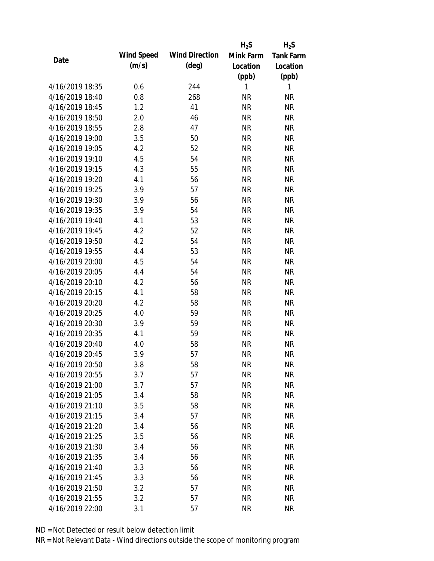|                 |            |                       | $H_2S$    | $H_2S$           |
|-----------------|------------|-----------------------|-----------|------------------|
| Date            | Wind Speed | <b>Wind Direction</b> | Mink Farm | <b>Tank Farm</b> |
|                 | (m/s)      | $(\text{deg})$        | Location  | Location         |
|                 |            |                       | (ppb)     | (ppb)            |
| 4/16/2019 18:35 | 0.6        | 244                   | 1         | 1                |
| 4/16/2019 18:40 | 0.8        | 268                   | <b>NR</b> | <b>NR</b>        |
| 4/16/2019 18:45 | 1.2        | 41                    | <b>NR</b> | <b>NR</b>        |
| 4/16/2019 18:50 | 2.0        | 46                    | <b>NR</b> | <b>NR</b>        |
| 4/16/2019 18:55 | 2.8        | 47                    | <b>NR</b> | <b>NR</b>        |
| 4/16/2019 19:00 | 3.5        | 50                    | <b>NR</b> | <b>NR</b>        |
| 4/16/2019 19:05 | 4.2        | 52                    | <b>NR</b> | <b>NR</b>        |
| 4/16/2019 19:10 | 4.5        | 54                    | <b>NR</b> | <b>NR</b>        |
| 4/16/2019 19:15 | 4.3        | 55                    | <b>NR</b> | <b>NR</b>        |
| 4/16/2019 19:20 | 4.1        | 56                    | <b>NR</b> | <b>NR</b>        |
| 4/16/2019 19:25 | 3.9        | 57                    | <b>NR</b> | <b>NR</b>        |
| 4/16/2019 19:30 | 3.9        | 56                    | <b>NR</b> | <b>NR</b>        |
| 4/16/2019 19:35 | 3.9        | 54                    | <b>NR</b> | <b>NR</b>        |
| 4/16/2019 19:40 | 4.1        | 53                    | <b>NR</b> | <b>NR</b>        |
| 4/16/2019 19:45 | 4.2        | 52                    | <b>NR</b> | <b>NR</b>        |
| 4/16/2019 19:50 | 4.2        | 54                    | <b>NR</b> | <b>NR</b>        |
| 4/16/2019 19:55 | 4.4        | 53                    | <b>NR</b> | <b>NR</b>        |
| 4/16/2019 20:00 | 4.5        | 54                    | <b>NR</b> | <b>NR</b>        |
| 4/16/2019 20:05 | 4.4        | 54                    | <b>NR</b> | <b>NR</b>        |
| 4/16/2019 20:10 | 4.2        | 56                    | <b>NR</b> | <b>NR</b>        |
| 4/16/2019 20:15 | 4.1        | 58                    | <b>NR</b> | <b>NR</b>        |
| 4/16/2019 20:20 | 4.2        | 58                    | <b>NR</b> | <b>NR</b>        |
| 4/16/2019 20:25 | 4.0        | 59                    | <b>NR</b> | <b>NR</b>        |
| 4/16/2019 20:30 | 3.9        | 59                    | <b>NR</b> | <b>NR</b>        |
| 4/16/2019 20:35 | 4.1        | 59                    | <b>NR</b> | <b>NR</b>        |
| 4/16/2019 20:40 | 4.0        | 58                    | <b>NR</b> | <b>NR</b>        |
| 4/16/2019 20:45 | 3.9        | 57                    | <b>NR</b> | <b>NR</b>        |
| 4/16/2019 20:50 | 3.8        | 58                    | <b>NR</b> | <b>NR</b>        |
| 4/16/2019 20:55 | 3.7        | 57                    | <b>NR</b> | <b>NR</b>        |
| 4/16/2019 21:00 | 3.7        | 57                    | <b>NR</b> | <b>NR</b>        |
| 4/16/2019 21:05 | 3.4        | 58                    | <b>NR</b> | <b>NR</b>        |
| 4/16/2019 21:10 | 3.5        | 58                    | <b>NR</b> | <b>NR</b>        |
| 4/16/2019 21:15 | 3.4        | 57                    | <b>NR</b> | <b>NR</b>        |
| 4/16/2019 21:20 | 3.4        | 56                    | <b>NR</b> | <b>NR</b>        |
| 4/16/2019 21:25 | 3.5        | 56                    | <b>NR</b> | <b>NR</b>        |
| 4/16/2019 21:30 | 3.4        | 56                    | <b>NR</b> | <b>NR</b>        |
| 4/16/2019 21:35 | 3.4        | 56                    | <b>NR</b> | <b>NR</b>        |
| 4/16/2019 21:40 | 3.3        | 56                    | <b>NR</b> | <b>NR</b>        |
| 4/16/2019 21:45 | 3.3        | 56                    | <b>NR</b> | <b>NR</b>        |
| 4/16/2019 21:50 | 3.2        | 57                    | <b>NR</b> | <b>NR</b>        |
| 4/16/2019 21:55 | 3.2        | 57                    | <b>NR</b> | <b>NR</b>        |
| 4/16/2019 22:00 | 3.1        | 57                    | <b>NR</b> | <b>NR</b>        |
|                 |            |                       |           |                  |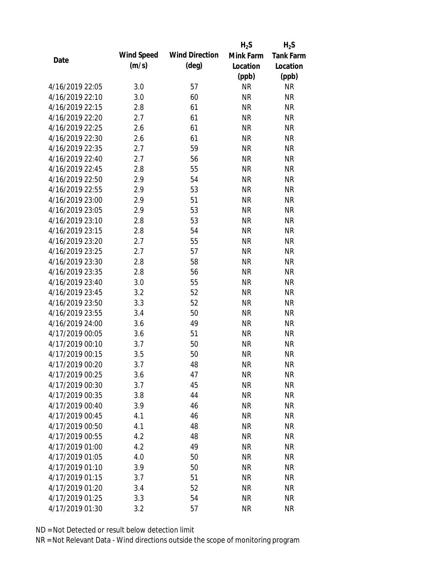|                 |            |                       | $H_2S$    | $H_2S$           |
|-----------------|------------|-----------------------|-----------|------------------|
| Date            | Wind Speed | <b>Wind Direction</b> | Mink Farm | <b>Tank Farm</b> |
|                 | (m/s)      | $(\text{deg})$        | Location  | Location         |
|                 |            |                       | (ppb)     | (ppb)            |
| 4/16/2019 22:05 | 3.0        | 57                    | <b>NR</b> | <b>NR</b>        |
| 4/16/2019 22:10 | 3.0        | 60                    | <b>NR</b> | <b>NR</b>        |
| 4/16/2019 22:15 | 2.8        | 61                    | <b>NR</b> | <b>NR</b>        |
| 4/16/2019 22:20 | 2.7        | 61                    | <b>NR</b> | <b>NR</b>        |
| 4/16/2019 22:25 | 2.6        | 61                    | <b>NR</b> | <b>NR</b>        |
| 4/16/2019 22:30 | 2.6        | 61                    | <b>NR</b> | <b>NR</b>        |
| 4/16/2019 22:35 | 2.7        | 59                    | <b>NR</b> | <b>NR</b>        |
| 4/16/2019 22:40 | 2.7        | 56                    | <b>NR</b> | <b>NR</b>        |
| 4/16/2019 22:45 | 2.8        | 55                    | <b>NR</b> | <b>NR</b>        |
| 4/16/2019 22:50 | 2.9        | 54                    | <b>NR</b> | <b>NR</b>        |
| 4/16/2019 22:55 | 2.9        | 53                    | <b>NR</b> | <b>NR</b>        |
| 4/16/2019 23:00 | 2.9        | 51                    | <b>NR</b> | <b>NR</b>        |
| 4/16/2019 23:05 | 2.9        | 53                    | <b>NR</b> | <b>NR</b>        |
| 4/16/2019 23:10 | 2.8        | 53                    | <b>NR</b> | <b>NR</b>        |
| 4/16/2019 23:15 | 2.8        | 54                    | <b>NR</b> | <b>NR</b>        |
| 4/16/2019 23:20 | 2.7        | 55                    | <b>NR</b> | <b>NR</b>        |
| 4/16/2019 23:25 | 2.7        | 57                    | <b>NR</b> | <b>NR</b>        |
| 4/16/2019 23:30 | 2.8        | 58                    | <b>NR</b> | <b>NR</b>        |
| 4/16/2019 23:35 | 2.8        | 56                    | <b>NR</b> | <b>NR</b>        |
| 4/16/2019 23:40 | 3.0        | 55                    | <b>NR</b> | <b>NR</b>        |
| 4/16/2019 23:45 | 3.2        | 52                    | <b>NR</b> | <b>NR</b>        |
| 4/16/2019 23:50 | 3.3        | 52                    | <b>NR</b> | <b>NR</b>        |
| 4/16/2019 23:55 | 3.4        | 50                    | <b>NR</b> | <b>NR</b>        |
| 4/16/2019 24:00 | 3.6        | 49                    | <b>NR</b> | <b>NR</b>        |
| 4/17/2019 00:05 | 3.6        | 51                    | <b>NR</b> | <b>NR</b>        |
| 4/17/2019 00:10 | 3.7        | 50                    | <b>NR</b> | <b>NR</b>        |
| 4/17/2019 00:15 | 3.5        | 50                    | <b>NR</b> | <b>NR</b>        |
| 4/17/2019 00:20 | 3.7        | 48                    | <b>NR</b> | <b>NR</b>        |
| 4/17/2019 00:25 | 3.6        | 47                    | <b>NR</b> | <b>NR</b>        |
| 4/17/2019 00:30 | 3.7        | 45                    | <b>NR</b> | <b>NR</b>        |
| 4/17/2019 00:35 | 3.8        | 44                    | <b>NR</b> | <b>NR</b>        |
| 4/17/2019 00:40 | 3.9        | 46                    | <b>NR</b> | <b>NR</b>        |
| 4/17/2019 00:45 | 4.1        | 46                    | <b>NR</b> | <b>NR</b>        |
| 4/17/2019 00:50 | 4.1        | 48                    | <b>NR</b> | <b>NR</b>        |
| 4/17/2019 00:55 | 4.2        | 48                    | <b>NR</b> | <b>NR</b>        |
| 4/17/2019 01:00 | 4.2        | 49                    | <b>NR</b> | <b>NR</b>        |
| 4/17/2019 01:05 | 4.0        | 50                    | <b>NR</b> | <b>NR</b>        |
| 4/17/2019 01:10 | 3.9        | 50                    | NR        | <b>NR</b>        |
| 4/17/2019 01:15 | 3.7        | 51                    | <b>NR</b> | <b>NR</b>        |
| 4/17/2019 01:20 | 3.4        | 52                    | <b>NR</b> | <b>NR</b>        |
| 4/17/2019 01:25 | 3.3        | 54                    | <b>NR</b> | <b>NR</b>        |
| 4/17/2019 01:30 | 3.2        | 57                    | <b>NR</b> | <b>NR</b>        |
|                 |            |                       |           |                  |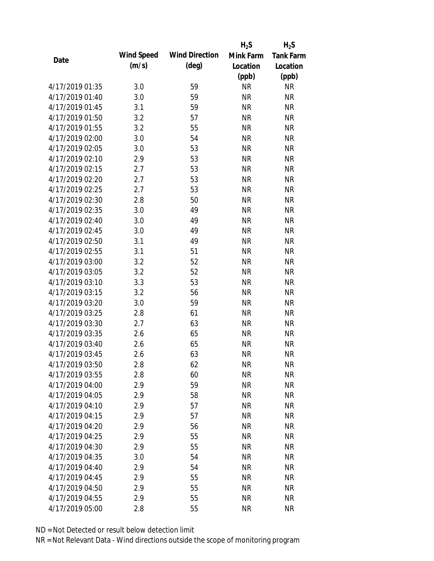|                 |            |                       | $H_2S$    | $H_2S$           |
|-----------------|------------|-----------------------|-----------|------------------|
| Date            | Wind Speed | <b>Wind Direction</b> | Mink Farm | <b>Tank Farm</b> |
|                 | (m/s)      | $(\text{deg})$        | Location  | Location         |
|                 |            |                       | (ppb)     | (ppb)            |
| 4/17/2019 01:35 | 3.0        | 59                    | <b>NR</b> | <b>NR</b>        |
| 4/17/2019 01:40 | 3.0        | 59                    | <b>NR</b> | <b>NR</b>        |
| 4/17/2019 01:45 | 3.1        | 59                    | <b>NR</b> | <b>NR</b>        |
| 4/17/2019 01:50 | 3.2        | 57                    | <b>NR</b> | <b>NR</b>        |
| 4/17/2019 01:55 | 3.2        | 55                    | <b>NR</b> | <b>NR</b>        |
| 4/17/2019 02:00 | 3.0        | 54                    | <b>NR</b> | <b>NR</b>        |
| 4/17/2019 02:05 | 3.0        | 53                    | <b>NR</b> | <b>NR</b>        |
| 4/17/2019 02:10 | 2.9        | 53                    | <b>NR</b> | <b>NR</b>        |
| 4/17/2019 02:15 | 2.7        | 53                    | <b>NR</b> | <b>NR</b>        |
| 4/17/2019 02:20 | 2.7        | 53                    | <b>NR</b> | <b>NR</b>        |
| 4/17/2019 02:25 | 2.7        | 53                    | <b>NR</b> | <b>NR</b>        |
| 4/17/2019 02:30 | 2.8        | 50                    | <b>NR</b> | <b>NR</b>        |
| 4/17/2019 02:35 | 3.0        | 49                    | <b>NR</b> | <b>NR</b>        |
| 4/17/2019 02:40 | 3.0        | 49                    | <b>NR</b> | <b>NR</b>        |
| 4/17/2019 02:45 | 3.0        | 49                    | <b>NR</b> | <b>NR</b>        |
| 4/17/2019 02:50 | 3.1        | 49                    | <b>NR</b> | <b>NR</b>        |
| 4/17/2019 02:55 | 3.1        | 51                    | <b>NR</b> | <b>NR</b>        |
| 4/17/2019 03:00 | 3.2        | 52                    | <b>NR</b> | <b>NR</b>        |
| 4/17/2019 03:05 | 3.2        | 52                    | <b>NR</b> | <b>NR</b>        |
| 4/17/2019 03:10 | 3.3        | 53                    | <b>NR</b> | <b>NR</b>        |
| 4/17/2019 03:15 | 3.2        | 56                    | <b>NR</b> | <b>NR</b>        |
| 4/17/2019 03:20 | 3.0        | 59                    | <b>NR</b> | <b>NR</b>        |
| 4/17/2019 03:25 | 2.8        | 61                    | <b>NR</b> | <b>NR</b>        |
| 4/17/2019 03:30 | 2.7        | 63                    | <b>NR</b> | <b>NR</b>        |
| 4/17/2019 03:35 | 2.6        | 65                    | <b>NR</b> | <b>NR</b>        |
| 4/17/2019 03:40 | 2.6        | 65                    | <b>NR</b> | <b>NR</b>        |
| 4/17/2019 03:45 | 2.6        | 63                    | <b>NR</b> | <b>NR</b>        |
| 4/17/2019 03:50 | 2.8        | 62                    | <b>NR</b> | <b>NR</b>        |
| 4/17/2019 03:55 | 2.8        | 60                    | <b>NR</b> | <b>NR</b>        |
| 4/17/2019 04:00 | 2.9        | 59                    | <b>NR</b> | <b>NR</b>        |
| 4/17/2019 04:05 | 2.9        | 58                    | <b>NR</b> | <b>NR</b>        |
| 4/17/2019 04:10 | 2.9        | 57                    | <b>NR</b> | <b>NR</b>        |
| 4/17/2019 04:15 | 2.9        | 57                    | <b>NR</b> | <b>NR</b>        |
| 4/17/2019 04:20 | 2.9        | 56                    | <b>NR</b> | <b>NR</b>        |
| 4/17/2019 04:25 | 2.9        | 55                    | <b>NR</b> | <b>NR</b>        |
| 4/17/2019 04:30 | 2.9        | 55                    | <b>NR</b> | <b>NR</b>        |
| 4/17/2019 04:35 | 3.0        | 54                    | <b>NR</b> | <b>NR</b>        |
| 4/17/2019 04:40 | 2.9        | 54                    | <b>NR</b> | <b>NR</b>        |
| 4/17/2019 04:45 | 2.9        | 55                    | <b>NR</b> | <b>NR</b>        |
| 4/17/2019 04:50 | 2.9        | 55                    | <b>NR</b> | <b>NR</b>        |
| 4/17/2019 04:55 | 2.9        | 55                    | <b>NR</b> | <b>NR</b>        |
| 4/17/2019 05:00 | 2.8        | 55                    | <b>NR</b> | <b>NR</b>        |
|                 |            |                       |           |                  |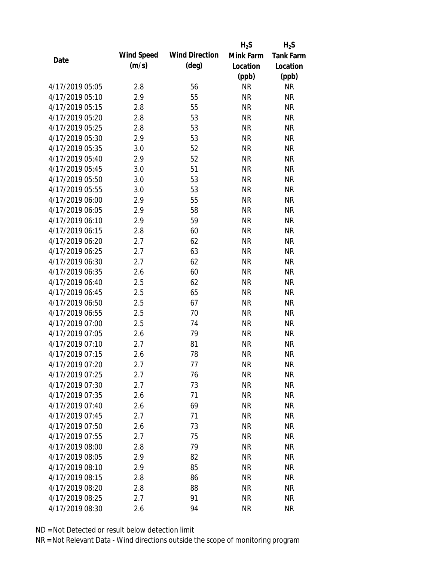|                 |            |                       | $H_2S$    | $H_2S$           |
|-----------------|------------|-----------------------|-----------|------------------|
| Date            | Wind Speed | <b>Wind Direction</b> | Mink Farm | <b>Tank Farm</b> |
|                 | (m/s)      | $(\text{deg})$        | Location  | Location         |
|                 |            |                       | (ppb)     | (ppb)            |
| 4/17/2019 05:05 | 2.8        | 56                    | <b>NR</b> | <b>NR</b>        |
| 4/17/2019 05:10 | 2.9        | 55                    | <b>NR</b> | <b>NR</b>        |
| 4/17/2019 05:15 | 2.8        | 55                    | <b>NR</b> | <b>NR</b>        |
| 4/17/2019 05:20 | 2.8        | 53                    | <b>NR</b> | <b>NR</b>        |
| 4/17/2019 05:25 | 2.8        | 53                    | <b>NR</b> | <b>NR</b>        |
| 4/17/2019 05:30 | 2.9        | 53                    | <b>NR</b> | <b>NR</b>        |
| 4/17/2019 05:35 | 3.0        | 52                    | <b>NR</b> | <b>NR</b>        |
| 4/17/2019 05:40 | 2.9        | 52                    | <b>NR</b> | <b>NR</b>        |
| 4/17/2019 05:45 | 3.0        | 51                    | <b>NR</b> | <b>NR</b>        |
| 4/17/2019 05:50 | 3.0        | 53                    | <b>NR</b> | <b>NR</b>        |
| 4/17/2019 05:55 | 3.0        | 53                    | <b>NR</b> | <b>NR</b>        |
| 4/17/2019 06:00 | 2.9        | 55                    | <b>NR</b> | <b>NR</b>        |
| 4/17/2019 06:05 | 2.9        | 58                    | <b>NR</b> | <b>NR</b>        |
| 4/17/2019 06:10 | 2.9        | 59                    | <b>NR</b> | <b>NR</b>        |
| 4/17/2019 06:15 | 2.8        | 60                    | <b>NR</b> | <b>NR</b>        |
| 4/17/2019 06:20 | 2.7        | 62                    | <b>NR</b> | <b>NR</b>        |
| 4/17/2019 06:25 | 2.7        | 63                    | <b>NR</b> | <b>NR</b>        |
| 4/17/2019 06:30 | 2.7        | 62                    | <b>NR</b> | <b>NR</b>        |
| 4/17/2019 06:35 | 2.6        | 60                    | <b>NR</b> | <b>NR</b>        |
| 4/17/2019 06:40 | 2.5        | 62                    | <b>NR</b> | <b>NR</b>        |
| 4/17/2019 06:45 | 2.5        | 65                    | <b>NR</b> | <b>NR</b>        |
| 4/17/2019 06:50 | 2.5        | 67                    | <b>NR</b> | <b>NR</b>        |
| 4/17/2019 06:55 | 2.5        | 70                    | <b>NR</b> | <b>NR</b>        |
| 4/17/2019 07:00 | 2.5        | 74                    | <b>NR</b> | <b>NR</b>        |
| 4/17/2019 07:05 | 2.6        | 79                    | <b>NR</b> | <b>NR</b>        |
| 4/17/2019 07:10 | 2.7        | 81                    | <b>NR</b> | <b>NR</b>        |
| 4/17/2019 07:15 | 2.6        | 78                    | <b>NR</b> | <b>NR</b>        |
| 4/17/2019 07:20 | 2.7        | 77                    | <b>NR</b> | <b>NR</b>        |
| 4/17/2019 07:25 | 2.7        | 76                    | <b>NR</b> | <b>NR</b>        |
| 4/17/2019 07:30 | 2.7        | 73                    | <b>NR</b> | <b>NR</b>        |
| 4/17/2019 07:35 | 2.6        | 71                    | <b>NR</b> | <b>NR</b>        |
| 4/17/2019 07:40 | 2.6        | 69                    | <b>NR</b> | NR               |
| 4/17/2019 07:45 | 2.7        | 71                    | <b>NR</b> | <b>NR</b>        |
| 4/17/2019 07:50 | 2.6        | 73                    | <b>NR</b> | <b>NR</b>        |
| 4/17/2019 07:55 | 2.7        | 75                    | <b>NR</b> | NR               |
| 4/17/2019 08:00 | 2.8        | 79                    | <b>NR</b> | <b>NR</b>        |
| 4/17/2019 08:05 | 2.9        | 82                    | <b>NR</b> | <b>NR</b>        |
| 4/17/2019 08:10 | 2.9        | 85                    | <b>NR</b> | <b>NR</b>        |
| 4/17/2019 08:15 | 2.8        | 86                    | <b>NR</b> | NR               |
| 4/17/2019 08:20 | 2.8        | 88                    | <b>NR</b> | NR               |
| 4/17/2019 08:25 | 2.7        | 91                    | <b>NR</b> | <b>NR</b>        |
| 4/17/2019 08:30 | 2.6        | 94                    | <b>NR</b> | <b>NR</b>        |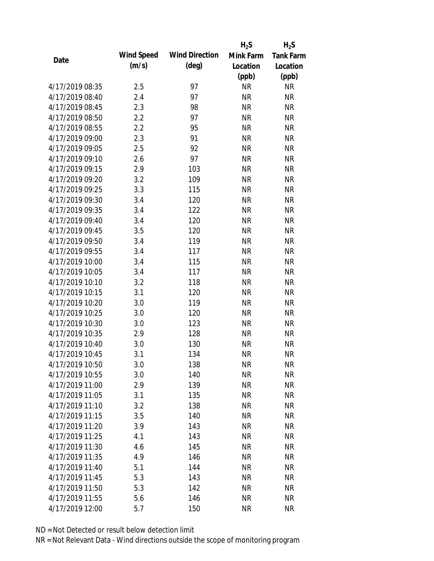|                 |            |                       | $H_2S$    | $H_2S$           |
|-----------------|------------|-----------------------|-----------|------------------|
| Date            | Wind Speed | <b>Wind Direction</b> | Mink Farm | <b>Tank Farm</b> |
|                 | (m/s)      | $(\text{deg})$        | Location  | Location         |
|                 |            |                       | (ppb)     | (ppb)            |
| 4/17/2019 08:35 | 2.5        | 97                    | <b>NR</b> | <b>NR</b>        |
| 4/17/2019 08:40 | 2.4        | 97                    | <b>NR</b> | <b>NR</b>        |
| 4/17/2019 08:45 | 2.3        | 98                    | <b>NR</b> | <b>NR</b>        |
| 4/17/2019 08:50 | 2.2        | 97                    | <b>NR</b> | <b>NR</b>        |
| 4/17/2019 08:55 | 2.2        | 95                    | <b>NR</b> | <b>NR</b>        |
| 4/17/2019 09:00 | 2.3        | 91                    | <b>NR</b> | <b>NR</b>        |
| 4/17/2019 09:05 | 2.5        | 92                    | <b>NR</b> | <b>NR</b>        |
| 4/17/2019 09:10 | 2.6        | 97                    | <b>NR</b> | <b>NR</b>        |
| 4/17/2019 09:15 | 2.9        | 103                   | <b>NR</b> | <b>NR</b>        |
| 4/17/2019 09:20 | 3.2        | 109                   | <b>NR</b> | <b>NR</b>        |
| 4/17/2019 09:25 | 3.3        | 115                   | <b>NR</b> | <b>NR</b>        |
| 4/17/2019 09:30 | 3.4        | 120                   | <b>NR</b> | <b>NR</b>        |
| 4/17/2019 09:35 | 3.4        | 122                   | <b>NR</b> | <b>NR</b>        |
| 4/17/2019 09:40 | 3.4        | 120                   | <b>NR</b> | <b>NR</b>        |
| 4/17/2019 09:45 | 3.5        | 120                   | <b>NR</b> | <b>NR</b>        |
| 4/17/2019 09:50 | 3.4        | 119                   | <b>NR</b> | <b>NR</b>        |
| 4/17/2019 09:55 | 3.4        | 117                   | <b>NR</b> | <b>NR</b>        |
| 4/17/2019 10:00 | 3.4        | 115                   | <b>NR</b> | <b>NR</b>        |
| 4/17/2019 10:05 | 3.4        | 117                   | <b>NR</b> | <b>NR</b>        |
| 4/17/2019 10:10 | 3.2        | 118                   | <b>NR</b> | <b>NR</b>        |
| 4/17/2019 10:15 | 3.1        | 120                   | <b>NR</b> | <b>NR</b>        |
| 4/17/2019 10:20 | 3.0        | 119                   | <b>NR</b> | <b>NR</b>        |
| 4/17/2019 10:25 | 3.0        | 120                   | <b>NR</b> | <b>NR</b>        |
| 4/17/2019 10:30 | 3.0        | 123                   | <b>NR</b> | <b>NR</b>        |
| 4/17/2019 10:35 | 2.9        | 128                   | <b>NR</b> | <b>NR</b>        |
| 4/17/2019 10:40 | 3.0        | 130                   | <b>NR</b> | <b>NR</b>        |
| 4/17/2019 10:45 | 3.1        | 134                   | <b>NR</b> | <b>NR</b>        |
| 4/17/2019 10:50 | 3.0        | 138                   | <b>NR</b> | <b>NR</b>        |
| 4/17/2019 10:55 | 3.0        | 140                   | <b>NR</b> | <b>NR</b>        |
| 4/17/2019 11:00 | 2.9        | 139                   | <b>NR</b> | <b>NR</b>        |
| 4/17/2019 11:05 | 3.1        | 135                   | <b>NR</b> | <b>NR</b>        |
| 4/17/2019 11:10 | 3.2        | 138                   | <b>NR</b> | <b>NR</b>        |
| 4/17/2019 11:15 | 3.5        | 140                   | <b>NR</b> | <b>NR</b>        |
| 4/17/2019 11:20 | 3.9        | 143                   | <b>NR</b> | <b>NR</b>        |
| 4/17/2019 11:25 | 4.1        | 143                   | <b>NR</b> | <b>NR</b>        |
| 4/17/2019 11:30 | 4.6        | 145                   | <b>NR</b> | <b>NR</b>        |
| 4/17/2019 11:35 | 4.9        | 146                   | <b>NR</b> | <b>NR</b>        |
| 4/17/2019 11:40 | 5.1        | 144                   | NR        | <b>NR</b>        |
| 4/17/2019 11:45 | 5.3        | 143                   | <b>NR</b> | <b>NR</b>        |
| 4/17/2019 11:50 | 5.3        | 142                   | <b>NR</b> | <b>NR</b>        |
| 4/17/2019 11:55 | 5.6        | 146                   | <b>NR</b> | <b>NR</b>        |
| 4/17/2019 12:00 | 5.7        | 150                   | <b>NR</b> | <b>NR</b>        |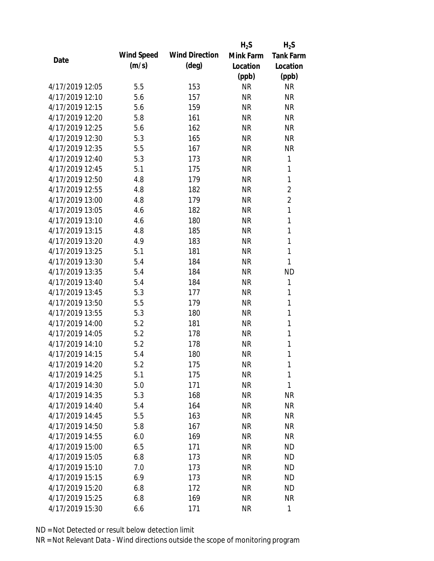|                 |            |                       | $H_2S$    | $H_2S$           |
|-----------------|------------|-----------------------|-----------|------------------|
| Date            | Wind Speed | <b>Wind Direction</b> | Mink Farm | <b>Tank Farm</b> |
|                 | (m/s)      | $(\text{deg})$        | Location  | Location         |
|                 |            |                       | (ppb)     | (ppb)            |
| 4/17/2019 12:05 | 5.5        | 153                   | <b>NR</b> | <b>NR</b>        |
| 4/17/2019 12:10 | 5.6        | 157                   | <b>NR</b> | <b>NR</b>        |
| 4/17/2019 12:15 | 5.6        | 159                   | <b>NR</b> | <b>NR</b>        |
| 4/17/2019 12:20 | 5.8        | 161                   | <b>NR</b> | <b>NR</b>        |
| 4/17/2019 12:25 | 5.6        | 162                   | <b>NR</b> | <b>NR</b>        |
| 4/17/2019 12:30 | 5.3        | 165                   | <b>NR</b> | <b>NR</b>        |
| 4/17/2019 12:35 | 5.5        | 167                   | <b>NR</b> | <b>NR</b>        |
| 4/17/2019 12:40 | 5.3        | 173                   | <b>NR</b> | 1                |
| 4/17/2019 12:45 | 5.1        | 175                   | <b>NR</b> | 1                |
| 4/17/2019 12:50 | 4.8        | 179                   | <b>NR</b> | 1                |
| 4/17/2019 12:55 | 4.8        | 182                   | <b>NR</b> | $\overline{2}$   |
| 4/17/2019 13:00 | 4.8        | 179                   | <b>NR</b> | $\overline{2}$   |
| 4/17/2019 13:05 | 4.6        | 182                   | <b>NR</b> | 1                |
| 4/17/2019 13:10 | 4.6        | 180                   | <b>NR</b> | $\mathbf{1}$     |
| 4/17/2019 13:15 | 4.8        | 185                   | <b>NR</b> | $\mathbf{1}$     |
| 4/17/2019 13:20 | 4.9        | 183                   | <b>NR</b> | 1                |
| 4/17/2019 13:25 | 5.1        | 181                   | <b>NR</b> | $\mathbf{1}$     |
| 4/17/2019 13:30 | 5.4        | 184                   | <b>NR</b> | 1                |
| 4/17/2019 13:35 | 5.4        | 184                   | <b>NR</b> | <b>ND</b>        |
| 4/17/2019 13:40 | 5.4        | 184                   | <b>NR</b> | 1                |
| 4/17/2019 13:45 | 5.3        | 177                   | <b>NR</b> | 1                |
| 4/17/2019 13:50 | 5.5        | 179                   | <b>NR</b> | 1                |
| 4/17/2019 13:55 | 5.3        | 180                   | <b>NR</b> | 1                |
| 4/17/2019 14:00 | 5.2        | 181                   | <b>NR</b> | 1                |
| 4/17/2019 14:05 | 5.2        | 178                   | <b>NR</b> | 1                |
| 4/17/2019 14:10 | 5.2        | 178                   | <b>NR</b> | $\mathbf{1}$     |
| 4/17/2019 14:15 | 5.4        | 180                   | <b>NR</b> | 1                |
| 4/17/2019 14:20 | 5.2        | 175                   | <b>NR</b> | 1                |
| 4/17/2019 14:25 | 5.1        | 175                   | <b>NR</b> | 1                |
| 4/17/2019 14:30 | 5.0        | 171                   | <b>NR</b> | 1                |
| 4/17/2019 14:35 | 5.3        | 168                   | <b>NR</b> | <b>NR</b>        |
| 4/17/2019 14:40 | 5.4        | 164                   | <b>NR</b> | NR               |
| 4/17/2019 14:45 | 5.5        | 163                   | <b>NR</b> | <b>NR</b>        |
| 4/17/2019 14:50 | 5.8        | 167                   | <b>NR</b> | NR               |
| 4/17/2019 14:55 | 6.0        | 169                   | <b>NR</b> | NR               |
| 4/17/2019 15:00 | 6.5        | 171                   | <b>NR</b> | <b>ND</b>        |
| 4/17/2019 15:05 | 6.8        | 173                   | <b>NR</b> | <b>ND</b>        |
| 4/17/2019 15:10 | 7.0        | 173                   | <b>NR</b> | <b>ND</b>        |
| 4/17/2019 15:15 | 6.9        | 173                   | <b>NR</b> | <b>ND</b>        |
| 4/17/2019 15:20 | 6.8        | 172                   | <b>NR</b> | <b>ND</b>        |
| 4/17/2019 15:25 | 6.8        | 169                   | <b>NR</b> | <b>NR</b>        |
| 4/17/2019 15:30 | 6.6        | 171                   | <b>NR</b> | $\mathbf{1}$     |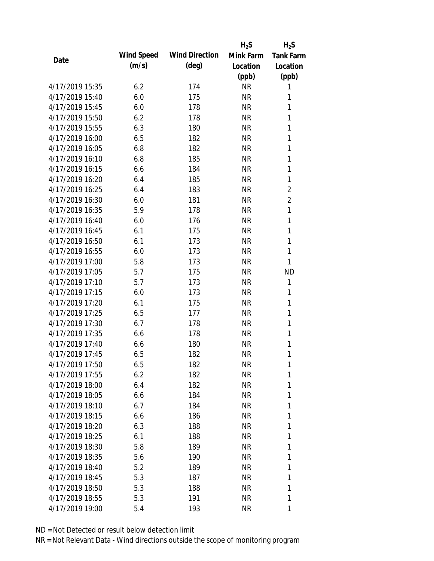|                 |            |                       | $H_2S$    | $H_2S$           |
|-----------------|------------|-----------------------|-----------|------------------|
|                 | Wind Speed | <b>Wind Direction</b> | Mink Farm | <b>Tank Farm</b> |
| Date            | (m/s)      | $(\text{deg})$        | Location  | Location         |
|                 |            |                       | (ppb)     | (ppb)            |
| 4/17/2019 15:35 | 6.2        | 174                   | <b>NR</b> | 1                |
| 4/17/2019 15:40 | 6.0        | 175                   | <b>NR</b> | 1                |
| 4/17/2019 15:45 | 6.0        | 178                   | <b>NR</b> | 1                |
| 4/17/2019 15:50 | 6.2        | 178                   | <b>NR</b> | $\mathbf{1}$     |
| 4/17/2019 15:55 | 6.3        | 180                   | <b>NR</b> | 1                |
| 4/17/2019 16:00 | 6.5        | 182                   | <b>NR</b> | 1                |
| 4/17/2019 16:05 | 6.8        | 182                   | <b>NR</b> | 1                |
| 4/17/2019 16:10 | 6.8        | 185                   | <b>NR</b> | 1                |
| 4/17/2019 16:15 | 6.6        | 184                   | <b>NR</b> | 1                |
| 4/17/2019 16:20 | 6.4        | 185                   | <b>NR</b> | 1                |
| 4/17/2019 16:25 | 6.4        | 183                   | <b>NR</b> | $\overline{2}$   |
| 4/17/2019 16:30 | 6.0        | 181                   | <b>NR</b> | $\overline{2}$   |
| 4/17/2019 16:35 | 5.9        | 178                   | <b>NR</b> | 1                |
| 4/17/2019 16:40 | 6.0        | 176                   | <b>NR</b> | 1                |
| 4/17/2019 16:45 | 6.1        | 175                   | <b>NR</b> | 1                |
| 4/17/2019 16:50 | 6.1        | 173                   | <b>NR</b> | 1                |
| 4/17/2019 16:55 | 6.0        | 173                   | <b>NR</b> | 1                |
| 4/17/2019 17:00 | 5.8        | 173                   | <b>NR</b> | 1                |
| 4/17/2019 17:05 | 5.7        | 175                   | <b>NR</b> | <b>ND</b>        |
| 4/17/2019 17:10 | 5.7        | 173                   | <b>NR</b> | 1                |
| 4/17/2019 17:15 | 6.0        | 173                   | <b>NR</b> | 1                |
| 4/17/2019 17:20 | 6.1        | 175                   | <b>NR</b> | 1                |
| 4/17/2019 17:25 | 6.5        | 177                   | <b>NR</b> | 1                |
| 4/17/2019 17:30 | 6.7        | 178                   | <b>NR</b> | 1                |
| 4/17/2019 17:35 | 6.6        | 178                   | <b>NR</b> | 1                |
| 4/17/2019 17:40 | 6.6        | 180                   | <b>NR</b> | 1                |
| 4/17/2019 17:45 | 6.5        | 182                   | <b>NR</b> | 1                |
| 4/17/2019 17:50 | 6.5        | 182                   | NR        | 1                |
| 4/17/2019 17:55 | 6.2        | 182                   | <b>NR</b> | 1                |
| 4/17/2019 18:00 | 6.4        | 182                   | <b>NR</b> | 1                |
| 4/17/2019 18:05 | 6.6        | 184                   | <b>NR</b> | 1                |
| 4/17/2019 18:10 | 6.7        | 184                   | NR        | 1                |
| 4/17/2019 18:15 | 6.6        | 186                   | <b>NR</b> | 1                |
| 4/17/2019 18:20 | 6.3        | 188                   | <b>NR</b> | 1                |
| 4/17/2019 18:25 | 6.1        | 188                   | NR        | 1                |
| 4/17/2019 18:30 | 5.8        | 189                   | NR        | 1                |
| 4/17/2019 18:35 | 5.6        | 190                   | <b>NR</b> | 1                |
| 4/17/2019 18:40 | 5.2        | 189                   | NR        | 1                |
| 4/17/2019 18:45 | 5.3        | 187                   | NR        | 1                |
| 4/17/2019 18:50 | 5.3        | 188                   | <b>NR</b> | 1                |
| 4/17/2019 18:55 | 5.3        | 191                   | <b>NR</b> | 1                |
|                 |            |                       |           |                  |
| 4/17/2019 19:00 | 5.4        | 193                   | <b>NR</b> | 1                |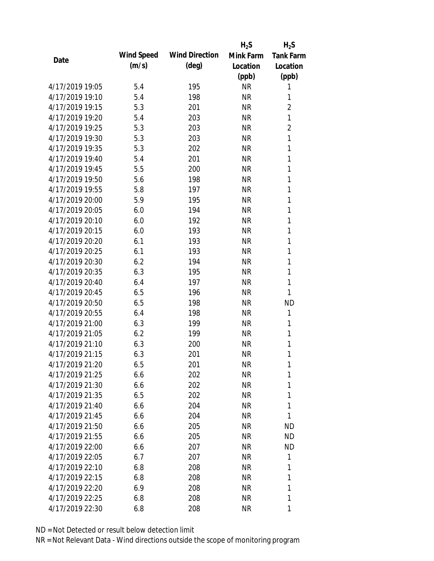|                 |            |                       | $H_2S$    | $H_2S$           |
|-----------------|------------|-----------------------|-----------|------------------|
| Date            | Wind Speed | <b>Wind Direction</b> | Mink Farm | <b>Tank Farm</b> |
|                 | (m/s)      | $(\text{deg})$        | Location  | Location         |
|                 |            |                       | (ppb)     | (ppb)            |
| 4/17/2019 19:05 | 5.4        | 195                   | <b>NR</b> | 1                |
| 4/17/2019 19:10 | 5.4        | 198                   | <b>NR</b> | 1                |
| 4/17/2019 19:15 | 5.3        | 201                   | <b>NR</b> | $\overline{2}$   |
| 4/17/2019 19:20 | 5.4        | 203                   | <b>NR</b> | 1                |
| 4/17/2019 19:25 | 5.3        | 203                   | <b>NR</b> | $\overline{2}$   |
| 4/17/2019 19:30 | 5.3        | 203                   | <b>NR</b> | 1                |
| 4/17/2019 19:35 | 5.3        | 202                   | <b>NR</b> | 1                |
| 4/17/2019 19:40 | 5.4        | 201                   | <b>NR</b> | 1                |
| 4/17/2019 19:45 | 5.5        | 200                   | <b>NR</b> | 1                |
| 4/17/2019 19:50 | 5.6        | 198                   | <b>NR</b> | 1                |
| 4/17/2019 19:55 | 5.8        | 197                   | <b>NR</b> | 1                |
| 4/17/2019 20:00 | 5.9        | 195                   | <b>NR</b> | 1                |
| 4/17/2019 20:05 | 6.0        | 194                   | <b>NR</b> | 1                |
| 4/17/2019 20:10 | 6.0        | 192                   | <b>NR</b> | 1                |
| 4/17/2019 20:15 | 6.0        | 193                   | <b>NR</b> | 1                |
| 4/17/2019 20:20 | 6.1        | 193                   | <b>NR</b> | 1                |
| 4/17/2019 20:25 | 6.1        | 193                   | <b>NR</b> | 1                |
| 4/17/2019 20:30 | 6.2        | 194                   | <b>NR</b> | 1                |
| 4/17/2019 20:35 | 6.3        | 195                   | <b>NR</b> | $\mathbf{1}$     |
| 4/17/2019 20:40 | 6.4        | 197                   | <b>NR</b> | 1                |
| 4/17/2019 20:45 | 6.5        | 196                   | <b>NR</b> | 1                |
| 4/17/2019 20:50 | 6.5        | 198                   | <b>NR</b> | <b>ND</b>        |
| 4/17/2019 20:55 | 6.4        | 198                   | <b>NR</b> | 1                |
| 4/17/2019 21:00 | 6.3        | 199                   | <b>NR</b> | 1                |
| 4/17/2019 21:05 | 6.2        | 199                   | <b>NR</b> | 1                |
| 4/17/2019 21:10 | 6.3        | 200                   | <b>NR</b> | 1                |
| 4/17/2019 21:15 | 6.3        | 201                   | <b>NR</b> | 1                |
| 4/17/2019 21:20 | 6.5        | 201                   | <b>NR</b> | 1                |
| 4/17/2019 21:25 | 6.6        | 202                   | <b>NR</b> | 1                |
| 4/17/2019 21:30 | 6.6        | 202                   | <b>NR</b> | 1                |
| 4/17/2019 21:35 | 6.5        | 202                   | <b>NR</b> | 1                |
| 4/17/2019 21:40 | 6.6        | 204                   | <b>NR</b> | 1                |
| 4/17/2019 21:45 | 6.6        | 204                   | <b>NR</b> | 1                |
| 4/17/2019 21:50 | 6.6        | 205                   | <b>NR</b> | <b>ND</b>        |
| 4/17/2019 21:55 | 6.6        | 205                   | <b>NR</b> | <b>ND</b>        |
| 4/17/2019 22:00 | 6.6        | 207                   | <b>NR</b> | <b>ND</b>        |
| 4/17/2019 22:05 | 6.7        | 207                   | NR        | 1                |
| 4/17/2019 22:10 | 6.8        | 208                   | NR        | 1                |
| 4/17/2019 22:15 | 6.8        | 208                   | <b>NR</b> | 1                |
| 4/17/2019 22:20 | 6.9        | 208                   | <b>NR</b> | 1                |
| 4/17/2019 22:25 | 6.8        | 208                   | <b>NR</b> | 1                |
| 4/17/2019 22:30 | 6.8        | 208                   | <b>NR</b> | 1                |
|                 |            |                       |           |                  |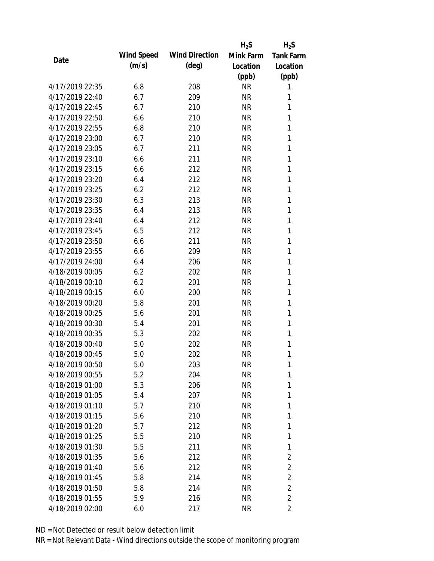|                 |            |                       | $H_2S$    | $H_2S$           |
|-----------------|------------|-----------------------|-----------|------------------|
|                 | Wind Speed | <b>Wind Direction</b> | Mink Farm | <b>Tank Farm</b> |
| Date            | (m/s)      | $(\text{deg})$        | Location  | Location         |
|                 |            |                       | (ppb)     | (ppb)            |
| 4/17/2019 22:35 | 6.8        | 208                   | <b>NR</b> | 1                |
| 4/17/2019 22:40 | 6.7        | 209                   | <b>NR</b> | 1                |
| 4/17/2019 22:45 | 6.7        | 210                   | <b>NR</b> | 1                |
| 4/17/2019 22:50 | 6.6        | 210                   | <b>NR</b> | 1                |
| 4/17/2019 22:55 | 6.8        | 210                   | <b>NR</b> | 1                |
| 4/17/2019 23:00 | 6.7        | 210                   | <b>NR</b> | 1                |
| 4/17/2019 23:05 | 6.7        | 211                   | <b>NR</b> | 1                |
| 4/17/2019 23:10 | 6.6        | 211                   | <b>NR</b> | 1                |
| 4/17/2019 23:15 | 6.6        | 212                   | <b>NR</b> | 1                |
| 4/17/2019 23:20 | 6.4        | 212                   | <b>NR</b> | 1                |
| 4/17/2019 23:25 | 6.2        | 212                   | <b>NR</b> | 1                |
| 4/17/2019 23:30 | 6.3        | 213                   | <b>NR</b> | 1                |
| 4/17/2019 23:35 | 6.4        | 213                   | <b>NR</b> | 1                |
| 4/17/2019 23:40 | 6.4        | 212                   | <b>NR</b> | 1                |
| 4/17/2019 23:45 | 6.5        | 212                   | <b>NR</b> | 1                |
| 4/17/2019 23:50 | 6.6        | 211                   | <b>NR</b> | 1                |
| 4/17/2019 23:55 | 6.6        | 209                   | <b>NR</b> | 1                |
| 4/17/2019 24:00 | 6.4        | 206                   | <b>NR</b> | 1                |
| 4/18/2019 00:05 | 6.2        | 202                   | <b>NR</b> | 1                |
| 4/18/2019 00:10 | 6.2        | 201                   | <b>NR</b> | 1                |
| 4/18/2019 00:15 | 6.0        | 200                   | <b>NR</b> | 1                |
| 4/18/2019 00:20 | 5.8        | 201                   | <b>NR</b> | 1                |
| 4/18/2019 00:25 | 5.6        | 201                   | <b>NR</b> | 1                |
| 4/18/2019 00:30 | 5.4        | 201                   | <b>NR</b> | 1                |
| 4/18/2019 00:35 | 5.3        | 202                   | <b>NR</b> | 1                |
| 4/18/2019 00:40 | 5.0        | 202                   | <b>NR</b> | 1                |
| 4/18/2019 00:45 | 5.0        | 202                   | <b>NR</b> | 1                |
| 4/18/2019 00:50 | 5.0        | 203                   | <b>NR</b> | 1                |
| 4/18/2019 00:55 | 5.2        | 204                   | <b>NR</b> | 1                |
| 4/18/2019 01:00 | 5.3        | 206                   | <b>NR</b> | 1                |
| 4/18/2019 01:05 | 5.4        | 207                   | <b>NR</b> | 1                |
| 4/18/2019 01:10 | 5.7        | 210                   | NR        | 1                |
| 4/18/2019 01:15 | 5.6        | 210                   | <b>NR</b> | 1                |
| 4/18/2019 01:20 | 5.7        | 212                   | <b>NR</b> | 1                |
| 4/18/2019 01:25 | 5.5        | 210                   | <b>NR</b> | 1                |
| 4/18/2019 01:30 | 5.5        | 211                   | NR        | 1                |
| 4/18/2019 01:35 | 5.6        | 212                   | <b>NR</b> | $\overline{2}$   |
| 4/18/2019 01:40 | 5.6        | 212                   | NR        | $\overline{2}$   |
| 4/18/2019 01:45 | 5.8        | 214                   | <b>NR</b> | $\overline{2}$   |
| 4/18/2019 01:50 | 5.8        | 214                   | <b>NR</b> | $\overline{2}$   |
| 4/18/2019 01:55 | 5.9        | 216                   | <b>NR</b> | $\overline{2}$   |
| 4/18/2019 02:00 | 6.0        | 217                   | <b>NR</b> | $\overline{2}$   |
|                 |            |                       |           |                  |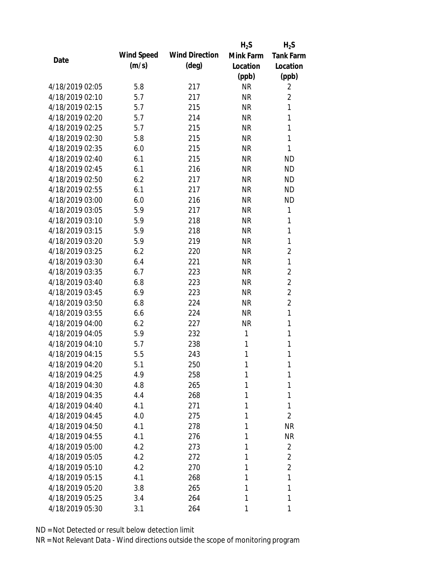|                 |            |                       | $H_2S$    | $H_2S$           |
|-----------------|------------|-----------------------|-----------|------------------|
| Date            | Wind Speed | <b>Wind Direction</b> | Mink Farm | <b>Tank Farm</b> |
|                 | (m/s)      | $(\text{deg})$        | Location  | Location         |
|                 |            |                       | (ppb)     | (ppb)            |
| 4/18/2019 02:05 | 5.8        | 217                   | <b>NR</b> | 2                |
| 4/18/2019 02:10 | 5.7        | 217                   | <b>NR</b> | 2                |
| 4/18/2019 02:15 | 5.7        | 215                   | <b>NR</b> | 1                |
| 4/18/2019 02:20 | 5.7        | 214                   | <b>NR</b> | 1                |
| 4/18/2019 02:25 | 5.7        | 215                   | <b>NR</b> | $\mathbf{1}$     |
| 4/18/2019 02:30 | 5.8        | 215                   | <b>NR</b> | 1                |
| 4/18/2019 02:35 | 6.0        | 215                   | <b>NR</b> | 1                |
| 4/18/2019 02:40 | 6.1        | 215                   | <b>NR</b> | <b>ND</b>        |
| 4/18/2019 02:45 | 6.1        | 216                   | <b>NR</b> | <b>ND</b>        |
| 4/18/2019 02:50 | 6.2        | 217                   | <b>NR</b> | <b>ND</b>        |
| 4/18/2019 02:55 | 6.1        | 217                   | <b>NR</b> | <b>ND</b>        |
| 4/18/2019 03:00 | 6.0        | 216                   | <b>NR</b> | <b>ND</b>        |
| 4/18/2019 03:05 | 5.9        | 217                   | <b>NR</b> | 1                |
| 4/18/2019 03:10 | 5.9        | 218                   | <b>NR</b> | 1                |
| 4/18/2019 03:15 | 5.9        | 218                   | <b>NR</b> | $\mathbf{1}$     |
| 4/18/2019 03:20 | 5.9        | 219                   | <b>NR</b> | 1                |
| 4/18/2019 03:25 | 6.2        | 220                   | <b>NR</b> | $\overline{2}$   |
| 4/18/2019 03:30 | 6.4        | 221                   | <b>NR</b> | 1                |
| 4/18/2019 03:35 | 6.7        | 223                   | <b>NR</b> | $\overline{2}$   |
| 4/18/2019 03:40 | 6.8        | 223                   | <b>NR</b> | $\overline{2}$   |
| 4/18/2019 03:45 | 6.9        | 223                   | <b>NR</b> | $\overline{2}$   |
| 4/18/2019 03:50 | 6.8        | 224                   | <b>NR</b> | $\overline{2}$   |
| 4/18/2019 03:55 | 6.6        | 224                   | <b>NR</b> | 1                |
| 4/18/2019 04:00 | 6.2        | 227                   | <b>NR</b> | 1                |
| 4/18/2019 04:05 | 5.9        | 232                   | 1         | 1                |
| 4/18/2019 04:10 | 5.7        | 238                   | 1         | 1                |
| 4/18/2019 04:15 | 5.5        | 243                   | 1         | 1                |
| 4/18/2019 04:20 | 5.1        | 250                   | 1         | 1                |
| 4/18/2019 04:25 | 4.9        | 258                   | 1         | 1                |
| 4/18/2019 04:30 | 4.8        | 265                   | 1         | 1                |
| 4/18/2019 04:35 | 4.4        | 268                   | 1         | 1                |
| 4/18/2019 04:40 | 4.1        | 271                   | 1         | 1                |
| 4/18/2019 04:45 | 4.0        | 275                   | 1         | $\overline{2}$   |
| 4/18/2019 04:50 | 4.1        | 278                   | 1         | <b>NR</b>        |
| 4/18/2019 04:55 | 4.1        | 276                   | 1         | <b>NR</b>        |
| 4/18/2019 05:00 | 4.2        | 273                   | 1         | $\overline{2}$   |
| 4/18/2019 05:05 | 4.2        | 272                   | 1         | $\overline{2}$   |
| 4/18/2019 05:10 | 4.2        | 270                   | 1         | $\overline{2}$   |
| 4/18/2019 05:15 | 4.1        | 268                   | 1         | 1                |
| 4/18/2019 05:20 | 3.8        | 265                   | 1         | 1                |
| 4/18/2019 05:25 | 3.4        | 264                   | 1         | 1                |
| 4/18/2019 05:30 | 3.1        | 264                   | 1         | 1                |
|                 |            |                       |           |                  |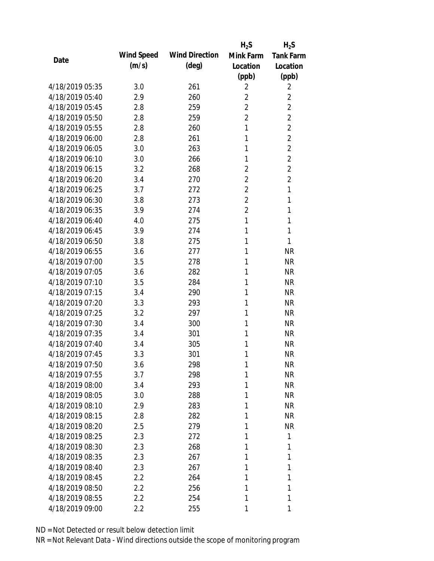|                 |            |                       | $H_2S$         | $H_2S$           |
|-----------------|------------|-----------------------|----------------|------------------|
|                 | Wind Speed | <b>Wind Direction</b> | Mink Farm      | <b>Tank Farm</b> |
| Date            | (m/s)      | $(\text{deg})$        | Location       | Location         |
|                 |            |                       | (ppb)          | (ppb)            |
| 4/18/2019 05:35 | 3.0        | 261                   | 2              | 2                |
| 4/18/2019 05:40 | 2.9        | 260                   | 2              | $\overline{2}$   |
| 4/18/2019 05:45 | 2.8        | 259                   | $\overline{2}$ | $\overline{2}$   |
| 4/18/2019 05:50 | 2.8        | 259                   | $\overline{2}$ | $\overline{2}$   |
| 4/18/2019 05:55 | 2.8        | 260                   | 1              | $\overline{2}$   |
| 4/18/2019 06:00 | 2.8        | 261                   | 1              | $\overline{2}$   |
| 4/18/2019 06:05 | 3.0        | 263                   | 1              | $\overline{2}$   |
| 4/18/2019 06:10 | 3.0        | 266                   | 1              | $\overline{2}$   |
| 4/18/2019 06:15 | 3.2        | 268                   | $\overline{2}$ | $\overline{2}$   |
| 4/18/2019 06:20 | 3.4        | 270                   | $\overline{2}$ | $\overline{2}$   |
| 4/18/2019 06:25 | 3.7        | 272                   | $\overline{2}$ | $\mathbf{1}$     |
| 4/18/2019 06:30 | 3.8        | 273                   | $\overline{2}$ | 1                |
| 4/18/2019 06:35 | 3.9        | 274                   | $\overline{2}$ | 1                |
| 4/18/2019 06:40 | 4.0        | 275                   | 1              | 1                |
| 4/18/2019 06:45 | 3.9        | 274                   | 1              | 1                |
| 4/18/2019 06:50 | 3.8        | 275                   | 1              | 1                |
| 4/18/2019 06:55 | 3.6        | 277                   | 1              | <b>NR</b>        |
| 4/18/2019 07:00 | 3.5        | 278                   | 1              | <b>NR</b>        |
| 4/18/2019 07:05 | 3.6        | 282                   | 1              | <b>NR</b>        |
| 4/18/2019 07:10 | 3.5        | 284                   | 1              | <b>NR</b>        |
| 4/18/2019 07:15 | 3.4        | 290                   | 1              | <b>NR</b>        |
| 4/18/2019 07:20 | 3.3        | 293                   | 1              | <b>NR</b>        |
| 4/18/2019 07:25 | 3.2        | 297                   | 1              | <b>NR</b>        |
| 4/18/2019 07:30 | 3.4        | 300                   | 1              | <b>NR</b>        |
| 4/18/2019 07:35 | 3.4        | 301                   | 1              | <b>NR</b>        |
| 4/18/2019 07:40 | 3.4        | 305                   | 1              | <b>NR</b>        |
| 4/18/2019 07:45 | 3.3        | 301                   | 1              | <b>NR</b>        |
| 4/18/2019 07:50 | 3.6        | 298                   | 1              | <b>NR</b>        |
| 4/18/2019 07:55 | 3.7        | 298                   | 1              | <b>NR</b>        |
| 4/18/2019 08:00 | 3.4        | 293                   | 1              | <b>NR</b>        |
| 4/18/2019 08:05 | 3.0        | 288                   | 1              | <b>NR</b>        |
| 4/18/2019 08:10 | 2.9        | 283                   | 1              | <b>NR</b>        |
| 4/18/2019 08:15 | 2.8        | 282                   | 1              | <b>NR</b>        |
| 4/18/2019 08:20 | 2.5        | 279                   | 1              | <b>NR</b>        |
| 4/18/2019 08:25 | 2.3        | 272                   | 1              | 1                |
| 4/18/2019 08:30 | 2.3        | 268                   | 1              | 1                |
| 4/18/2019 08:35 | 2.3        | 267                   | 1              | 1                |
| 4/18/2019 08:40 | 2.3        | 267                   | 1              | 1                |
| 4/18/2019 08:45 | 2.2        | 264                   | 1              | 1                |
| 4/18/2019 08:50 | $2.2\,$    | 256                   | 1              | 1                |
| 4/18/2019 08:55 | $2.2\,$    | 254                   | 1              | 1                |
| 4/18/2019 09:00 | 2.2        | 255                   | 1              | 1                |
|                 |            |                       |                |                  |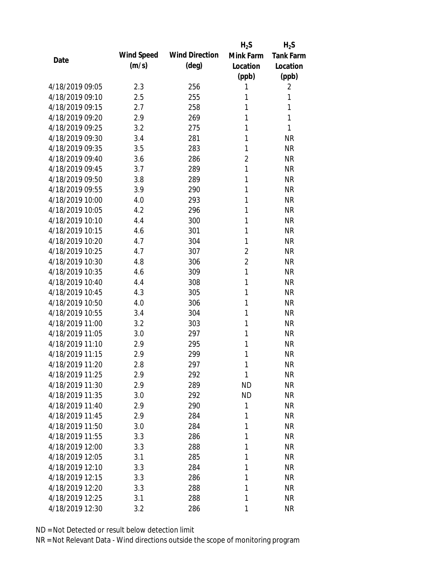|                 |            |                       | $H_2S$         | $H_2S$           |
|-----------------|------------|-----------------------|----------------|------------------|
| Date            | Wind Speed | <b>Wind Direction</b> | Mink Farm      | <b>Tank Farm</b> |
|                 | (m/s)      | $(\text{deg})$        | Location       | Location         |
|                 |            |                       | (ppb)          | (ppb)            |
| 4/18/2019 09:05 | 2.3        | 256                   | 1              | 2                |
| 4/18/2019 09:10 | 2.5        | 255                   | 1              | 1                |
| 4/18/2019 09:15 | 2.7        | 258                   | 1              | 1                |
| 4/18/2019 09:20 | 2.9        | 269                   | 1              | 1                |
| 4/18/2019 09:25 | 3.2        | 275                   | 1              | 1                |
| 4/18/2019 09:30 | 3.4        | 281                   | 1              | <b>NR</b>        |
| 4/18/2019 09:35 | 3.5        | 283                   | 1              | <b>NR</b>        |
| 4/18/2019 09:40 | 3.6        | 286                   | $\overline{2}$ | <b>NR</b>        |
| 4/18/2019 09:45 | 3.7        | 289                   | 1              | <b>NR</b>        |
| 4/18/2019 09:50 | 3.8        | 289                   | 1              | <b>NR</b>        |
| 4/18/2019 09:55 | 3.9        | 290                   | 1              | <b>NR</b>        |
| 4/18/2019 10:00 | 4.0        | 293                   | 1              | <b>NR</b>        |
| 4/18/2019 10:05 | 4.2        | 296                   | 1              | <b>NR</b>        |
| 4/18/2019 10:10 | 4.4        | 300                   | 1              | <b>NR</b>        |
| 4/18/2019 10:15 | 4.6        | 301                   | 1              | <b>NR</b>        |
| 4/18/2019 10:20 | 4.7        | 304                   | 1              | <b>NR</b>        |
| 4/18/2019 10:25 | 4.7        | 307                   | 2              | <b>NR</b>        |
| 4/18/2019 10:30 | 4.8        | 306                   | $\overline{2}$ | <b>NR</b>        |
| 4/18/2019 10:35 | 4.6        | 309                   | $\mathbf{1}$   | <b>NR</b>        |
| 4/18/2019 10:40 | 4.4        | 308                   | 1              | <b>NR</b>        |
| 4/18/2019 10:45 | 4.3        | 305                   | 1              | <b>NR</b>        |
| 4/18/2019 10:50 | 4.0        | 306                   | 1              | <b>NR</b>        |
| 4/18/2019 10:55 | 3.4        | 304                   | 1              | <b>NR</b>        |
| 4/18/2019 11:00 | 3.2        | 303                   | 1              | <b>NR</b>        |
| 4/18/2019 11:05 | 3.0        | 297                   | 1              | <b>NR</b>        |
| 4/18/2019 11:10 | 2.9        | 295                   | 1              | <b>NR</b>        |
| 4/18/2019 11:15 | 2.9        | 299                   | 1              | <b>NR</b>        |
| 4/18/2019 11:20 | 2.8        | 297                   | 1              | <b>NR</b>        |
| 4/18/2019 11:25 | 2.9        | 292                   | 1              | <b>NR</b>        |
| 4/18/2019 11:30 | 2.9        | 289                   | <b>ND</b>      | <b>NR</b>        |
| 4/18/2019 11:35 | 3.0        | 292                   | <b>ND</b>      | <b>NR</b>        |
| 4/18/2019 11:40 | 2.9        | 290                   | 1              | <b>NR</b>        |
| 4/18/2019 11:45 | 2.9        | 284                   | 1              | <b>NR</b>        |
| 4/18/2019 11:50 | 3.0        | 284                   | 1              | <b>NR</b>        |
| 4/18/2019 11:55 | 3.3        | 286                   | 1              | <b>NR</b>        |
| 4/18/2019 12:00 | 3.3        | 288                   | 1              | <b>NR</b>        |
| 4/18/2019 12:05 | 3.1        | 285                   | 1              | <b>NR</b>        |
| 4/18/2019 12:10 | 3.3        | 284                   | 1              | <b>NR</b>        |
| 4/18/2019 12:15 | 3.3        | 286                   | 1              | <b>NR</b>        |
| 4/18/2019 12:20 | 3.3        | 288                   | 1              | <b>NR</b>        |
| 4/18/2019 12:25 | 3.1        | 288                   | 1              | <b>NR</b>        |
| 4/18/2019 12:30 | 3.2        | 286                   | 1              | <b>NR</b>        |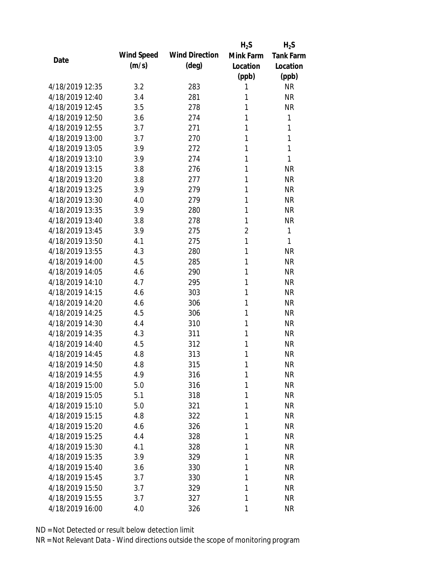|                 |            |                       | $H_2S$         | $H_2S$           |
|-----------------|------------|-----------------------|----------------|------------------|
| Date            | Wind Speed | <b>Wind Direction</b> | Mink Farm      | <b>Tank Farm</b> |
|                 | (m/s)      | $(\text{deg})$        | Location       | Location         |
|                 |            |                       | (ppb)          | (ppb)            |
| 4/18/2019 12:35 | 3.2        | 283                   | 1              | <b>NR</b>        |
| 4/18/2019 12:40 | 3.4        | 281                   | 1              | <b>NR</b>        |
| 4/18/2019 12:45 | 3.5        | 278                   | 1              | <b>NR</b>        |
| 4/18/2019 12:50 | 3.6        | 274                   | 1              | 1                |
| 4/18/2019 12:55 | 3.7        | 271                   | 1              | 1                |
| 4/18/2019 13:00 | 3.7        | 270                   | 1              | 1                |
| 4/18/2019 13:05 | 3.9        | 272                   | 1              | 1                |
| 4/18/2019 13:10 | 3.9        | 274                   | 1              | 1                |
| 4/18/2019 13:15 | 3.8        | 276                   | 1              | <b>NR</b>        |
| 4/18/2019 13:20 | 3.8        | 277                   | 1              | <b>NR</b>        |
| 4/18/2019 13:25 | 3.9        | 279                   | 1              | <b>NR</b>        |
| 4/18/2019 13:30 | 4.0        | 279                   | 1              | <b>NR</b>        |
| 4/18/2019 13:35 | 3.9        | 280                   | 1              | <b>NR</b>        |
| 4/18/2019 13:40 | 3.8        | 278                   | 1              | <b>NR</b>        |
| 4/18/2019 13:45 | 3.9        | 275                   | $\overline{2}$ | 1                |
| 4/18/2019 13:50 | 4.1        | 275                   | 1              | 1                |
| 4/18/2019 13:55 | 4.3        | 280                   | 1              | <b>NR</b>        |
| 4/18/2019 14:00 | 4.5        | 285                   | 1              | <b>NR</b>        |
| 4/18/2019 14:05 | 4.6        | 290                   | 1              | <b>NR</b>        |
| 4/18/2019 14:10 | 4.7        | 295                   | 1              | <b>NR</b>        |
| 4/18/2019 14:15 | 4.6        | 303                   | 1              | <b>NR</b>        |
| 4/18/2019 14:20 | 4.6        | 306                   | 1              | <b>NR</b>        |
| 4/18/2019 14:25 | 4.5        | 306                   | 1              | <b>NR</b>        |
| 4/18/2019 14:30 | 4.4        | 310                   | 1              | <b>NR</b>        |
| 4/18/2019 14:35 | 4.3        | 311                   | 1              | <b>NR</b>        |
| 4/18/2019 14:40 | 4.5        | 312                   | 1              | <b>NR</b>        |
| 4/18/2019 14:45 | 4.8        | 313                   | 1              | <b>NR</b>        |
| 4/18/2019 14:50 | 4.8        | 315                   | 1              | <b>NR</b>        |
| 4/18/2019 14:55 | 4.9        | 316                   | 1              | <b>NR</b>        |
| 4/18/2019 15:00 | 5.0        | 316                   | 1              | <b>NR</b>        |
| 4/18/2019 15:05 | 5.1        | 318                   | 1              | <b>NR</b>        |
| 4/18/2019 15:10 | 5.0        | 321                   | 1              | <b>NR</b>        |
| 4/18/2019 15:15 | 4.8        | 322                   | 1              | <b>NR</b>        |
| 4/18/2019 15:20 | 4.6        | 326                   | 1              | <b>NR</b>        |
| 4/18/2019 15:25 | 4.4        | 328                   | 1              | <b>NR</b>        |
| 4/18/2019 15:30 | 4.1        | 328                   | 1              | <b>NR</b>        |
| 4/18/2019 15:35 | 3.9        | 329                   | 1              | <b>NR</b>        |
| 4/18/2019 15:40 | 3.6        | 330                   | 1              | <b>NR</b>        |
| 4/18/2019 15:45 | 3.7        | 330                   | 1              | <b>NR</b>        |
| 4/18/2019 15:50 | 3.7        | 329                   | 1              | <b>NR</b>        |
| 4/18/2019 15:55 | 3.7        | 327                   | 1              | <b>NR</b>        |
| 4/18/2019 16:00 | 4.0        | 326                   | 1              | <b>NR</b>        |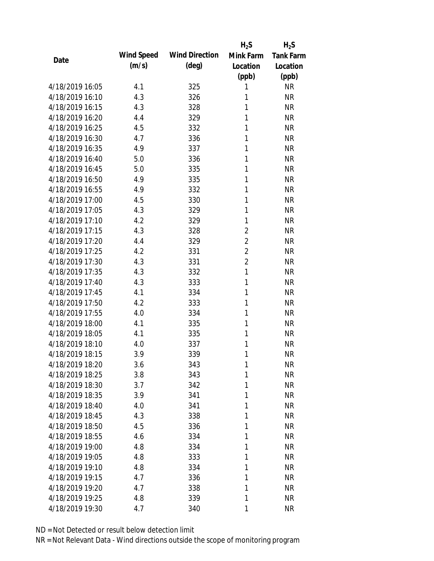|                 |            |                       | $H_2S$         | $H_2S$           |
|-----------------|------------|-----------------------|----------------|------------------|
| Date            | Wind Speed | <b>Wind Direction</b> | Mink Farm      | <b>Tank Farm</b> |
|                 | (m/s)      | $(\text{deg})$        | Location       | Location         |
|                 |            |                       | (ppb)          | (ppb)            |
| 4/18/2019 16:05 | 4.1        | 325                   | 1              | <b>NR</b>        |
| 4/18/2019 16:10 | 4.3        | 326                   | 1              | <b>NR</b>        |
| 4/18/2019 16:15 | 4.3        | 328                   | 1              | <b>NR</b>        |
| 4/18/2019 16:20 | 4.4        | 329                   | 1              | <b>NR</b>        |
| 4/18/2019 16:25 | 4.5        | 332                   | 1              | <b>NR</b>        |
| 4/18/2019 16:30 | 4.7        | 336                   | 1              | <b>NR</b>        |
| 4/18/2019 16:35 | 4.9        | 337                   | 1              | <b>NR</b>        |
| 4/18/2019 16:40 | 5.0        | 336                   | 1              | <b>NR</b>        |
| 4/18/2019 16:45 | 5.0        | 335                   | 1              | <b>NR</b>        |
| 4/18/2019 16:50 | 4.9        | 335                   | 1              | <b>NR</b>        |
| 4/18/2019 16:55 | 4.9        | 332                   | 1              | <b>NR</b>        |
| 4/18/2019 17:00 | 4.5        | 330                   | 1              | <b>NR</b>        |
| 4/18/2019 17:05 | 4.3        | 329                   | 1              | <b>NR</b>        |
| 4/18/2019 17:10 | 4.2        | 329                   | 1              | <b>NR</b>        |
| 4/18/2019 17:15 | 4.3        | 328                   | $\overline{2}$ | <b>NR</b>        |
| 4/18/2019 17:20 | 4.4        | 329                   | $\overline{2}$ | <b>NR</b>        |
| 4/18/2019 17:25 | 4.2        | 331                   | $\overline{2}$ | <b>NR</b>        |
| 4/18/2019 17:30 | 4.3        | 331                   | $\overline{2}$ | <b>NR</b>        |
| 4/18/2019 17:35 | 4.3        | 332                   | $\mathbf{1}$   | <b>NR</b>        |
| 4/18/2019 17:40 | 4.3        | 333                   | 1              | <b>NR</b>        |
| 4/18/2019 17:45 | 4.1        | 334                   | 1              | <b>NR</b>        |
| 4/18/2019 17:50 | 4.2        | 333                   | 1              | <b>NR</b>        |
| 4/18/2019 17:55 | 4.0        | 334                   | 1              | <b>NR</b>        |
| 4/18/2019 18:00 | 4.1        | 335                   | 1              | <b>NR</b>        |
| 4/18/2019 18:05 | 4.1        | 335                   | 1              | <b>NR</b>        |
| 4/18/2019 18:10 | 4.0        | 337                   | 1              | <b>NR</b>        |
| 4/18/2019 18:15 | 3.9        | 339                   | 1              | <b>NR</b>        |
| 4/18/2019 18:20 | 3.6        | 343                   | 1              | <b>NR</b>        |
| 4/18/2019 18:25 | 3.8        | 343                   | 1              | <b>NR</b>        |
| 4/18/2019 18:30 | 3.7        | 342                   | 1              | <b>NR</b>        |
| 4/18/2019 18:35 | 3.9        | 341                   | 1              | <b>NR</b>        |
| 4/18/2019 18:40 | 4.0        | 341                   | 1              | <b>NR</b>        |
| 4/18/2019 18:45 | 4.3        | 338                   | 1              | <b>NR</b>        |
| 4/18/2019 18:50 | 4.5        | 336                   | 1              | <b>NR</b>        |
| 4/18/2019 18:55 | 4.6        | 334                   | 1              | <b>NR</b>        |
| 4/18/2019 19:00 | 4.8        | 334                   | 1              | <b>NR</b>        |
| 4/18/2019 19:05 | 4.8        | 333                   | 1              | <b>NR</b>        |
| 4/18/2019 19:10 | 4.8        | 334                   | 1              | <b>NR</b>        |
| 4/18/2019 19:15 | 4.7        | 336                   | 1              | <b>NR</b>        |
| 4/18/2019 19:20 | 4.7        | 338                   | 1              | <b>NR</b>        |
| 4/18/2019 19:25 | 4.8        | 339                   | 1              | <b>NR</b>        |
| 4/18/2019 19:30 | 4.7        | 340                   | 1              | <b>NR</b>        |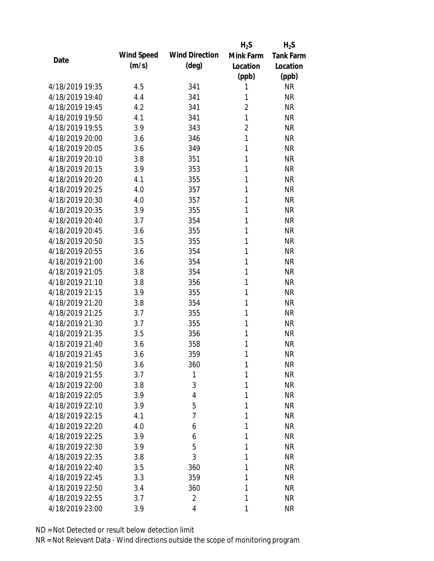|                 |            |                       | $H_2S$         | $H_2S$           |
|-----------------|------------|-----------------------|----------------|------------------|
| Date            | Wind Speed | <b>Wind Direction</b> | Mink Farm      | <b>Tank Farm</b> |
|                 | (m/s)      | $(\text{deg})$        | Location       | Location         |
|                 |            |                       | (ppb)          | (ppb)            |
| 4/18/2019 19:35 | 4.5        | 341                   | 1              | <b>NR</b>        |
| 4/18/2019 19:40 | 4.4        | 341                   | 1              | <b>NR</b>        |
| 4/18/2019 19:45 | 4.2        | 341                   | $\overline{2}$ | <b>NR</b>        |
| 4/18/2019 19:50 | 4.1        | 341                   | $\mathbf{1}$   | <b>NR</b>        |
| 4/18/2019 19:55 | 3.9        | 343                   | $\overline{2}$ | <b>NR</b>        |
| 4/18/2019 20:00 | 3.6        | 346                   | $\mathbf{1}$   | <b>NR</b>        |
| 4/18/2019 20:05 | 3.6        | 349                   | 1              | <b>NR</b>        |
| 4/18/2019 20:10 | 3.8        | 351                   | 1              | <b>NR</b>        |
| 4/18/2019 20:15 | 3.9        | 353                   | 1              | <b>NR</b>        |
| 4/18/2019 20:20 | 4.1        | 355                   | 1              | <b>NR</b>        |
| 4/18/2019 20:25 | 4.0        | 357                   | 1              | <b>NR</b>        |
| 4/18/2019 20:30 | 4.0        | 357                   | 1              | <b>NR</b>        |
| 4/18/2019 20:35 | 3.9        | 355                   | 1              | <b>NR</b>        |
| 4/18/2019 20:40 | 3.7        | 354                   | 1              | <b>NR</b>        |
| 4/18/2019 20:45 | 3.6        | 355                   | 1              | <b>NR</b>        |
| 4/18/2019 20:50 | 3.5        | 355                   | 1              | <b>NR</b>        |
| 4/18/2019 20:55 | 3.6        | 354                   | 1              | <b>NR</b>        |
| 4/18/2019 21:00 | 3.6        | 354                   | 1              | <b>NR</b>        |
| 4/18/2019 21:05 | 3.8        | 354                   | 1              | <b>NR</b>        |
| 4/18/2019 21:10 | 3.8        | 356                   | 1              | <b>NR</b>        |
| 4/18/2019 21:15 | 3.9        | 355                   | 1              | <b>NR</b>        |
| 4/18/2019 21:20 | 3.8        | 354                   | 1              | <b>NR</b>        |
| 4/18/2019 21:25 | 3.7        | 355                   | 1              | <b>NR</b>        |
| 4/18/2019 21:30 | 3.7        | 355                   | 1              | <b>NR</b>        |
| 4/18/2019 21:35 | 3.5        | 356                   | 1              | <b>NR</b>        |
| 4/18/2019 21:40 | 3.6        | 358                   | 1              | <b>NR</b>        |
| 4/18/2019 21:45 | 3.6        | 359                   | 1              | <b>NR</b>        |
| 4/18/2019 21:50 | 3.6        | 360                   | 1              | <b>NR</b>        |
| 4/18/2019 21:55 | 3.7        | 1                     | 1              | <b>NR</b>        |
| 4/18/2019 22:00 | 3.8        | 3                     | 1              | <b>NR</b>        |
| 4/18/2019 22:05 | 3.9        | 4                     | 1              | <b>NR</b>        |
| 4/18/2019 22:10 | 3.9        | 5                     | 1              | <b>NR</b>        |
| 4/18/2019 22:15 | 4.1        | 7                     | 1              | <b>NR</b>        |
| 4/18/2019 22:20 | 4.0        | 6                     | 1              | <b>NR</b>        |
| 4/18/2019 22:25 | 3.9        | 6                     | 1              | <b>NR</b>        |
| 4/18/2019 22:30 | 3.9        | 5                     | 1              | <b>NR</b>        |
| 4/18/2019 22:35 | 3.8        | 3                     | 1              | <b>NR</b>        |
| 4/18/2019 22:40 | 3.5        | 360                   | 1              | <b>NR</b>        |
| 4/18/2019 22:45 | 3.3        | 359                   | 1              | <b>NR</b>        |
| 4/18/2019 22:50 | 3.4        | 360                   | 1              | <b>NR</b>        |
| 4/18/2019 22:55 | 3.7        | $\overline{2}$        | 1              | <b>NR</b>        |
| 4/18/2019 23:00 | 3.9        | 4                     | 1              | <b>NR</b>        |
|                 |            |                       |                |                  |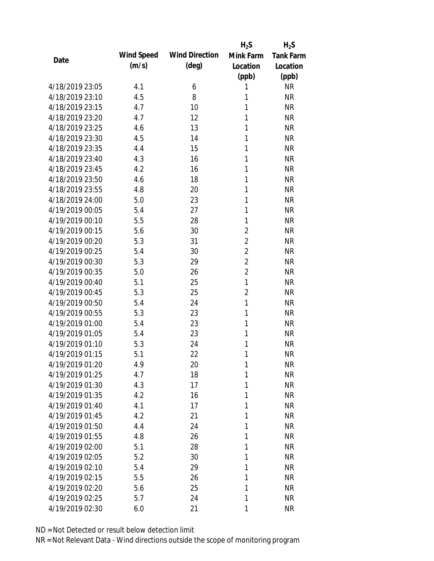|                 |            |                       | $H_2S$         | $H_2S$           |
|-----------------|------------|-----------------------|----------------|------------------|
| Date            | Wind Speed | <b>Wind Direction</b> | Mink Farm      | <b>Tank Farm</b> |
|                 | (m/s)      | $(\text{deg})$        | Location       | Location         |
|                 |            |                       | (ppb)          | (ppb)            |
| 4/18/2019 23:05 | 4.1        | 6                     | 1              | <b>NR</b>        |
| 4/18/2019 23:10 | 4.5        | 8                     | 1              | <b>NR</b>        |
| 4/18/2019 23:15 | 4.7        | 10                    | 1              | <b>NR</b>        |
| 4/18/2019 23:20 | 4.7        | 12                    | 1              | <b>NR</b>        |
| 4/18/2019 23:25 | 4.6        | 13                    | 1              | <b>NR</b>        |
| 4/18/2019 23:30 | 4.5        | 14                    | 1              | <b>NR</b>        |
| 4/18/2019 23:35 | 4.4        | 15                    | 1              | <b>NR</b>        |
| 4/18/2019 23:40 | 4.3        | 16                    | 1              | <b>NR</b>        |
| 4/18/2019 23:45 | 4.2        | 16                    | 1              | <b>NR</b>        |
| 4/18/2019 23:50 | 4.6        | 18                    | 1              | <b>NR</b>        |
| 4/18/2019 23:55 | 4.8        | 20                    | 1              | <b>NR</b>        |
| 4/18/2019 24:00 | 5.0        | 23                    | 1              | <b>NR</b>        |
| 4/19/2019 00:05 | 5.4        | 27                    | 1              | <b>NR</b>        |
| 4/19/2019 00:10 | 5.5        | 28                    | 1              | <b>NR</b>        |
| 4/19/2019 00:15 | 5.6        | 30                    | $\overline{2}$ | <b>NR</b>        |
| 4/19/2019 00:20 | 5.3        | 31                    | $\overline{2}$ | <b>NR</b>        |
| 4/19/2019 00:25 | 5.4        | 30                    | $\overline{2}$ | <b>NR</b>        |
| 4/19/2019 00:30 | 5.3        | 29                    | $\overline{2}$ | <b>NR</b>        |
| 4/19/2019 00:35 | 5.0        | 26                    | $\overline{2}$ | <b>NR</b>        |
| 4/19/2019 00:40 | 5.1        | 25                    | $\mathbf{1}$   | <b>NR</b>        |
| 4/19/2019 00:45 | 5.3        | 25                    | $\overline{2}$ | <b>NR</b>        |
| 4/19/2019 00:50 | 5.4        | 24                    | $\mathbf{1}$   | <b>NR</b>        |
| 4/19/2019 00:55 | 5.3        | 23                    | 1              | <b>NR</b>        |
| 4/19/2019 01:00 | 5.4        | 23                    | 1              | <b>NR</b>        |
| 4/19/2019 01:05 | 5.4        | 23                    | 1              | <b>NR</b>        |
| 4/19/2019 01:10 | 5.3        | 24                    | 1              | <b>NR</b>        |
| 4/19/2019 01:15 | 5.1        | 22                    | 1              | <b>NR</b>        |
| 4/19/2019 01:20 | 4.9        | 20                    | 1              | <b>NR</b>        |
| 4/19/2019 01:25 | 4.7        | 18                    | 1              | <b>NR</b>        |
| 4/19/2019 01:30 | 4.3        | 17                    | 1              | <b>NR</b>        |
| 4/19/2019 01:35 | 4.2        | 16                    | 1              | <b>NR</b>        |
| 4/19/2019 01:40 | 4.1        | 17                    | 1              | <b>NR</b>        |
| 4/19/2019 01:45 | 4.2        | 21                    | 1              | <b>NR</b>        |
| 4/19/2019 01:50 | 4.4        | 24                    | 1              | <b>NR</b>        |
| 4/19/2019 01:55 | 4.8        | 26                    | 1              | <b>NR</b>        |
| 4/19/2019 02:00 | 5.1        | 28                    | 1              | <b>NR</b>        |
| 4/19/2019 02:05 | 5.2        | 30                    | 1              | <b>NR</b>        |
| 4/19/2019 02:10 | 5.4        | 29                    | 1              | <b>NR</b>        |
| 4/19/2019 02:15 | 5.5        | 26                    | 1              | <b>NR</b>        |
| 4/19/2019 02:20 | 5.6        | 25                    | 1              | <b>NR</b>        |
| 4/19/2019 02:25 | 5.7        | 24                    | 1              | <b>NR</b>        |
| 4/19/2019 02:30 | 6.0        | 21                    | 1              | <b>NR</b>        |
|                 |            |                       |                |                  |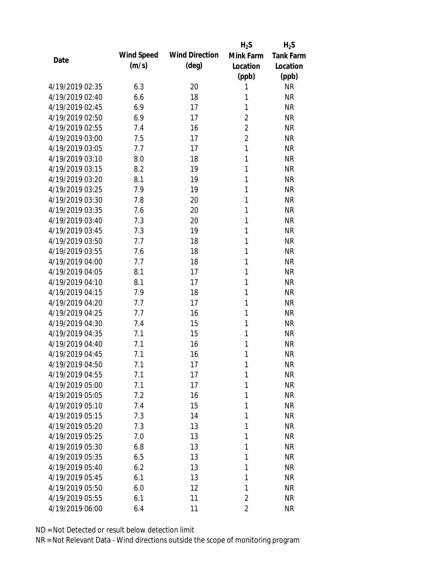|                 |            |                       | $H_2S$         | $H_2S$           |
|-----------------|------------|-----------------------|----------------|------------------|
| Date            | Wind Speed | <b>Wind Direction</b> | Mink Farm      | <b>Tank Farm</b> |
|                 | (m/s)      | $(\text{deg})$        | Location       | Location         |
|                 |            |                       | (ppb)          | (ppb)            |
| 4/19/2019 02:35 | 6.3        | 20                    | 1              | <b>NR</b>        |
| 4/19/2019 02:40 | 6.6        | 18                    | 1              | <b>NR</b>        |
| 4/19/2019 02:45 | 6.9        | 17                    | 1              | <b>NR</b>        |
| 4/19/2019 02:50 | 6.9        | 17                    | $\overline{2}$ | <b>NR</b>        |
| 4/19/2019 02:55 | 7.4        | 16                    | $\overline{2}$ | <b>NR</b>        |
| 4/19/2019 03:00 | 7.5        | 17                    | $\overline{2}$ | <b>NR</b>        |
| 4/19/2019 03:05 | 7.7        | 17                    | 1              | <b>NR</b>        |
| 4/19/2019 03:10 | 8.0        | 18                    | 1              | <b>NR</b>        |
| 4/19/2019 03:15 | 8.2        | 19                    | 1              | <b>NR</b>        |
| 4/19/2019 03:20 | 8.1        | 19                    | 1              | <b>NR</b>        |
| 4/19/2019 03:25 | 7.9        | 19                    | 1              | <b>NR</b>        |
| 4/19/2019 03:30 | 7.8        | 20                    | 1              | <b>NR</b>        |
| 4/19/2019 03:35 | 7.6        | 20                    | 1              | <b>NR</b>        |
| 4/19/2019 03:40 | 7.3        | 20                    | 1              | <b>NR</b>        |
| 4/19/2019 03:45 | 7.3        | 19                    | 1              | <b>NR</b>        |
| 4/19/2019 03:50 | 7.7        | 18                    | 1              | <b>NR</b>        |
| 4/19/2019 03:55 | 7.6        | 18                    | 1              | <b>NR</b>        |
| 4/19/2019 04:00 | 7.7        | 18                    | 1              | <b>NR</b>        |
| 4/19/2019 04:05 | 8.1        | 17                    | 1              | <b>NR</b>        |
| 4/19/2019 04:10 | 8.1        | 17                    | 1              | <b>NR</b>        |
| 4/19/2019 04:15 | 7.9        | 18                    | 1              | <b>NR</b>        |
| 4/19/2019 04:20 | 7.7        | 17                    | 1              | <b>NR</b>        |
| 4/19/2019 04:25 | 7.7        | 16                    | 1              | <b>NR</b>        |
| 4/19/2019 04:30 | 7.4        | 15                    | 1              | <b>NR</b>        |
| 4/19/2019 04:35 | 7.1        | 15                    | 1              | <b>NR</b>        |
| 4/19/2019 04:40 | 7.1        | 16                    | 1              | <b>NR</b>        |
| 4/19/2019 04:45 | 7.1        | 16                    | 1              | <b>NR</b>        |
| 4/19/2019 04:50 | 7.1        | 17                    | 1              | <b>NR</b>        |
| 4/19/2019 04:55 | 7.1        | 17                    | 1              | <b>NR</b>        |
| 4/19/2019 05:00 | 7.1        | 17                    | 1              | <b>NR</b>        |
| 4/19/2019 05:05 | 7.2        | 16                    | 1              | <b>NR</b>        |
| 4/19/2019 05:10 | 7.4        | 15                    | 1              | <b>NR</b>        |
| 4/19/2019 05:15 | 7.3        | 14                    | 1              | <b>NR</b>        |
| 4/19/2019 05:20 | 7.3        | 13                    | 1              | <b>NR</b>        |
| 4/19/2019 05:25 | 7.0        | 13                    | 1              | <b>NR</b>        |
| 4/19/2019 05:30 | 6.8        | 13                    | 1              | <b>NR</b>        |
| 4/19/2019 05:35 | 6.5        | 13                    | 1              | <b>NR</b>        |
| 4/19/2019 05:40 | 6.2        | 13                    | 1              | <b>NR</b>        |
| 4/19/2019 05:45 | 6.1        | 13                    | 1              | <b>NR</b>        |
| 4/19/2019 05:50 | 6.0        | 12                    | 1              | <b>NR</b>        |
| 4/19/2019 05:55 | 6.1        | 11                    | 2              | <b>NR</b>        |
| 4/19/2019 06:00 | 6.4        | 11                    | $\overline{2}$ | <b>NR</b>        |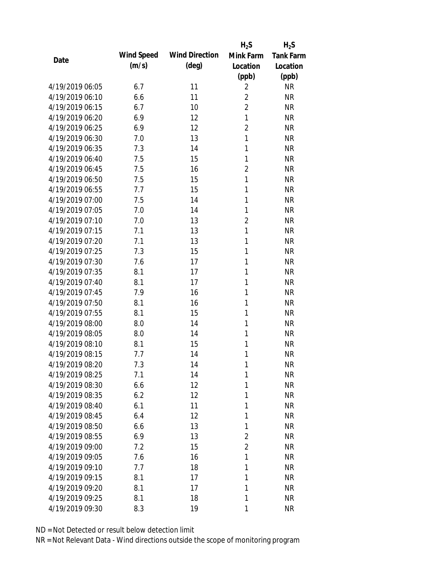|                 |            |                       | $H_2S$         | $H_2S$           |
|-----------------|------------|-----------------------|----------------|------------------|
| Date            | Wind Speed | <b>Wind Direction</b> | Mink Farm      | <b>Tank Farm</b> |
|                 | (m/s)      | (deg)                 | Location       | Location         |
|                 |            |                       | (ppb)          | (ppb)            |
| 4/19/2019 06:05 | 6.7        | 11                    | $\overline{2}$ | <b>NR</b>        |
| 4/19/2019 06:10 | 6.6        | 11                    | $\overline{2}$ | <b>NR</b>        |
| 4/19/2019 06:15 | 6.7        | 10                    | $\overline{2}$ | <b>NR</b>        |
| 4/19/2019 06:20 | 6.9        | 12                    | $\mathbf{1}$   | <b>NR</b>        |
| 4/19/2019 06:25 | 6.9        | 12                    | $\overline{2}$ | <b>NR</b>        |
| 4/19/2019 06:30 | 7.0        | 13                    | $\mathbf{1}$   | <b>NR</b>        |
| 4/19/2019 06:35 | 7.3        | 14                    | 1              | <b>NR</b>        |
| 4/19/2019 06:40 | 7.5        | 15                    | 1              | <b>NR</b>        |
| 4/19/2019 06:45 | 7.5        | 16                    | $\overline{2}$ | <b>NR</b>        |
| 4/19/2019 06:50 | 7.5        | 15                    | $\mathbf{1}$   | <b>NR</b>        |
| 4/19/2019 06:55 | 7.7        | 15                    | 1              | <b>NR</b>        |
| 4/19/2019 07:00 | 7.5        | 14                    | 1              | <b>NR</b>        |
| 4/19/2019 07:05 | 7.0        | 14                    | 1              | <b>NR</b>        |
| 4/19/2019 07:10 | 7.0        | 13                    | $\overline{2}$ | <b>NR</b>        |
| 4/19/2019 07:15 | 7.1        | 13                    | $\mathbf{1}$   | <b>NR</b>        |
| 4/19/2019 07:20 | 7.1        | 13                    | 1              | <b>NR</b>        |
| 4/19/2019 07:25 | 7.3        | 15                    | 1              | <b>NR</b>        |
| 4/19/2019 07:30 | 7.6        | 17                    | 1              | <b>NR</b>        |
| 4/19/2019 07:35 | 8.1        | 17                    | 1              | <b>NR</b>        |
| 4/19/2019 07:40 | 8.1        | 17                    | 1              | <b>NR</b>        |
| 4/19/2019 07:45 | 7.9        | 16                    | 1              | <b>NR</b>        |
| 4/19/2019 07:50 | 8.1        | 16                    | 1              | <b>NR</b>        |
| 4/19/2019 07:55 | 8.1        | 15                    | 1              | <b>NR</b>        |
| 4/19/2019 08:00 | 8.0        | 14                    | 1              | <b>NR</b>        |
| 4/19/2019 08:05 | 8.0        | 14                    | 1              | <b>NR</b>        |
| 4/19/2019 08:10 | 8.1        | 15                    | 1              | <b>NR</b>        |
| 4/19/2019 08:15 | 7.7        | 14                    | 1              | <b>NR</b>        |
| 4/19/2019 08:20 | 7.3        | 14                    | 1              | <b>NR</b>        |
| 4/19/2019 08:25 | 7.1        | 14                    | 1              | <b>NR</b>        |
| 4/19/2019 08:30 | 6.6        | 12                    | 1              | <b>NR</b>        |
| 4/19/2019 08:35 | 6.2        | 12                    | 1              | <b>NR</b>        |
| 4/19/2019 08:40 | 6.1        | 11                    | 1              | NR               |
| 4/19/2019 08:45 | 6.4        | 12                    | 1              | <b>NR</b>        |
| 4/19/2019 08:50 | 6.6        | 13                    | 1              | <b>NR</b>        |
| 4/19/2019 08:55 | 6.9        | 13                    | 2              | <b>NR</b>        |
| 4/19/2019 09:00 | 7.2        | 15                    | $\overline{2}$ | <b>NR</b>        |
| 4/19/2019 09:05 | 7.6        | 16                    | 1              | <b>NR</b>        |
| 4/19/2019 09:10 | 7.7        | 18                    | 1              | <b>NR</b>        |
| 4/19/2019 09:15 | 8.1        | 17                    | 1              | <b>NR</b>        |
| 4/19/2019 09:20 | 8.1        | 17                    | 1              | <b>NR</b>        |
| 4/19/2019 09:25 | 8.1        | 18                    | 1              | <b>NR</b>        |
| 4/19/2019 09:30 | 8.3        | 19                    | 1              | <b>NR</b>        |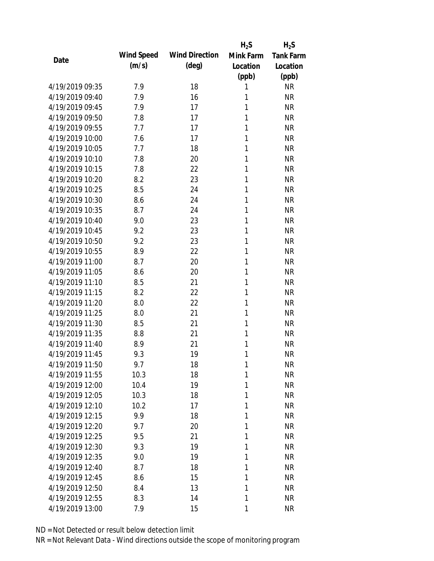|                 |            |                       | $H_2S$       | $H_2S$           |
|-----------------|------------|-----------------------|--------------|------------------|
| Date            | Wind Speed | <b>Wind Direction</b> | Mink Farm    | <b>Tank Farm</b> |
|                 | (m/s)      | $(\text{deg})$        | Location     | Location         |
|                 |            |                       | (ppb)        | (ppb)            |
| 4/19/2019 09:35 | 7.9        | 18                    | 1            | <b>NR</b>        |
| 4/19/2019 09:40 | 7.9        | 16                    | 1            | <b>NR</b>        |
| 4/19/2019 09:45 | 7.9        | 17                    | 1            | <b>NR</b>        |
| 4/19/2019 09:50 | 7.8        | 17                    | 1            | <b>NR</b>        |
| 4/19/2019 09:55 | 7.7        | 17                    | 1            | <b>NR</b>        |
| 4/19/2019 10:00 | 7.6        | 17                    | 1            | <b>NR</b>        |
| 4/19/2019 10:05 | 7.7        | 18                    | 1            | <b>NR</b>        |
| 4/19/2019 10:10 | 7.8        | 20                    | 1            | <b>NR</b>        |
| 4/19/2019 10:15 | 7.8        | 22                    | 1            | <b>NR</b>        |
| 4/19/2019 10:20 | 8.2        | 23                    | 1            | <b>NR</b>        |
| 4/19/2019 10:25 | 8.5        | 24                    | 1            | <b>NR</b>        |
| 4/19/2019 10:30 | 8.6        | 24                    | 1            | <b>NR</b>        |
| 4/19/2019 10:35 | 8.7        | 24                    | 1            | <b>NR</b>        |
| 4/19/2019 10:40 | 9.0        | 23                    | 1            | <b>NR</b>        |
| 4/19/2019 10:45 | 9.2        | 23                    | 1            | <b>NR</b>        |
| 4/19/2019 10:50 | 9.2        | 23                    | 1            | <b>NR</b>        |
| 4/19/2019 10:55 | 8.9        | 22                    | 1            | <b>NR</b>        |
| 4/19/2019 11:00 | 8.7        | 20                    | 1            | <b>NR</b>        |
| 4/19/2019 11:05 | 8.6        | 20                    | 1            | <b>NR</b>        |
| 4/19/2019 11:10 | 8.5        | 21                    | 1            | <b>NR</b>        |
| 4/19/2019 11:15 | 8.2        | 22                    | 1            | <b>NR</b>        |
| 4/19/2019 11:20 | 8.0        | 22                    | 1            | <b>NR</b>        |
| 4/19/2019 11:25 | 8.0        | 21                    | 1            | <b>NR</b>        |
| 4/19/2019 11:30 | 8.5        | 21                    | 1            | <b>NR</b>        |
| 4/19/2019 11:35 | 8.8        | 21                    | 1            | <b>NR</b>        |
| 4/19/2019 11:40 | 8.9        | 21                    | 1            | <b>NR</b>        |
| 4/19/2019 11:45 | 9.3        | 19                    | 1            | <b>NR</b>        |
| 4/19/2019 11:50 | 9.7        | 18                    | $\mathbf{1}$ | <b>NR</b>        |
| 4/19/2019 11:55 | 10.3       | 18                    | 1            | <b>NR</b>        |
| 4/19/2019 12:00 | 10.4       | 19                    | 1            | <b>NR</b>        |
| 4/19/2019 12:05 | 10.3       | 18                    | 1            | <b>NR</b>        |
| 4/19/2019 12:10 | 10.2       | 17                    | 1            | <b>NR</b>        |
| 4/19/2019 12:15 | 9.9        | 18                    | 1            | <b>NR</b>        |
| 4/19/2019 12:20 | 9.7        | 20                    | 1            | <b>NR</b>        |
| 4/19/2019 12:25 | 9.5        | 21                    | 1            | <b>NR</b>        |
| 4/19/2019 12:30 | 9.3        | 19                    | 1            | <b>NR</b>        |
| 4/19/2019 12:35 | 9.0        | 19                    | 1            | <b>NR</b>        |
| 4/19/2019 12:40 | 8.7        | 18                    | 1            | <b>NR</b>        |
| 4/19/2019 12:45 | 8.6        | 15                    | 1            | <b>NR</b>        |
| 4/19/2019 12:50 | 8.4        | 13                    | 1            | <b>NR</b>        |
| 4/19/2019 12:55 | 8.3        | 14                    | 1            | <b>NR</b>        |
| 4/19/2019 13:00 | 7.9        | 15                    | 1            | <b>NR</b>        |
|                 |            |                       |              |                  |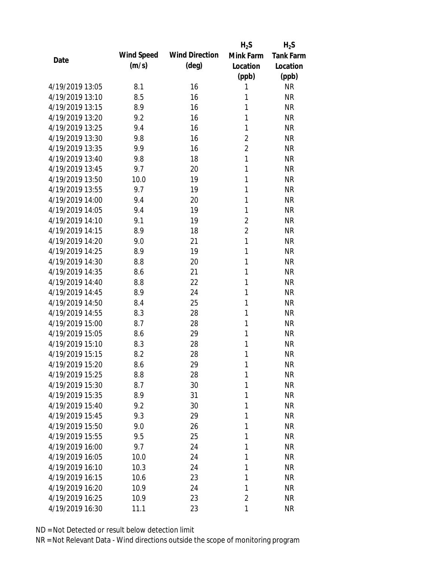|                 |            |                       | $H_2S$         | $H_2S$           |
|-----------------|------------|-----------------------|----------------|------------------|
| Date            | Wind Speed | <b>Wind Direction</b> | Mink Farm      | <b>Tank Farm</b> |
|                 | (m/s)      | $(\text{deg})$        | Location       | Location         |
|                 |            |                       | (ppb)          | (ppb)            |
| 4/19/2019 13:05 | 8.1        | 16                    | 1              | <b>NR</b>        |
| 4/19/2019 13:10 | 8.5        | 16                    | 1              | <b>NR</b>        |
| 4/19/2019 13:15 | 8.9        | 16                    | 1              | <b>NR</b>        |
| 4/19/2019 13:20 | 9.2        | 16                    | $\mathbf{1}$   | <b>NR</b>        |
| 4/19/2019 13:25 | 9.4        | 16                    | 1              | <b>NR</b>        |
| 4/19/2019 13:30 | 9.8        | 16                    | $\overline{2}$ | <b>NR</b>        |
| 4/19/2019 13:35 | 9.9        | 16                    | $\overline{2}$ | <b>NR</b>        |
| 4/19/2019 13:40 | 9.8        | 18                    | $\mathbf{1}$   | <b>NR</b>        |
| 4/19/2019 13:45 | 9.7        | 20                    | 1              | <b>NR</b>        |
| 4/19/2019 13:50 | 10.0       | 19                    | 1              | <b>NR</b>        |
| 4/19/2019 13:55 | 9.7        | 19                    | 1              | <b>NR</b>        |
| 4/19/2019 14:00 | 9.4        | 20                    | 1              | <b>NR</b>        |
| 4/19/2019 14:05 | 9.4        | 19                    | 1              | <b>NR</b>        |
| 4/19/2019 14:10 | 9.1        | 19                    | $\overline{2}$ | <b>NR</b>        |
| 4/19/2019 14:15 | 8.9        | 18                    | $\overline{2}$ | <b>NR</b>        |
| 4/19/2019 14:20 | 9.0        | 21                    | 1              | <b>NR</b>        |
| 4/19/2019 14:25 | 8.9        | 19                    | 1              | <b>NR</b>        |
| 4/19/2019 14:30 | 8.8        | 20                    | 1              | <b>NR</b>        |
| 4/19/2019 14:35 | 8.6        | 21                    | 1              | <b>NR</b>        |
| 4/19/2019 14:40 | 8.8        | 22                    | 1              | <b>NR</b>        |
| 4/19/2019 14:45 | 8.9        | 24                    | 1              | <b>NR</b>        |
| 4/19/2019 14:50 | 8.4        | 25                    | 1              | <b>NR</b>        |
| 4/19/2019 14:55 | 8.3        | 28                    | 1              | <b>NR</b>        |
| 4/19/2019 15:00 | 8.7        | 28                    | 1              | <b>NR</b>        |
| 4/19/2019 15:05 | 8.6        | 29                    | 1              | <b>NR</b>        |
| 4/19/2019 15:10 | 8.3        | 28                    | 1              | <b>NR</b>        |
| 4/19/2019 15:15 | 8.2        | 28                    | 1              | <b>NR</b>        |
| 4/19/2019 15:20 | 8.6        | 29                    | $\mathbf{1}$   | <b>NR</b>        |
| 4/19/2019 15:25 | 8.8        | 28                    | 1              | <b>NR</b>        |
| 4/19/2019 15:30 | 8.7        | 30                    | 1              | <b>NR</b>        |
| 4/19/2019 15:35 | 8.9        | 31                    | 1              | <b>NR</b>        |
| 4/19/2019 15:40 | 9.2        | 30                    | 1              | <b>NR</b>        |
| 4/19/2019 15:45 | 9.3        | 29                    | 1              | <b>NR</b>        |
| 4/19/2019 15:50 | 9.0        | 26                    | 1              | <b>NR</b>        |
| 4/19/2019 15:55 | 9.5        | 25                    | 1              | <b>NR</b>        |
| 4/19/2019 16:00 | 9.7        | 24                    | 1              | <b>NR</b>        |
| 4/19/2019 16:05 | 10.0       | 24                    | 1              | <b>NR</b>        |
| 4/19/2019 16:10 | 10.3       | 24                    | 1              | <b>NR</b>        |
| 4/19/2019 16:15 | 10.6       | 23                    | 1              | <b>NR</b>        |
| 4/19/2019 16:20 | 10.9       | 24                    | 1              | <b>NR</b>        |
| 4/19/2019 16:25 | 10.9       | 23                    | 2              | <b>NR</b>        |
| 4/19/2019 16:30 | 11.1       | 23                    | 1              | <b>NR</b>        |
|                 |            |                       |                |                  |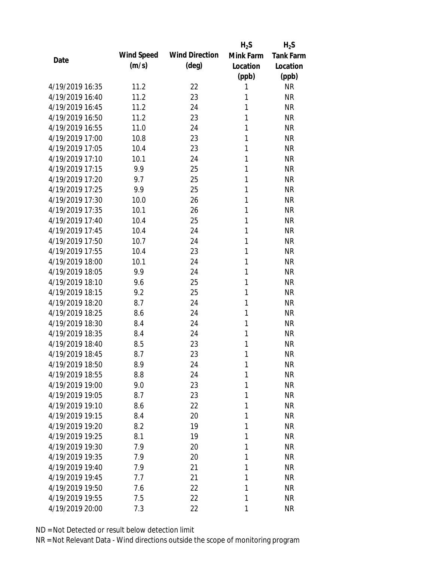|                 |            |                       | $H_2S$       | $H_2S$           |
|-----------------|------------|-----------------------|--------------|------------------|
| Date            | Wind Speed | <b>Wind Direction</b> | Mink Farm    | <b>Tank Farm</b> |
|                 | (m/s)      | $(\text{deg})$        | Location     | Location         |
|                 |            |                       | (ppb)        | (ppb)            |
| 4/19/2019 16:35 | 11.2       | 22                    | 1            | <b>NR</b>        |
| 4/19/2019 16:40 | 11.2       | 23                    | 1            | <b>NR</b>        |
| 4/19/2019 16:45 | 11.2       | 24                    | 1            | <b>NR</b>        |
| 4/19/2019 16:50 | 11.2       | 23                    | 1            | <b>NR</b>        |
| 4/19/2019 16:55 | 11.0       | 24                    | 1            | <b>NR</b>        |
| 4/19/2019 17:00 | 10.8       | 23                    | 1            | <b>NR</b>        |
| 4/19/2019 17:05 | 10.4       | 23                    | 1            | <b>NR</b>        |
| 4/19/2019 17:10 | 10.1       | 24                    | 1            | <b>NR</b>        |
| 4/19/2019 17:15 | 9.9        | 25                    | 1            | <b>NR</b>        |
| 4/19/2019 17:20 | 9.7        | 25                    | 1            | <b>NR</b>        |
| 4/19/2019 17:25 | 9.9        | 25                    | 1            | <b>NR</b>        |
| 4/19/2019 17:30 | 10.0       | 26                    | 1            | <b>NR</b>        |
| 4/19/2019 17:35 | 10.1       | 26                    | 1            | <b>NR</b>        |
| 4/19/2019 17:40 | 10.4       | 25                    | 1            | <b>NR</b>        |
| 4/19/2019 17:45 | 10.4       | 24                    | 1            | <b>NR</b>        |
| 4/19/2019 17:50 | 10.7       | 24                    | 1            | <b>NR</b>        |
| 4/19/2019 17:55 | 10.4       | 23                    | 1            | <b>NR</b>        |
| 4/19/2019 18:00 | 10.1       | 24                    | 1            | <b>NR</b>        |
| 4/19/2019 18:05 | 9.9        | 24                    | 1            | <b>NR</b>        |
| 4/19/2019 18:10 | 9.6        | 25                    | 1            | <b>NR</b>        |
| 4/19/2019 18:15 | 9.2        | 25                    | 1            | <b>NR</b>        |
| 4/19/2019 18:20 | 8.7        | 24                    | 1            | <b>NR</b>        |
| 4/19/2019 18:25 | 8.6        | 24                    | 1            | <b>NR</b>        |
| 4/19/2019 18:30 | 8.4        | 24                    | 1            | <b>NR</b>        |
| 4/19/2019 18:35 | 8.4        | 24                    | 1            | <b>NR</b>        |
| 4/19/2019 18:40 | 8.5        | 23                    | 1            | <b>NR</b>        |
| 4/19/2019 18:45 | 8.7        | 23                    | 1            | <b>NR</b>        |
| 4/19/2019 18:50 | 8.9        | 24                    | $\mathbf{1}$ | <b>NR</b>        |
| 4/19/2019 18:55 | 8.8        | 24                    | 1            | <b>NR</b>        |
| 4/19/2019 19:00 | 9.0        | 23                    | 1            | <b>NR</b>        |
| 4/19/2019 19:05 | 8.7        | 23                    | 1            | <b>NR</b>        |
| 4/19/2019 19:10 | 8.6        | 22                    | 1            | <b>NR</b>        |
| 4/19/2019 19:15 | 8.4        | 20                    | 1            | <b>NR</b>        |
| 4/19/2019 19:20 | 8.2        | 19                    | 1            | <b>NR</b>        |
| 4/19/2019 19:25 | 8.1        | 19                    | 1            | <b>NR</b>        |
| 4/19/2019 19:30 | 7.9        | 20                    | 1            | <b>NR</b>        |
| 4/19/2019 19:35 | 7.9        | 20                    | 1            | <b>NR</b>        |
| 4/19/2019 19:40 | 7.9        | 21                    | 1            | <b>NR</b>        |
| 4/19/2019 19:45 | 7.7        | 21                    | 1            | <b>NR</b>        |
| 4/19/2019 19:50 | 7.6        | 22                    | 1            | <b>NR</b>        |
| 4/19/2019 19:55 | 7.5        | 22                    | 1            | <b>NR</b>        |
| 4/19/2019 20:00 | 7.3        | 22                    | 1            | <b>NR</b>        |
|                 |            |                       |              |                  |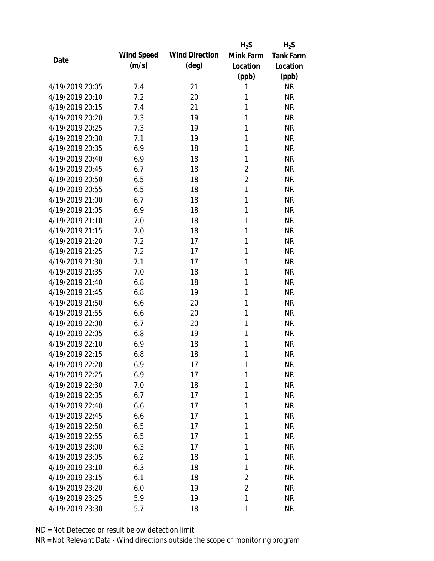|                 |            |                       | $H_2S$         | $H_2S$           |
|-----------------|------------|-----------------------|----------------|------------------|
| Date            | Wind Speed | <b>Wind Direction</b> | Mink Farm      | <b>Tank Farm</b> |
|                 | (m/s)      | $(\text{deg})$        | Location       | Location         |
|                 |            |                       | (ppb)          | (ppb)            |
| 4/19/2019 20:05 | 7.4        | 21                    | 1              | <b>NR</b>        |
| 4/19/2019 20:10 | 7.2        | 20                    | 1              | <b>NR</b>        |
| 4/19/2019 20:15 | 7.4        | 21                    | 1              | <b>NR</b>        |
| 4/19/2019 20:20 | 7.3        | 19                    | 1              | <b>NR</b>        |
| 4/19/2019 20:25 | 7.3        | 19                    | 1              | <b>NR</b>        |
| 4/19/2019 20:30 | 7.1        | 19                    | 1              | <b>NR</b>        |
| 4/19/2019 20:35 | 6.9        | 18                    | 1              | <b>NR</b>        |
| 4/19/2019 20:40 | 6.9        | 18                    | 1              | <b>NR</b>        |
| 4/19/2019 20:45 | 6.7        | 18                    | $\overline{2}$ | <b>NR</b>        |
| 4/19/2019 20:50 | 6.5        | 18                    | $\overline{2}$ | <b>NR</b>        |
| 4/19/2019 20:55 | 6.5        | 18                    | $\mathbf{1}$   | <b>NR</b>        |
| 4/19/2019 21:00 | 6.7        | 18                    | 1              | <b>NR</b>        |
| 4/19/2019 21:05 | 6.9        | 18                    | 1              | <b>NR</b>        |
| 4/19/2019 21:10 | 7.0        | 18                    | 1              | <b>NR</b>        |
| 4/19/2019 21:15 | 7.0        | 18                    | 1              | <b>NR</b>        |
| 4/19/2019 21:20 | 7.2        | 17                    | 1              | <b>NR</b>        |
| 4/19/2019 21:25 | 7.2        | 17                    | 1              | <b>NR</b>        |
| 4/19/2019 21:30 | 7.1        | 17                    | 1              | <b>NR</b>        |
| 4/19/2019 21:35 | 7.0        | 18                    | 1              | <b>NR</b>        |
| 4/19/2019 21:40 | 6.8        | 18                    | 1              | <b>NR</b>        |
| 4/19/2019 21:45 | 6.8        | 19                    | 1              | <b>NR</b>        |
| 4/19/2019 21:50 | 6.6        | 20                    | 1              | <b>NR</b>        |
| 4/19/2019 21:55 | 6.6        | 20                    | 1              | <b>NR</b>        |
| 4/19/2019 22:00 | 6.7        | 20                    | 1              | <b>NR</b>        |
| 4/19/2019 22:05 | 6.8        | 19                    | 1              | <b>NR</b>        |
| 4/19/2019 22:10 | 6.9        | 18                    | 1              | <b>NR</b>        |
| 4/19/2019 22:15 | 6.8        | 18                    | 1              | <b>NR</b>        |
| 4/19/2019 22:20 | 6.9        | 17                    | $\mathbf{1}$   | <b>NR</b>        |
| 4/19/2019 22:25 | 6.9        | 17                    | 1              | <b>NR</b>        |
| 4/19/2019 22:30 | 7.0        | 18                    | 1              | <b>NR</b>        |
| 4/19/2019 22:35 | 6.7        | 17                    | 1              | <b>NR</b>        |
| 4/19/2019 22:40 | 6.6        | 17                    | 1              | <b>NR</b>        |
| 4/19/2019 22:45 | 6.6        | 17                    | 1              | <b>NR</b>        |
| 4/19/2019 22:50 | 6.5        | 17                    | 1              | <b>NR</b>        |
| 4/19/2019 22:55 | 6.5        | 17                    | 1              | <b>NR</b>        |
| 4/19/2019 23:00 | 6.3        | 17                    | 1              | <b>NR</b>        |
| 4/19/2019 23:05 | 6.2        | 18                    | 1              | <b>NR</b>        |
| 4/19/2019 23:10 | 6.3        | 18                    | 1              | <b>NR</b>        |
| 4/19/2019 23:15 | 6.1        | 18                    | $\overline{2}$ | <b>NR</b>        |
| 4/19/2019 23:20 | 6.0        | 19                    | $\overline{2}$ | <b>NR</b>        |
| 4/19/2019 23:25 | 5.9        | 19                    | 1              | <b>NR</b>        |
|                 |            |                       |                |                  |
| 4/19/2019 23:30 | 5.7        | 18                    | 1              | <b>NR</b>        |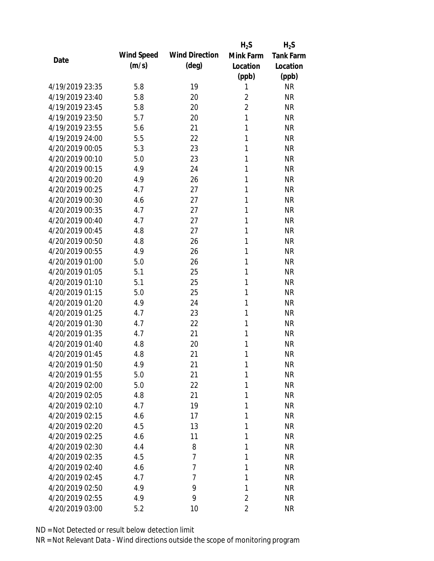|                 |            |                       | $H_2S$         | $H_2S$           |
|-----------------|------------|-----------------------|----------------|------------------|
| Date            | Wind Speed | <b>Wind Direction</b> | Mink Farm      | <b>Tank Farm</b> |
|                 | (m/s)      | $(\text{deg})$        | Location       | Location         |
|                 |            |                       | (ppb)          | (ppb)            |
| 4/19/2019 23:35 | 5.8        | 19                    | 1              | <b>NR</b>        |
| 4/19/2019 23:40 | 5.8        | 20                    | $\overline{2}$ | <b>NR</b>        |
| 4/19/2019 23:45 | 5.8        | 20                    | $\overline{2}$ | <b>NR</b>        |
| 4/19/2019 23:50 | 5.7        | 20                    | 1              | <b>NR</b>        |
| 4/19/2019 23:55 | 5.6        | 21                    | 1              | <b>NR</b>        |
| 4/19/2019 24:00 | 5.5        | 22                    | 1              | <b>NR</b>        |
| 4/20/2019 00:05 | 5.3        | 23                    | 1              | <b>NR</b>        |
| 4/20/2019 00:10 | 5.0        | 23                    | 1              | <b>NR</b>        |
| 4/20/2019 00:15 | 4.9        | 24                    | 1              | <b>NR</b>        |
| 4/20/2019 00:20 | 4.9        | 26                    | 1              | <b>NR</b>        |
| 4/20/2019 00:25 | 4.7        | 27                    | 1              | <b>NR</b>        |
| 4/20/2019 00:30 | 4.6        | 27                    | 1              | <b>NR</b>        |
| 4/20/2019 00:35 | 4.7        | 27                    | 1              | <b>NR</b>        |
| 4/20/2019 00:40 | 4.7        | 27                    | 1              | <b>NR</b>        |
| 4/20/2019 00:45 | 4.8        | 27                    | 1              | <b>NR</b>        |
| 4/20/2019 00:50 | 4.8        | 26                    | 1              | <b>NR</b>        |
| 4/20/2019 00:55 | 4.9        | 26                    | 1              | <b>NR</b>        |
| 4/20/2019 01:00 | 5.0        | 26                    | 1              | <b>NR</b>        |
| 4/20/2019 01:05 | 5.1        | 25                    | 1              | <b>NR</b>        |
| 4/20/2019 01:10 | 5.1        | 25                    | 1              | <b>NR</b>        |
| 4/20/2019 01:15 | 5.0        | 25                    | 1              | <b>NR</b>        |
| 4/20/2019 01:20 | 4.9        | 24                    | 1              | <b>NR</b>        |
| 4/20/2019 01:25 | 4.7        | 23                    | 1              | <b>NR</b>        |
| 4/20/2019 01:30 | 4.7        | 22                    | 1              | <b>NR</b>        |
| 4/20/2019 01:35 | 4.7        | 21                    | 1              | <b>NR</b>        |
| 4/20/2019 01:40 | 4.8        | 20                    | 1              | <b>NR</b>        |
| 4/20/2019 01:45 | 4.8        | 21                    | 1              | <b>NR</b>        |
| 4/20/2019 01:50 | 4.9        | 21                    | 1              | <b>NR</b>        |
| 4/20/2019 01:55 | 5.0        | 21                    | 1              | <b>NR</b>        |
| 4/20/2019 02:00 | 5.0        | 22                    | 1              | <b>NR</b>        |
| 4/20/2019 02:05 | 4.8        | 21                    | 1              | <b>NR</b>        |
| 4/20/2019 02:10 | 4.7        | 19                    | 1              | <b>NR</b>        |
| 4/20/2019 02:15 | 4.6        | 17                    | 1              | <b>NR</b>        |
| 4/20/2019 02:20 | 4.5        | 13                    | 1              | <b>NR</b>        |
| 4/20/2019 02:25 | 4.6        | 11                    | 1              | <b>NR</b>        |
| 4/20/2019 02:30 | 4.4        | 8                     | 1              | <b>NR</b>        |
| 4/20/2019 02:35 | 4.5        | $\overline{7}$        | 1              | <b>NR</b>        |
| 4/20/2019 02:40 | 4.6        | 7                     | 1              | <b>NR</b>        |
| 4/20/2019 02:45 | 4.7        | 7                     | 1              | <b>NR</b>        |
| 4/20/2019 02:50 | 4.9        | 9                     | 1              | <b>NR</b>        |
| 4/20/2019 02:55 | 4.9        | 9                     | $\overline{2}$ | <b>NR</b>        |
| 4/20/2019 03:00 | 5.2        | 10                    | $\overline{2}$ | <b>NR</b>        |
|                 |            |                       |                |                  |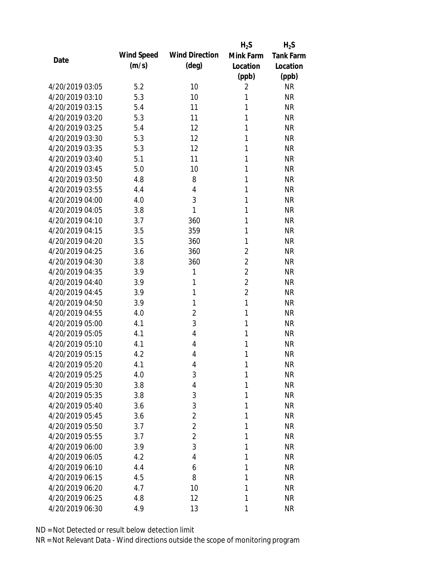|                 |            |                       | $H_2S$         | $H_2S$           |
|-----------------|------------|-----------------------|----------------|------------------|
| Date            | Wind Speed | <b>Wind Direction</b> | Mink Farm      | <b>Tank Farm</b> |
|                 | (m/s)      | $(\text{deg})$        | Location       | Location         |
|                 |            |                       | (ppb)          | (ppb)            |
| 4/20/2019 03:05 | 5.2        | 10                    | $\overline{2}$ | <b>NR</b>        |
| 4/20/2019 03:10 | 5.3        | 10                    | 1              | <b>NR</b>        |
| 4/20/2019 03:15 | 5.4        | 11                    | 1              | <b>NR</b>        |
| 4/20/2019 03:20 | 5.3        | 11                    | 1              | <b>NR</b>        |
| 4/20/2019 03:25 | 5.4        | 12                    | 1              | <b>NR</b>        |
| 4/20/2019 03:30 | 5.3        | 12                    | 1              | <b>NR</b>        |
| 4/20/2019 03:35 | 5.3        | 12                    | 1              | <b>NR</b>        |
| 4/20/2019 03:40 | 5.1        | 11                    | 1              | <b>NR</b>        |
| 4/20/2019 03:45 | 5.0        | 10                    | 1              | <b>NR</b>        |
| 4/20/2019 03:50 | 4.8        | 8                     | 1              | <b>NR</b>        |
| 4/20/2019 03:55 | 4.4        | $\overline{4}$        | 1              | <b>NR</b>        |
| 4/20/2019 04:00 | 4.0        | 3                     | 1              | <b>NR</b>        |
| 4/20/2019 04:05 | 3.8        | 1                     | 1              | <b>NR</b>        |
| 4/20/2019 04:10 | 3.7        | 360                   | 1              | <b>NR</b>        |
| 4/20/2019 04:15 | 3.5        | 359                   | 1              | <b>NR</b>        |
| 4/20/2019 04:20 | 3.5        | 360                   | 1              | <b>NR</b>        |
| 4/20/2019 04:25 | 3.6        | 360                   | $\overline{2}$ | <b>NR</b>        |
| 4/20/2019 04:30 | 3.8        | 360                   | $\overline{2}$ | <b>NR</b>        |
| 4/20/2019 04:35 | 3.9        | 1                     | $\overline{2}$ | <b>NR</b>        |
| 4/20/2019 04:40 | 3.9        | 1                     | $\overline{2}$ | <b>NR</b>        |
| 4/20/2019 04:45 | 3.9        | 1                     | $\overline{2}$ | <b>NR</b>        |
| 4/20/2019 04:50 | 3.9        | 1                     | $\mathbf{1}$   | <b>NR</b>        |
| 4/20/2019 04:55 | 4.0        | $\overline{2}$        | 1              | <b>NR</b>        |
| 4/20/2019 05:00 | 4.1        | 3                     | 1              | <b>NR</b>        |
| 4/20/2019 05:05 | 4.1        | $\overline{4}$        | 1              | <b>NR</b>        |
| 4/20/2019 05:10 | 4.1        | 4                     | 1              | <b>NR</b>        |
| 4/20/2019 05:15 | 4.2        | $\overline{4}$        | 1              | <b>NR</b>        |
| 4/20/2019 05:20 | 4.1        | 4                     | 1              | <b>NR</b>        |
| 4/20/2019 05:25 | 4.0        | 3                     | 1              | <b>NR</b>        |
| 4/20/2019 05:30 | 3.8        | 4                     | 1              | <b>NR</b>        |
| 4/20/2019 05:35 | 3.8        | 3                     | 1              | <b>NR</b>        |
| 4/20/2019 05:40 | 3.6        | 3                     | 1              | <b>NR</b>        |
| 4/20/2019 05:45 | 3.6        | $\overline{2}$        | 1              | <b>NR</b>        |
| 4/20/2019 05:50 | 3.7        | $\overline{2}$        | 1              | <b>NR</b>        |
| 4/20/2019 05:55 | 3.7        | $\overline{2}$        | 1              | <b>NR</b>        |
| 4/20/2019 06:00 | 3.9        | 3                     | 1              | <b>NR</b>        |
| 4/20/2019 06:05 | 4.2        | 4                     | 1              | <b>NR</b>        |
| 4/20/2019 06:10 | 4.4        | 6                     | 1              | <b>NR</b>        |
| 4/20/2019 06:15 | 4.5        | 8                     | 1              | <b>NR</b>        |
| 4/20/2019 06:20 | 4.7        | 10                    | 1              | <b>NR</b>        |
| 4/20/2019 06:25 | 4.8        | 12                    | 1              | <b>NR</b>        |
| 4/20/2019 06:30 | 4.9        | 13                    | 1              | <b>NR</b>        |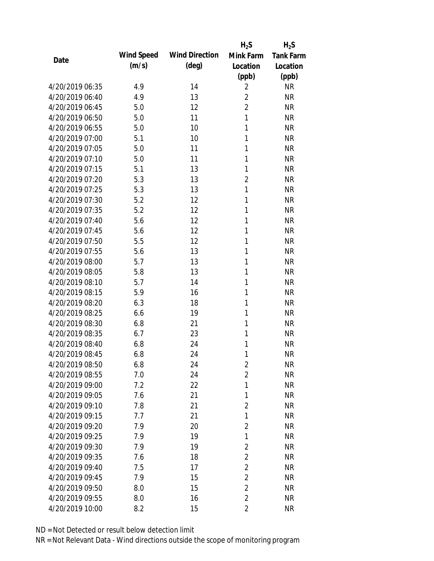|                 |            |                       | $H_2S$         | $H_2S$           |
|-----------------|------------|-----------------------|----------------|------------------|
| Date            | Wind Speed | <b>Wind Direction</b> | Mink Farm      | <b>Tank Farm</b> |
|                 | (m/s)      | (deg)                 | Location       | Location         |
|                 |            |                       | (ppb)          | (ppb)            |
| 4/20/2019 06:35 | 4.9        | 14                    | $\overline{2}$ | <b>NR</b>        |
| 4/20/2019 06:40 | 4.9        | 13                    | $\overline{2}$ | <b>NR</b>        |
| 4/20/2019 06:45 | 5.0        | 12                    | $\overline{2}$ | <b>NR</b>        |
| 4/20/2019 06:50 | 5.0        | 11                    | 1              | <b>NR</b>        |
| 4/20/2019 06:55 | 5.0        | 10                    | 1              | <b>NR</b>        |
| 4/20/2019 07:00 | 5.1        | 10                    | 1              | <b>NR</b>        |
| 4/20/2019 07:05 | 5.0        | 11                    | 1              | <b>NR</b>        |
| 4/20/2019 07:10 | 5.0        | 11                    | 1              | <b>NR</b>        |
| 4/20/2019 07:15 | 5.1        | 13                    | 1              | <b>NR</b>        |
| 4/20/2019 07:20 | 5.3        | 13                    | $\overline{2}$ | <b>NR</b>        |
| 4/20/2019 07:25 | 5.3        | 13                    | $\mathbf{1}$   | <b>NR</b>        |
| 4/20/2019 07:30 | 5.2        | 12                    | 1              | <b>NR</b>        |
| 4/20/2019 07:35 | 5.2        | 12                    | 1              | <b>NR</b>        |
| 4/20/2019 07:40 | 5.6        | 12                    | 1              | <b>NR</b>        |
| 4/20/2019 07:45 | 5.6        | 12                    | 1              | <b>NR</b>        |
| 4/20/2019 07:50 | 5.5        | 12                    | 1              | <b>NR</b>        |
| 4/20/2019 07:55 | 5.6        | 13                    | 1              | <b>NR</b>        |
| 4/20/2019 08:00 | 5.7        | 13                    | 1              | <b>NR</b>        |
| 4/20/2019 08:05 | 5.8        | 13                    | 1              | <b>NR</b>        |
| 4/20/2019 08:10 | 5.7        | 14                    | 1              | <b>NR</b>        |
| 4/20/2019 08:15 | 5.9        | 16                    | 1              | <b>NR</b>        |
| 4/20/2019 08:20 | 6.3        | 18                    | 1              | <b>NR</b>        |
| 4/20/2019 08:25 | 6.6        | 19                    | 1              | <b>NR</b>        |
| 4/20/2019 08:30 | 6.8        | 21                    | 1              | <b>NR</b>        |
| 4/20/2019 08:35 | 6.7        | 23                    | 1              | <b>NR</b>        |
| 4/20/2019 08:40 | 6.8        | 24                    | 1              | <b>NR</b>        |
| 4/20/2019 08:45 | 6.8        | 24                    | 1              | <b>NR</b>        |
| 4/20/2019 08:50 | 6.8        | 24                    | $\overline{2}$ | <b>NR</b>        |
| 4/20/2019 08:55 | 7.0        | 24                    | $\overline{2}$ | <b>NR</b>        |
| 4/20/2019 09:00 | 7.2        | 22                    | 1              | <b>NR</b>        |
| 4/20/2019 09:05 | 7.6        | 21                    | $\mathbf{1}$   | <b>NR</b>        |
| 4/20/2019 09:10 | 7.8        | 21                    | $\overline{2}$ | <b>NR</b>        |
| 4/20/2019 09:15 | 7.7        | 21                    | 1              | <b>NR</b>        |
| 4/20/2019 09:20 | 7.9        | 20                    | 2              | <b>NR</b>        |
| 4/20/2019 09:25 | 7.9        | 19                    | 1              | <b>NR</b>        |
| 4/20/2019 09:30 | 7.9        | 19                    | $\overline{2}$ | <b>NR</b>        |
| 4/20/2019 09:35 | 7.6        | 18                    | $\overline{2}$ | <b>NR</b>        |
| 4/20/2019 09:40 | 7.5        | 17                    | $\overline{2}$ | <b>NR</b>        |
| 4/20/2019 09:45 | 7.9        | 15                    | $\overline{2}$ | <b>NR</b>        |
| 4/20/2019 09:50 | 8.0        | 15                    | $\overline{2}$ | <b>NR</b>        |
| 4/20/2019 09:55 | 8.0        | 16                    | $\overline{2}$ | <b>NR</b>        |
|                 |            | 15                    |                |                  |
| 4/20/2019 10:00 | $8.2\,$    |                       | $\overline{2}$ | <b>NR</b>        |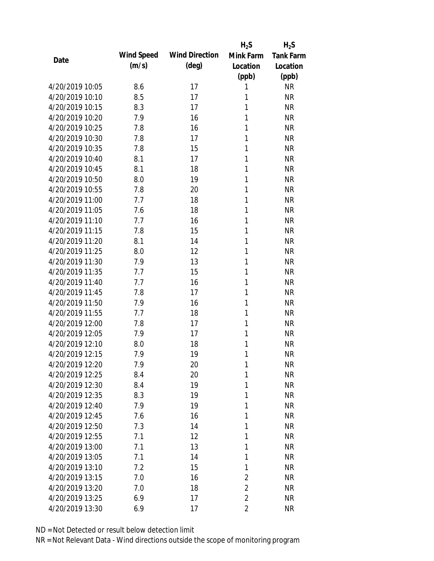|                 |            |                       | $H_2S$         | $H_2S$           |
|-----------------|------------|-----------------------|----------------|------------------|
| Date            | Wind Speed | <b>Wind Direction</b> | Mink Farm      | <b>Tank Farm</b> |
|                 | (m/s)      | $(\text{deg})$        | Location       | Location         |
|                 |            |                       | (ppb)          | (ppb)            |
| 4/20/2019 10:05 | 8.6        | 17                    | 1              | <b>NR</b>        |
| 4/20/2019 10:10 | 8.5        | 17                    | 1              | <b>NR</b>        |
| 4/20/2019 10:15 | 8.3        | 17                    | 1              | <b>NR</b>        |
| 4/20/2019 10:20 | 7.9        | 16                    | 1              | <b>NR</b>        |
| 4/20/2019 10:25 | 7.8        | 16                    | 1              | <b>NR</b>        |
| 4/20/2019 10:30 | 7.8        | 17                    | 1              | <b>NR</b>        |
| 4/20/2019 10:35 | 7.8        | 15                    | 1              | <b>NR</b>        |
| 4/20/2019 10:40 | 8.1        | 17                    | 1              | <b>NR</b>        |
| 4/20/2019 10:45 | 8.1        | 18                    | 1              | <b>NR</b>        |
| 4/20/2019 10:50 | 8.0        | 19                    | 1              | <b>NR</b>        |
| 4/20/2019 10:55 | 7.8        | 20                    | 1              | <b>NR</b>        |
| 4/20/2019 11:00 | 7.7        | 18                    | 1              | <b>NR</b>        |
| 4/20/2019 11:05 | 7.6        | 18                    | 1              | <b>NR</b>        |
| 4/20/2019 11:10 | 7.7        | 16                    | 1              | <b>NR</b>        |
| 4/20/2019 11:15 | 7.8        | 15                    | 1              | <b>NR</b>        |
| 4/20/2019 11:20 | 8.1        | 14                    | 1              | <b>NR</b>        |
| 4/20/2019 11:25 | 8.0        | 12                    | 1              | <b>NR</b>        |
| 4/20/2019 11:30 | 7.9        | 13                    | 1              | <b>NR</b>        |
| 4/20/2019 11:35 | 7.7        | 15                    | 1              | <b>NR</b>        |
| 4/20/2019 11:40 | 7.7        | 16                    | 1              | <b>NR</b>        |
| 4/20/2019 11:45 | 7.8        | 17                    | 1              | <b>NR</b>        |
| 4/20/2019 11:50 | 7.9        | 16                    | 1              | <b>NR</b>        |
| 4/20/2019 11:55 | 7.7        | 18                    | 1              | <b>NR</b>        |
| 4/20/2019 12:00 | 7.8        | 17                    | 1              | <b>NR</b>        |
| 4/20/2019 12:05 | 7.9        | 17                    | 1              | <b>NR</b>        |
| 4/20/2019 12:10 | 8.0        | 18                    | 1              | <b>NR</b>        |
| 4/20/2019 12:15 | 7.9        | 19                    | 1              | <b>NR</b>        |
| 4/20/2019 12:20 | 7.9        | 20                    | 1              | <b>NR</b>        |
| 4/20/2019 12:25 | 8.4        | 20                    | 1              | <b>NR</b>        |
| 4/20/2019 12:30 | 8.4        | 19                    | 1              | <b>NR</b>        |
| 4/20/2019 12:35 | 8.3        | 19                    | 1              | <b>NR</b>        |
| 4/20/2019 12:40 | 7.9        | 19                    | 1              | <b>NR</b>        |
| 4/20/2019 12:45 | 7.6        | 16                    | 1              | <b>NR</b>        |
| 4/20/2019 12:50 | 7.3        | 14                    | 1              | <b>NR</b>        |
| 4/20/2019 12:55 | 7.1        | 12                    | 1              | <b>NR</b>        |
| 4/20/2019 13:00 | 7.1        | 13                    | 1              | <b>NR</b>        |
| 4/20/2019 13:05 | 7.1        | 14                    | 1              | <b>NR</b>        |
| 4/20/2019 13:10 | 7.2        | 15                    | 1              | <b>NR</b>        |
| 4/20/2019 13:15 | 7.0        | 16                    | $\overline{2}$ | <b>NR</b>        |
| 4/20/2019 13:20 | 7.0        | 18                    | $\overline{2}$ | <b>NR</b>        |
| 4/20/2019 13:25 | 6.9        | 17                    | $\overline{2}$ | <b>NR</b>        |
| 4/20/2019 13:30 | 6.9        | 17                    | $\overline{2}$ | <b>NR</b>        |
|                 |            |                       |                |                  |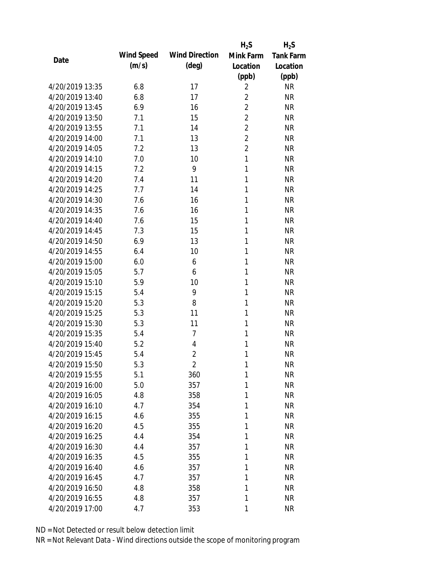|                 |            |                       | $H_2S$         | $H_2S$           |
|-----------------|------------|-----------------------|----------------|------------------|
| Date            | Wind Speed | <b>Wind Direction</b> | Mink Farm      | <b>Tank Farm</b> |
|                 | (m/s)      | $(\text{deg})$        | Location       | Location         |
|                 |            |                       | (ppb)          | (ppb)            |
| 4/20/2019 13:35 | 6.8        | 17                    | $\overline{2}$ | <b>NR</b>        |
| 4/20/2019 13:40 | 6.8        | 17                    | $\overline{2}$ | <b>NR</b>        |
| 4/20/2019 13:45 | 6.9        | 16                    | $\overline{2}$ | <b>NR</b>        |
| 4/20/2019 13:50 | 7.1        | 15                    | $\overline{2}$ | <b>NR</b>        |
| 4/20/2019 13:55 | 7.1        | 14                    | $\overline{2}$ | <b>NR</b>        |
| 4/20/2019 14:00 | 7.1        | 13                    | $\overline{2}$ | <b>NR</b>        |
| 4/20/2019 14:05 | 7.2        | 13                    | $\overline{2}$ | <b>NR</b>        |
| 4/20/2019 14:10 | 7.0        | 10                    | $\mathbf{1}$   | <b>NR</b>        |
| 4/20/2019 14:15 | 7.2        | 9                     | 1              | <b>NR</b>        |
| 4/20/2019 14:20 | 7.4        | 11                    | 1              | <b>NR</b>        |
| 4/20/2019 14:25 | 7.7        | 14                    | 1              | <b>NR</b>        |
| 4/20/2019 14:30 | 7.6        | 16                    | 1              | <b>NR</b>        |
| 4/20/2019 14:35 | 7.6        | 16                    | 1              | <b>NR</b>        |
| 4/20/2019 14:40 | 7.6        | 15                    | 1              | <b>NR</b>        |
| 4/20/2019 14:45 | 7.3        | 15                    | 1              | <b>NR</b>        |
| 4/20/2019 14:50 | 6.9        | 13                    | 1              | <b>NR</b>        |
| 4/20/2019 14:55 | 6.4        | 10                    | 1              | <b>NR</b>        |
| 4/20/2019 15:00 | 6.0        | 6                     | 1              | <b>NR</b>        |
| 4/20/2019 15:05 | 5.7        | 6                     | 1              | <b>NR</b>        |
| 4/20/2019 15:10 | 5.9        | 10                    | 1              | <b>NR</b>        |
| 4/20/2019 15:15 | 5.4        | 9                     | 1              | <b>NR</b>        |
| 4/20/2019 15:20 | 5.3        | 8                     | 1              | <b>NR</b>        |
| 4/20/2019 15:25 | 5.3        | 11                    | 1              | <b>NR</b>        |
| 4/20/2019 15:30 | 5.3        | 11                    | 1              | <b>NR</b>        |
| 4/20/2019 15:35 | 5.4        | $\overline{7}$        | 1              | <b>NR</b>        |
| 4/20/2019 15:40 | 5.2        | $\overline{4}$        | 1              | <b>NR</b>        |
| 4/20/2019 15:45 | 5.4        | $\overline{2}$        | 1              | <b>NR</b>        |
| 4/20/2019 15:50 | 5.3        | 2                     | 1              | <b>NR</b>        |
| 4/20/2019 15:55 | 5.1        | 360                   | 1              | <b>NR</b>        |
| 4/20/2019 16:00 | 5.0        | 357                   | 1              | <b>NR</b>        |
| 4/20/2019 16:05 | 4.8        | 358                   | 1              | <b>NR</b>        |
| 4/20/2019 16:10 | 4.7        | 354                   | 1              | <b>NR</b>        |
| 4/20/2019 16:15 | 4.6        | 355                   | 1              | <b>NR</b>        |
| 4/20/2019 16:20 | 4.5        | 355                   | 1              | <b>NR</b>        |
| 4/20/2019 16:25 | 4.4        | 354                   | 1              | <b>NR</b>        |
| 4/20/2019 16:30 | 4.4        | 357                   | 1              | <b>NR</b>        |
| 4/20/2019 16:35 | 4.5        | 355                   | 1              | <b>NR</b>        |
| 4/20/2019 16:40 | 4.6        | 357                   | 1              | <b>NR</b>        |
| 4/20/2019 16:45 | 4.7        | 357                   | 1              | <b>NR</b>        |
| 4/20/2019 16:50 | 4.8        | 358                   | 1              | <b>NR</b>        |
| 4/20/2019 16:55 | 4.8        | 357                   | 1              | <b>NR</b>        |
| 4/20/2019 17:00 | 4.7        | 353                   | 1              | <b>NR</b>        |
|                 |            |                       |                |                  |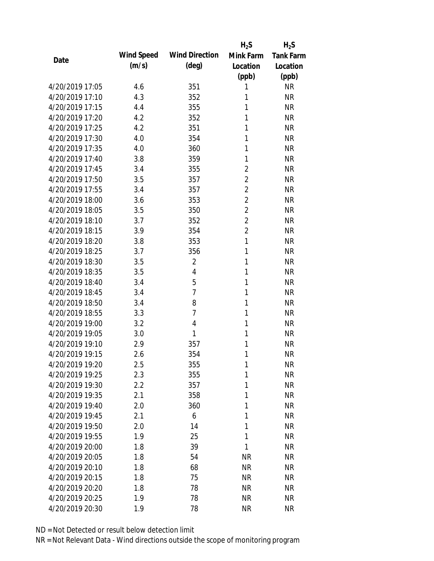|                 |            |                       | $H_2S$         | $H_2S$           |
|-----------------|------------|-----------------------|----------------|------------------|
| Date            | Wind Speed | <b>Wind Direction</b> | Mink Farm      | <b>Tank Farm</b> |
|                 | (m/s)      | $(\text{deg})$        | Location       | Location         |
|                 |            |                       | (ppb)          | (ppb)            |
| 4/20/2019 17:05 | 4.6        | 351                   | 1              | <b>NR</b>        |
| 4/20/2019 17:10 | 4.3        | 352                   | 1              | <b>NR</b>        |
| 4/20/2019 17:15 | 4.4        | 355                   | 1              | <b>NR</b>        |
| 4/20/2019 17:20 | 4.2        | 352                   | 1              | <b>NR</b>        |
| 4/20/2019 17:25 | 4.2        | 351                   | 1              | <b>NR</b>        |
| 4/20/2019 17:30 | 4.0        | 354                   | 1              | <b>NR</b>        |
| 4/20/2019 17:35 | 4.0        | 360                   | 1              | <b>NR</b>        |
| 4/20/2019 17:40 | 3.8        | 359                   | 1              | <b>NR</b>        |
| 4/20/2019 17:45 | 3.4        | 355                   | $\overline{2}$ | <b>NR</b>        |
| 4/20/2019 17:50 | 3.5        | 357                   | $\overline{2}$ | <b>NR</b>        |
| 4/20/2019 17:55 | 3.4        | 357                   | $\overline{2}$ | <b>NR</b>        |
| 4/20/2019 18:00 | 3.6        | 353                   | $\overline{2}$ | <b>NR</b>        |
| 4/20/2019 18:05 | 3.5        | 350                   | $\overline{2}$ | <b>NR</b>        |
| 4/20/2019 18:10 | 3.7        | 352                   | $\overline{2}$ | <b>NR</b>        |
| 4/20/2019 18:15 | 3.9        | 354                   | $\overline{2}$ | <b>NR</b>        |
| 4/20/2019 18:20 | 3.8        | 353                   | 1              | <b>NR</b>        |
| 4/20/2019 18:25 | 3.7        | 356                   | 1              | <b>NR</b>        |
| 4/20/2019 18:30 | 3.5        | $\overline{2}$        | 1              | <b>NR</b>        |
| 4/20/2019 18:35 | 3.5        | 4                     | 1              | <b>NR</b>        |
| 4/20/2019 18:40 | 3.4        | 5                     | 1              | <b>NR</b>        |
| 4/20/2019 18:45 | 3.4        | $\overline{7}$        | 1              | <b>NR</b>        |
| 4/20/2019 18:50 | 3.4        | 8                     | 1              | <b>NR</b>        |
| 4/20/2019 18:55 | 3.3        | $\overline{7}$        | 1              | <b>NR</b>        |
| 4/20/2019 19:00 | 3.2        | $\overline{4}$        | 1              | <b>NR</b>        |
| 4/20/2019 19:05 | 3.0        | 1                     | 1              | <b>NR</b>        |
| 4/20/2019 19:10 | 2.9        | 357                   | 1              | <b>NR</b>        |
| 4/20/2019 19:15 | 2.6        | 354                   | 1              | <b>NR</b>        |
| 4/20/2019 19:20 | 2.5        | 355                   | 1              | <b>NR</b>        |
| 4/20/2019 19:25 | 2.3        | 355                   | 1              | <b>NR</b>        |
| 4/20/2019 19:30 | 2.2        | 357                   | 1              | <b>NR</b>        |
| 4/20/2019 19:35 | 2.1        | 358                   | 1              | <b>NR</b>        |
| 4/20/2019 19:40 | 2.0        | 360                   | 1              | <b>NR</b>        |
| 4/20/2019 19:45 | 2.1        | 6                     | 1              | <b>NR</b>        |
| 4/20/2019 19:50 | 2.0        | 14                    | 1              | <b>NR</b>        |
| 4/20/2019 19:55 | 1.9        | 25                    | 1              | <b>NR</b>        |
| 4/20/2019 20:00 | 1.8        | 39                    | 1              | <b>NR</b>        |
| 4/20/2019 20:05 | 1.8        | 54                    | <b>NR</b>      | <b>NR</b>        |
| 4/20/2019 20:10 | 1.8        | 68                    | <b>NR</b>      | <b>NR</b>        |
| 4/20/2019 20:15 | 1.8        | 75                    | <b>NR</b>      | <b>NR</b>        |
| 4/20/2019 20:20 |            |                       |                | <b>NR</b>        |
|                 | 1.8        | 78                    | <b>NR</b>      |                  |
| 4/20/2019 20:25 | 1.9        | 78                    | <b>NR</b>      | <b>NR</b>        |
| 4/20/2019 20:30 | 1.9        | 78                    | <b>NR</b>      | <b>NR</b>        |